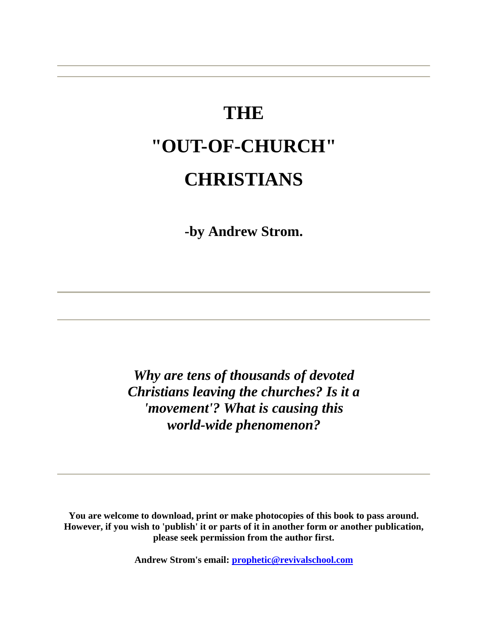# **THE "OUT-OF-CHURCH" CHRISTIANS**

**-by Andrew Strom.** 

*Why are tens of thousands of devoted Christians leaving the churches? Is it a 'movement'? What is causing this world-wide phenomenon?* 

**You are welcome to download, print or make photocopies of this book to pass around. However, if you wish to 'publish' it or parts of it in another form or another publication, please seek permission from the author first.** 

**Andrew Strom's email: [prophetic@revivalschool.com](mailto:prophetic@revivalschool.com)**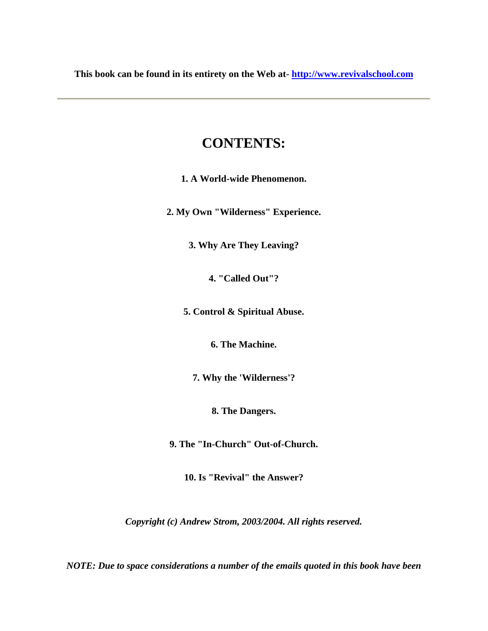**This book can be found in its entirety on the Web at- [http://www.revivalschool.com](http://www.revivalschool.com/)**

### **CONTENTS:**

**1. A World-wide Phenomenon.** 

**2. My Own "Wilderness" Experience.** 

**3. Why Are They Leaving?** 

**4. "Called Out"?** 

**5. Control & Spiritual Abuse.** 

**6. The Machine.** 

**7. Why the 'Wilderness'?** 

**8. The Dangers.** 

**9. The "In-Church" Out-of-Church.** 

**10. Is "Revival" the Answer?** 

*Copyright (c) Andrew Strom, 2003/2004. All rights reserved.* 

*NOTE: Due to space considerations a number of the emails quoted in this book have been*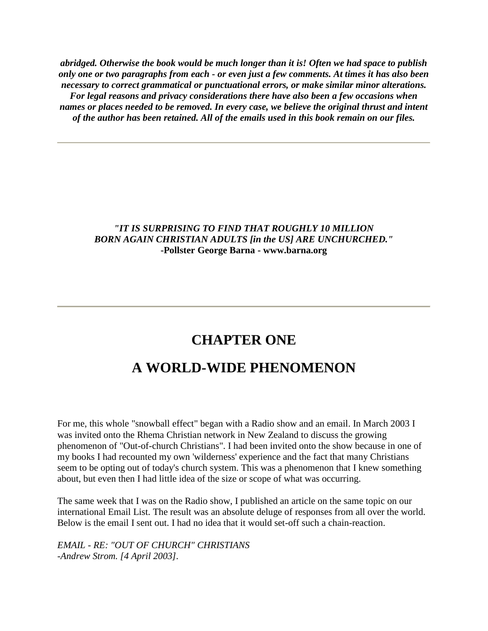*abridged. Otherwise the book would be much longer than it is! Often we had space to publish only one or two paragraphs from each - or even just a few comments. At times it has also been necessary to correct grammatical or punctuational errors, or make similar minor alterations. For legal reasons and privacy considerations there have also been a few occasions when names or places needed to be removed. In every case, we believe the original thrust and intent of the author has been retained. All of the emails used in this book remain on our files.* 

### *"IT IS SURPRISING TO FIND THAT ROUGHLY 10 MILLION BORN AGAIN CHRISTIAN ADULTS [in the US] ARE UNCHURCHED."* **-Pollster George Barna - www.barna.org**

## **CHAPTER ONE**

## **A WORLD-WIDE PHENOMENON**

For me, this whole "snowball effect" began with a Radio show and an email. In March 2003 I was invited onto the Rhema Christian network in New Zealand to discuss the growing phenomenon of "Out-of-church Christians". I had been invited onto the show because in one of my books I had recounted my own 'wilderness' experience and the fact that many Christians seem to be opting out of today's church system. This was a phenomenon that I knew something about, but even then I had little idea of the size or scope of what was occurring.

The same week that I was on the Radio show, I published an article on the same topic on our international Email List. The result was an absolute deluge of responses from all over the world. Below is the email I sent out. I had no idea that it would set-off such a chain-reaction.

*EMAIL - RE: "OUT OF CHURCH" CHRISTIANS -Andrew Strom. [4 April 2003].*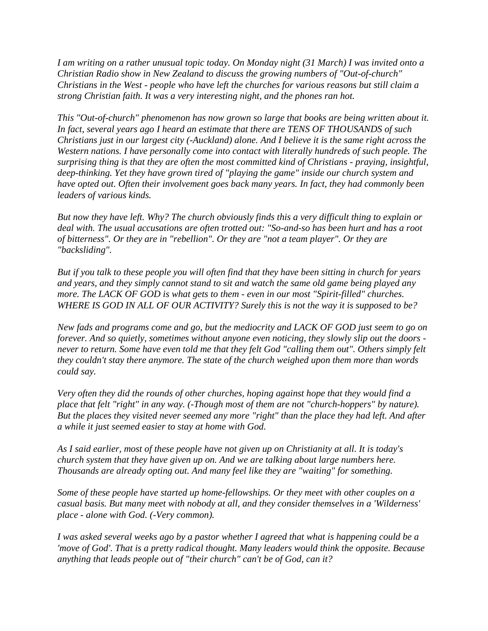*I am writing on a rather unusual topic today. On Monday night (31 March) I was invited onto a Christian Radio show in New Zealand to discuss the growing numbers of "Out-of-church" Christians in the West - people who have left the churches for various reasons but still claim a strong Christian faith. It was a very interesting night, and the phones ran hot.* 

*This "Out-of-church" phenomenon has now grown so large that books are being written about it. In fact, several years ago I heard an estimate that there are TENS OF THOUSANDS of such Christians just in our largest city (-Auckland) alone. And I believe it is the same right across the Western nations. I have personally come into contact with literally hundreds of such people. The surprising thing is that they are often the most committed kind of Christians - praying, insightful, deep-thinking. Yet they have grown tired of "playing the game" inside our church system and have opted out. Often their involvement goes back many years. In fact, they had commonly been leaders of various kinds.* 

*But now they have left. Why? The church obviously finds this a very difficult thing to explain or deal with. The usual accusations are often trotted out: "So-and-so has been hurt and has a root of bitterness". Or they are in "rebellion". Or they are "not a team player". Or they are "backsliding".* 

*But if you talk to these people you will often find that they have been sitting in church for years and years, and they simply cannot stand to sit and watch the same old game being played any more. The LACK OF GOD is what gets to them - even in our most "Spirit-filled" churches. WHERE IS GOD IN ALL OF OUR ACTIVITY? Surely this is not the way it is supposed to be?* 

*New fads and programs come and go, but the mediocrity and LACK OF GOD just seem to go on forever. And so quietly, sometimes without anyone even noticing, they slowly slip out the doors never to return. Some have even told me that they felt God "calling them out". Others simply felt they couldn't stay there anymore. The state of the church weighed upon them more than words could say.* 

*Very often they did the rounds of other churches, hoping against hope that they would find a place that felt "right" in any way. (-Though most of them are not "church-hoppers" by nature). But the places they visited never seemed any more "right" than the place they had left. And after a while it just seemed easier to stay at home with God.* 

*As I said earlier, most of these people have not given up on Christianity at all. It is today's church system that they have given up on. And we are talking about large numbers here. Thousands are already opting out. And many feel like they are "waiting" for something.* 

*Some of these people have started up home-fellowships. Or they meet with other couples on a casual basis. But many meet with nobody at all, and they consider themselves in a 'Wilderness' place - alone with God. (-Very common).* 

*I was asked several weeks ago by a pastor whether I agreed that what is happening could be a 'move of God'. That is a pretty radical thought. Many leaders would think the opposite. Because anything that leads people out of "their church" can't be of God, can it?*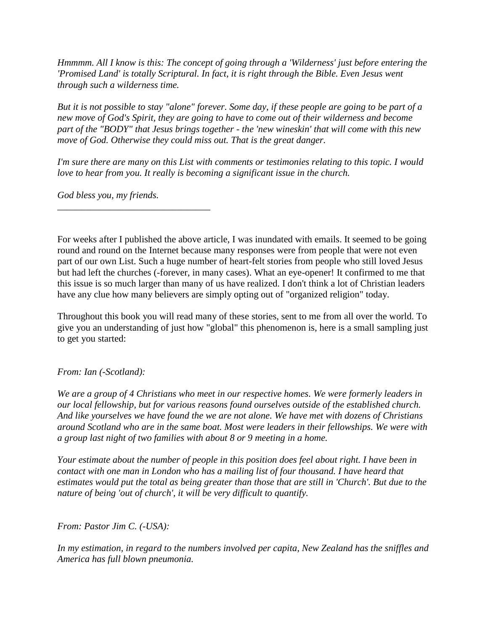*Hmmmm. All I know is this: The concept of going through a 'Wilderness' just before entering the 'Promised Land' is totally Scriptural. In fact, it is right through the Bible. Even Jesus went through such a wilderness time.* 

*But it is not possible to stay "alone" forever. Some day, if these people are going to be part of a new move of God's Spirit, they are going to have to come out of their wilderness and become part of the "BODY" that Jesus brings together - the 'new wineskin' that will come with this new move of God. Otherwise they could miss out. That is the great danger.* 

*I'm sure there are many on this List with comments or testimonies relating to this topic. I would love to hear from you. It really is becoming a significant issue in the church.* 

*God bless you, my friends.*

*\_\_\_\_\_\_\_\_\_\_\_\_\_\_\_\_\_\_\_\_\_\_\_\_\_\_\_\_\_\_\_\_* 

For weeks after I published the above article, I was inundated with emails. It seemed to be going round and round on the Internet because many responses were from people that were not even part of our own List. Such a huge number of heart-felt stories from people who still loved Jesus but had left the churches (-forever, in many cases). What an eye-opener! It confirmed to me that this issue is so much larger than many of us have realized. I don't think a lot of Christian leaders have any clue how many believers are simply opting out of "organized religion" today.

Throughout this book you will read many of these stories, sent to me from all over the world. To give you an understanding of just how "global" this phenomenon is, here is a small sampling just to get you started:

### *From: Ian (-Scotland):*

*We are a group of 4 Christians who meet in our respective homes. We were formerly leaders in our local fellowship, but for various reasons found ourselves outside of the established church. And like yourselves we have found the we are not alone. We have met with dozens of Christians around Scotland who are in the same boat. Most were leaders in their fellowships. We were with a group last night of two families with about 8 or 9 meeting in a home.* 

*Your estimate about the number of people in this position does feel about right. I have been in contact with one man in London who has a mailing list of four thousand. I have heard that estimates would put the total as being greater than those that are still in 'Church'. But due to the nature of being 'out of church', it will be very difficult to quantify.* 

*From: Pastor Jim C. (-USA):* 

*In my estimation, in regard to the numbers involved per capita, New Zealand has the sniffles and America has full blown pneumonia.*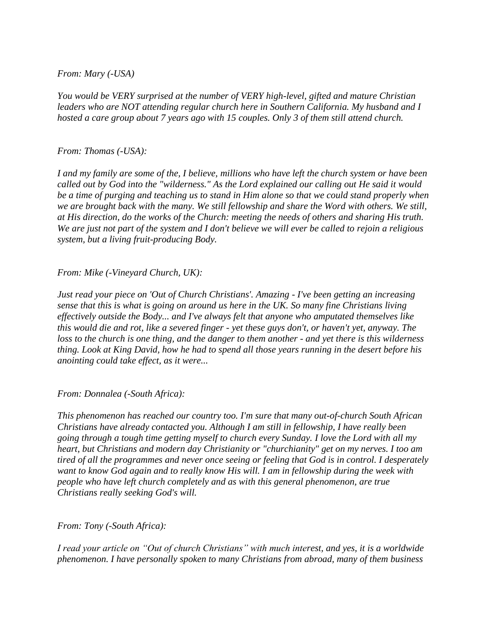### *From: Mary (-USA)*

*You would be VERY surprised at the number of VERY high-level, gifted and mature Christian leaders who are NOT attending regular church here in Southern California. My husband and I hosted a care group about 7 years ago with 15 couples. Only 3 of them still attend church.* 

### *From: Thomas (-USA):*

*I and my family are some of the, I believe, millions who have left the church system or have been called out by God into the "wilderness." As the Lord explained our calling out He said it would be a time of purging and teaching us to stand in Him alone so that we could stand properly when we are brought back with the many. We still fellowship and share the Word with others. We still, at His direction, do the works of the Church: meeting the needs of others and sharing His truth. We are just not part of the system and I don't believe we will ever be called to rejoin a religious system, but a living fruit-producing Body.* 

*From: Mike (-Vineyard Church, UK):* 

*Just read your piece on 'Out of Church Christians'. Amazing - I've been getting an increasing sense that this is what is going on around us here in the UK. So many fine Christians living effectively outside the Body... and I've always felt that anyone who amputated themselves like this would die and rot, like a severed finger - yet these guys don't, or haven't yet, anyway. The loss to the church is one thing, and the danger to them another - and yet there is this wilderness thing. Look at King David, how he had to spend all those years running in the desert before his anointing could take effect, as it were...* 

*From: Donnalea (-South Africa):* 

*This phenomenon has reached our country too. I'm sure that many out-of-church South African Christians have already contacted you. Although I am still in fellowship, I have really been going through a tough time getting myself to church every Sunday. I love the Lord with all my heart, but Christians and modern day Christianity or "churchianity" get on my nerves. I too am tired of all the programmes and never once seeing or feeling that God is in control. I desperately want to know God again and to really know His will. I am in fellowship during the week with people who have left church completely and as with this general phenomenon, are true Christians really seeking God's will.* 

*From: Tony (-South Africa):* 

*I read your article on "Out of church Christians" with much interest, and yes, it is a worldwide phenomenon. I have personally spoken to many Christians from abroad, many of them business*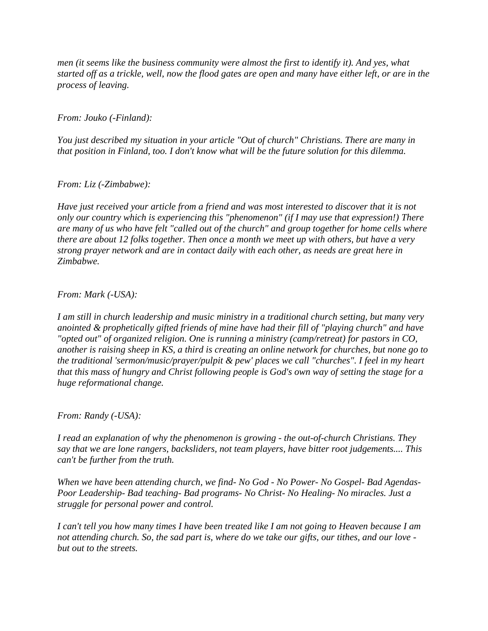*men (it seems like the business community were almost the first to identify it). And yes, what started off as a trickle, well, now the flood gates are open and many have either left, or are in the process of leaving.* 

*From: Jouko (-Finland):* 

*You just described my situation in your article "Out of church" Christians. There are many in that position in Finland, too. I don't know what will be the future solution for this dilemma.* 

*From: Liz (-Zimbabwe):* 

*Have just received your article from a friend and was most interested to discover that it is not only our country which is experiencing this "phenomenon" (if I may use that expression!) There are many of us who have felt "called out of the church" and group together for home cells where there are about 12 folks together. Then once a month we meet up with others, but have a very strong prayer network and are in contact daily with each other, as needs are great here in Zimbabwe.* 

*From: Mark (-USA):* 

*I am still in church leadership and music ministry in a traditional church setting, but many very anointed & prophetically gifted friends of mine have had their fill of "playing church" and have "opted out" of organized religion. One is running a ministry (camp/retreat) for pastors in CO, another is raising sheep in KS, a third is creating an online network for churches, but none go to the traditional 'sermon/music/prayer/pulpit & pew' places we call "churches". I feel in my heart that this mass of hungry and Christ following people is God's own way of setting the stage for a huge reformational change.* 

*From: Randy (-USA):* 

*I read an explanation of why the phenomenon is growing - the out-of-church Christians. They say that we are lone rangers, backsliders, not team players, have bitter root judgements.... This can't be further from the truth.* 

*When we have been attending church, we find- No God - No Power- No Gospel- Bad Agendas-Poor Leadership- Bad teaching- Bad programs- No Christ- No Healing- No miracles. Just a struggle for personal power and control.* 

*I can't tell you how many times I have been treated like I am not going to Heaven because I am not attending church. So, the sad part is, where do we take our gifts, our tithes, and our love but out to the streets.*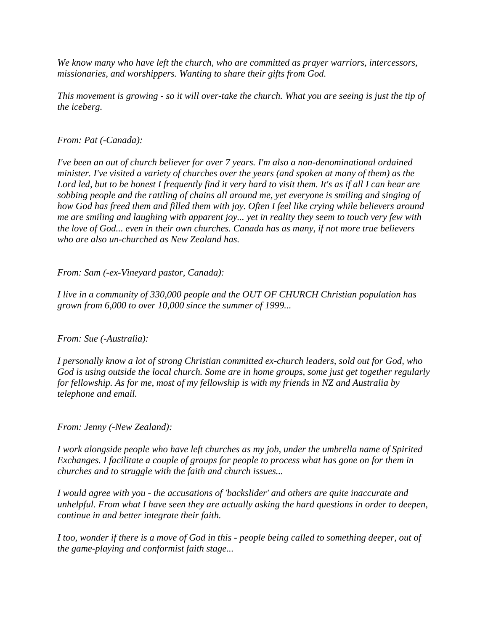*We know many who have left the church, who are committed as prayer warriors, intercessors, missionaries, and worshippers. Wanting to share their gifts from God.* 

*This movement is growing - so it will over-take the church. What you are seeing is just the tip of the iceberg.* 

### *From: Pat (-Canada):*

*I've been an out of church believer for over 7 years. I'm also a non-denominational ordained minister. I've visited a variety of churches over the years (and spoken at many of them) as the Lord led, but to be honest I frequently find it very hard to visit them. It's as if all I can hear are sobbing people and the rattling of chains all around me, yet everyone is smiling and singing of how God has freed them and filled them with joy. Often I feel like crying while believers around me are smiling and laughing with apparent joy... yet in reality they seem to touch very few with the love of God... even in their own churches. Canada has as many, if not more true believers who are also un-churched as New Zealand has.* 

*From: Sam (-ex-Vineyard pastor, Canada):* 

*I live in a community of 330,000 people and the OUT OF CHURCH Christian population has grown from 6,000 to over 10,000 since the summer of 1999...* 

*From: Sue (-Australia):* 

*I personally know a lot of strong Christian committed ex-church leaders, sold out for God, who God is using outside the local church. Some are in home groups, some just get together regularly for fellowship. As for me, most of my fellowship is with my friends in NZ and Australia by telephone and email.* 

*From: Jenny (-New Zealand):* 

*I work alongside people who have left churches as my job, under the umbrella name of Spirited Exchanges. I facilitate a couple of groups for people to process what has gone on for them in churches and to struggle with the faith and church issues...* 

*I would agree with you - the accusations of 'backslider' and others are quite inaccurate and unhelpful. From what I have seen they are actually asking the hard questions in order to deepen, continue in and better integrate their faith.* 

*I too, wonder if there is a move of God in this - people being called to something deeper, out of the game-playing and conformist faith stage...*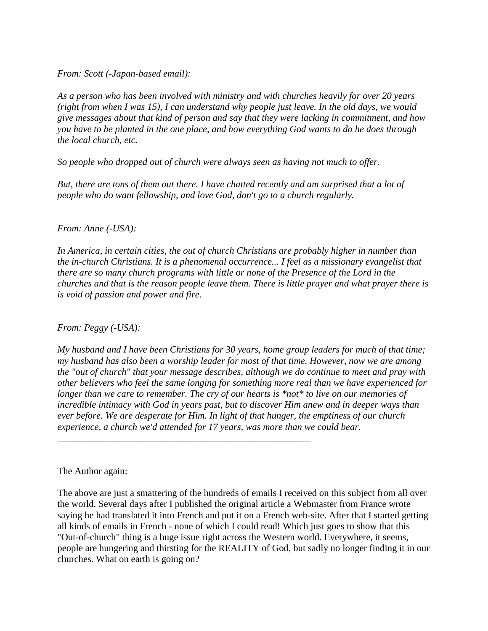*From: Scott (-Japan-based email):* 

*As a person who has been involved with ministry and with churches heavily for over 20 years (right from when I was 15), I can understand why people just leave. In the old days, we would give messages about that kind of person and say that they were lacking in commitment, and how you have to be planted in the one place, and how everything God wants to do he does through the local church, etc.* 

*So people who dropped out of church were always seen as having not much to offer.* 

*But, there are tons of them out there. I have chatted recently and am surprised that a lot of people who do want fellowship, and love God, don't go to a church regularly.* 

### *From: Anne (-USA):*

*In America, in certain cities, the out of church Christians are probably higher in number than the in-church Christians. It is a phenomenal occurrence... I feel as a missionary evangelist that there are so many church programs with little or none of the Presence of the Lord in the churches and that is the reason people leave them. There is little prayer and what prayer there is is void of passion and power and fire.* 

*From: Peggy (-USA):* 

*My husband and I have been Christians for 30 years, home group leaders for much of that time; my husband has also been a worship leader for most of that time. However, now we are among the "out of church" that your message describes, although we do continue to meet and pray with other believers who feel the same longing for something more real than we have experienced for longer than we care to remember. The cry of our hearts is \*not\* to live on our memories of incredible intimacy with God in years past, but to discover Him anew and in deeper ways than ever before. We are desperate for Him. In light of that hunger, the emptiness of our church experience, a church we'd attended for 17 years, was more than we could bear.* 

*\_\_\_\_\_\_\_\_\_\_\_\_\_\_\_\_\_\_\_\_\_\_\_\_\_\_\_\_\_\_\_\_\_\_\_\_\_\_\_\_\_\_\_\_\_\_\_\_\_\_\_\_\_* 

### The Author again:

The above are just a smattering of the hundreds of emails I received on this subject from all over the world. Several days after I published the original article a Webmaster from France wrote saying he had translated it into French and put it on a French web-site. After that I started getting all kinds of emails in French - none of which I could read! Which just goes to show that this "Out-of-church" thing is a huge issue right across the Western world. Everywhere, it seems, people are hungering and thirsting for the REALITY of God, but sadly no longer finding it in our churches. What on earth is going on?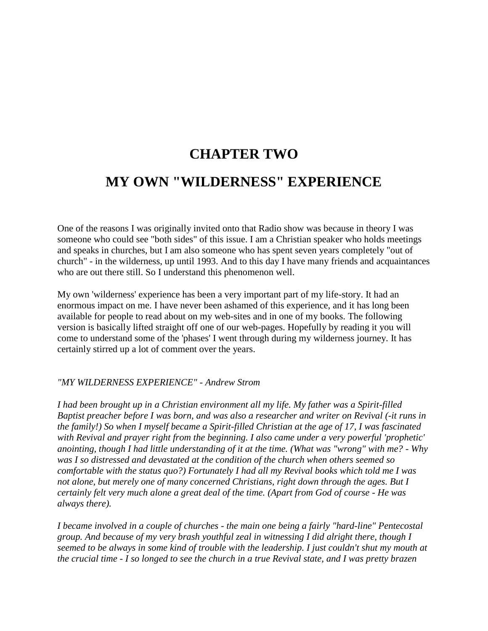## **CHAPTER TWO MY OWN "WILDERNESS" EXPERIENCE**

One of the reasons I was originally invited onto that Radio show was because in theory I was someone who could see "both sides" of this issue. I am a Christian speaker who holds meetings and speaks in churches, but I am also someone who has spent seven years completely "out of church" - in the wilderness, up until 1993. And to this day I have many friends and acquaintances who are out there still. So I understand this phenomenon well.

My own 'wilderness' experience has been a very important part of my life-story. It had an enormous impact on me. I have never been ashamed of this experience, and it has long been available for people to read about on my web-sites and in one of my books. The following version is basically lifted straight off one of our web-pages. Hopefully by reading it you will come to understand some of the 'phases' I went through during my wilderness journey. It has certainly stirred up a lot of comment over the years.

### *"MY WILDERNESS EXPERIENCE" - Andrew Strom*

*I had been brought up in a Christian environment all my life. My father was a Spirit-filled Baptist preacher before I was born, and was also a researcher and writer on Revival (-it runs in the family!) So when I myself became a Spirit-filled Christian at the age of 17, I was fascinated with Revival and prayer right from the beginning. I also came under a very powerful 'prophetic' anointing, though I had little understanding of it at the time. (What was "wrong" with me? - Why was I so distressed and devastated at the condition of the church when others seemed so comfortable with the status quo?) Fortunately I had all my Revival books which told me I was not alone, but merely one of many concerned Christians, right down through the ages. But I certainly felt very much alone a great deal of the time. (Apart from God of course - He was always there).* 

*I became involved in a couple of churches - the main one being a fairly "hard-line" Pentecostal group. And because of my very brash youthful zeal in witnessing I did alright there, though I seemed to be always in some kind of trouble with the leadership. I just couldn't shut my mouth at the crucial time - I so longed to see the church in a true Revival state, and I was pretty brazen*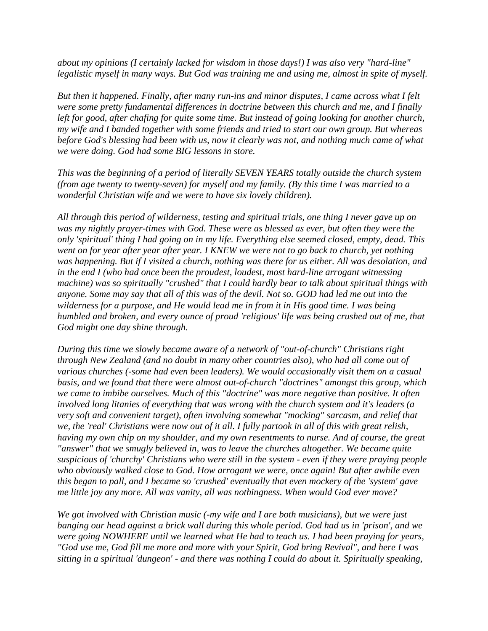*about my opinions (I certainly lacked for wisdom in those days!) I was also very "hard-line" legalistic myself in many ways. But God was training me and using me, almost in spite of myself.* 

*But then it happened. Finally, after many run-ins and minor disputes, I came across what I felt were some pretty fundamental differences in doctrine between this church and me, and I finally left for good, after chafing for quite some time. But instead of going looking for another church, my wife and I banded together with some friends and tried to start our own group. But whereas before God's blessing had been with us, now it clearly was not, and nothing much came of what we were doing. God had some BIG lessons in store.* 

*This was the beginning of a period of literally SEVEN YEARS totally outside the church system (from age twenty to twenty-seven) for myself and my family. (By this time I was married to a wonderful Christian wife and we were to have six lovely children).* 

*All through this period of wilderness, testing and spiritual trials, one thing I never gave up on was my nightly prayer-times with God. These were as blessed as ever, but often they were the only 'spiritual' thing I had going on in my life. Everything else seemed closed, empty, dead. This went on for year after year after year. I KNEW we were not to go back to church, yet nothing was happening. But if I visited a church, nothing was there for us either. All was desolation, and in the end I (who had once been the proudest, loudest, most hard-line arrogant witnessing machine) was so spiritually "crushed" that I could hardly bear to talk about spiritual things with anyone. Some may say that all of this was of the devil. Not so. GOD had led me out into the wilderness for a purpose, and He would lead me in from it in His good time. I was being humbled and broken, and every ounce of proud 'religious' life was being crushed out of me, that God might one day shine through.* 

*During this time we slowly became aware of a network of "out-of-church" Christians right through New Zealand (and no doubt in many other countries also), who had all come out of various churches (-some had even been leaders). We would occasionally visit them on a casual basis, and we found that there were almost out-of-church "doctrines" amongst this group, which we came to imbibe ourselves. Much of this "doctrine" was more negative than positive. It often involved long litanies of everything that was wrong with the church system and it's leaders (a very soft and convenient target), often involving somewhat "mocking" sarcasm, and relief that we, the 'real' Christians were now out of it all. I fully partook in all of this with great relish, having my own chip on my shoulder, and my own resentments to nurse. And of course, the great "answer" that we smugly believed in, was to leave the churches altogether. We became quite suspicious of 'churchy' Christians who were still in the system - even if they were praying people who obviously walked close to God. How arrogant we were, once again! But after awhile even this began to pall, and I became so 'crushed' eventually that even mockery of the 'system' gave me little joy any more. All was vanity, all was nothingness. When would God ever move?* 

*We got involved with Christian music (-my wife and I are both musicians), but we were just banging our head against a brick wall during this whole period. God had us in 'prison', and we were going NOWHERE until we learned what He had to teach us. I had been praying for years, "God use me, God fill me more and more with your Spirit, God bring Revival", and here I was sitting in a spiritual 'dungeon' - and there was nothing I could do about it. Spiritually speaking,*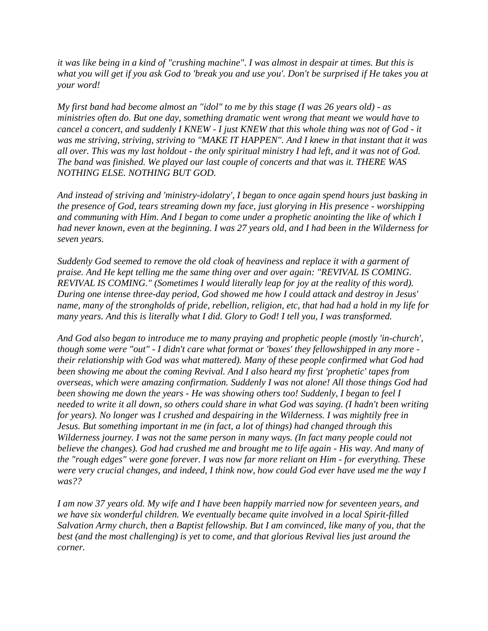*it was like being in a kind of "crushing machine". I was almost in despair at times. But this is what you will get if you ask God to 'break you and use you'. Don't be surprised if He takes you at your word!* 

*My first band had become almost an "idol" to me by this stage (I was 26 years old) - as ministries often do. But one day, something dramatic went wrong that meant we would have to cancel a concert, and suddenly I KNEW - I just KNEW that this whole thing was not of God - it was me striving, striving, striving to "MAKE IT HAPPEN". And I knew in that instant that it was all over. This was my last holdout - the only spiritual ministry I had left, and it was not of God. The band was finished. We played our last couple of concerts and that was it. THERE WAS NOTHING ELSE. NOTHING BUT GOD.* 

*And instead of striving and 'ministry-idolatry', I began to once again spend hours just basking in the presence of God, tears streaming down my face, just glorying in His presence - worshipping and communing with Him. And I began to come under a prophetic anointing the like of which I had never known, even at the beginning. I was 27 years old, and I had been in the Wilderness for seven years.* 

*Suddenly God seemed to remove the old cloak of heaviness and replace it with a garment of praise. And He kept telling me the same thing over and over again: "REVIVAL IS COMING. REVIVAL IS COMING." (Sometimes I would literally leap for joy at the reality of this word). During one intense three-day period, God showed me how I could attack and destroy in Jesus' name, many of the strongholds of pride, rebellion, religion, etc, that had had a hold in my life for many years. And this is literally what I did. Glory to God! I tell you, I was transformed.* 

*And God also began to introduce me to many praying and prophetic people (mostly 'in-church', though some were "out" - I didn't care what format or 'boxes' they fellowshipped in any more their relationship with God was what mattered). Many of these people confirmed what God had been showing me about the coming Revival. And I also heard my first 'prophetic' tapes from overseas, which were amazing confirmation. Suddenly I was not alone! All those things God had been showing me down the years - He was showing others too! Suddenly, I began to feel I needed to write it all down, so others could share in what God was saying. (I hadn't been writing for years). No longer was I crushed and despairing in the Wilderness. I was mightily free in Jesus. But something important in me (in fact, a lot of things) had changed through this Wilderness journey. I was not the same person in many ways. (In fact many people could not believe the changes). God had crushed me and brought me to life again - His way. And many of the "rough edges" were gone forever. I was now far more reliant on Him - for everything. These were very crucial changes, and indeed, I think now, how could God ever have used me the way I was??* 

*I am now 37 years old. My wife and I have been happily married now for seventeen years, and we have six wonderful children. We eventually became quite involved in a local Spirit-filled Salvation Army church, then a Baptist fellowship. But I am convinced, like many of you, that the best (and the most challenging) is yet to come, and that glorious Revival lies just around the corner.*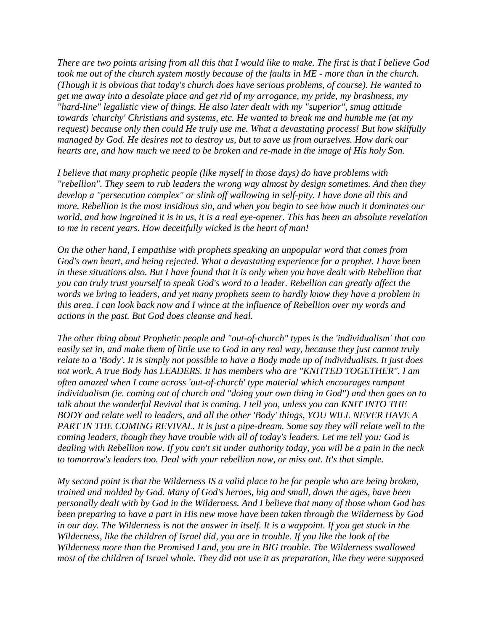*There are two points arising from all this that I would like to make. The first is that I believe God took me out of the church system mostly because of the faults in ME - more than in the church. (Though it is obvious that today's church does have serious problems, of course). He wanted to get me away into a desolate place and get rid of my arrogance, my pride, my brashness, my "hard-line" legalistic view of things. He also later dealt with my "superior", smug attitude towards 'churchy' Christians and systems, etc. He wanted to break me and humble me (at my request) because only then could He truly use me. What a devastating process! But how skilfully managed by God. He desires not to destroy us, but to save us from ourselves. How dark our hearts are, and how much we need to be broken and re-made in the image of His holy Son.* 

*I believe that many prophetic people (like myself in those days) do have problems with "rebellion". They seem to rub leaders the wrong way almost by design sometimes. And then they develop a "persecution complex" or slink off wallowing in self-pity. I have done all this and more. Rebellion is the most insidious sin, and when you begin to see how much it dominates our world, and how ingrained it is in us, it is a real eye-opener. This has been an absolute revelation to me in recent years. How deceitfully wicked is the heart of man!* 

*On the other hand, I empathise with prophets speaking an unpopular word that comes from God's own heart, and being rejected. What a devastating experience for a prophet. I have been in these situations also. But I have found that it is only when you have dealt with Rebellion that you can truly trust yourself to speak God's word to a leader. Rebellion can greatly affect the words we bring to leaders, and yet many prophets seem to hardly know they have a problem in this area. I can look back now and I wince at the influence of Rebellion over my words and actions in the past. But God does cleanse and heal.* 

*The other thing about Prophetic people and "out-of-church" types is the 'individualism' that can easily set in, and make them of little use to God in any real way, because they just cannot truly relate to a 'Body'. It is simply not possible to have a Body made up of individualists. It just does not work. A true Body has LEADERS. It has members who are "KNITTED TOGETHER". I am often amazed when I come across 'out-of-church' type material which encourages rampant individualism (ie. coming out of church and "doing your own thing in God") and then goes on to talk about the wonderful Revival that is coming. I tell you, unless you can KNIT INTO THE BODY and relate well to leaders, and all the other 'Body' things, YOU WILL NEVER HAVE A PART IN THE COMING REVIVAL. It is just a pipe-dream. Some say they will relate well to the coming leaders, though they have trouble with all of today's leaders. Let me tell you: God is dealing with Rebellion now. If you can't sit under authority today, you will be a pain in the neck to tomorrow's leaders too. Deal with your rebellion now, or miss out. It's that simple.* 

*My second point is that the Wilderness IS a valid place to be for people who are being broken, trained and molded by God. Many of God's heroes, big and small, down the ages, have been personally dealt with by God in the Wilderness. And I believe that many of those whom God has been preparing to have a part in His new move have been taken through the Wilderness by God in our day. The Wilderness is not the answer in itself. It is a waypoint. If you get stuck in the Wilderness, like the children of Israel did, you are in trouble. If you like the look of the Wilderness more than the Promised Land, you are in BIG trouble. The Wilderness swallowed most of the children of Israel whole. They did not use it as preparation, like they were supposed*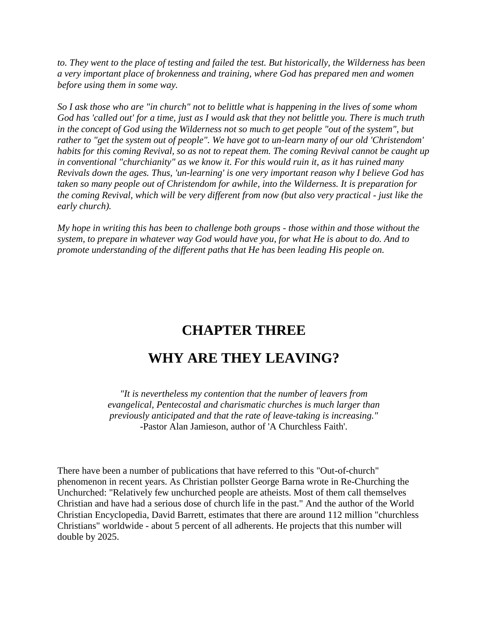*to. They went to the place of testing and failed the test. But historically, the Wilderness has been a very important place of brokenness and training, where God has prepared men and women before using them in some way.* 

*So I ask those who are "in church" not to belittle what is happening in the lives of some whom God has 'called out' for a time, just as I would ask that they not belittle you. There is much truth in the concept of God using the Wilderness not so much to get people "out of the system", but rather to "get the system out of people". We have got to un-learn many of our old 'Christendom' habits for this coming Revival, so as not to repeat them. The coming Revival cannot be caught up in conventional "churchianity" as we know it. For this would ruin it, as it has ruined many Revivals down the ages. Thus, 'un-learning' is one very important reason why I believe God has taken so many people out of Christendom for awhile, into the Wilderness. It is preparation for the coming Revival, which will be very different from now (but also very practical - just like the early church).* 

*My hope in writing this has been to challenge both groups - those within and those without the system, to prepare in whatever way God would have you, for what He is about to do. And to promote understanding of the different paths that He has been leading His people on.*

## **CHAPTER THREE**

## **WHY ARE THEY LEAVING?**

*"It is nevertheless my contention that the number of leavers from evangelical, Pentecostal and charismatic churches is much larger than previously anticipated and that the rate of leave-taking is increasing."* -Pastor Alan Jamieson, author of 'A Churchless Faith'.

There have been a number of publications that have referred to this "Out-of-church" phenomenon in recent years. As Christian pollster George Barna wrote in Re-Churching the Unchurched: "Relatively few unchurched people are atheists. Most of them call themselves Christian and have had a serious dose of church life in the past." And the author of the World Christian Encyclopedia, David Barrett, estimates that there are around 112 million "churchless Christians" worldwide - about 5 percent of all adherents. He projects that this number will double by 2025.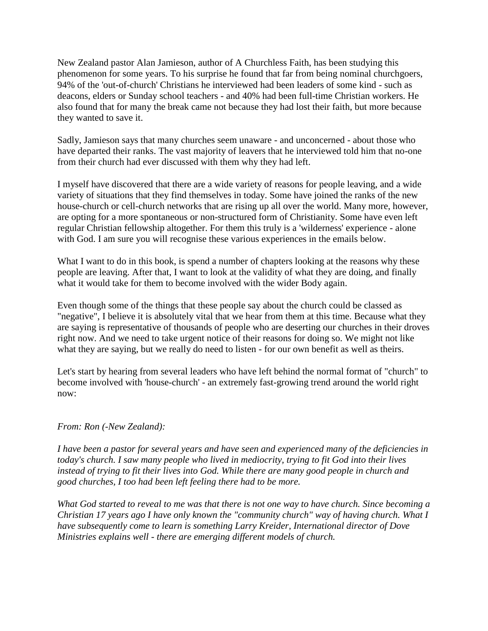New Zealand pastor Alan Jamieson, author of A Churchless Faith, has been studying this phenomenon for some years. To his surprise he found that far from being nominal churchgoers, 94% of the 'out-of-church' Christians he interviewed had been leaders of some kind - such as deacons, elders or Sunday school teachers - and 40% had been full-time Christian workers. He also found that for many the break came not because they had lost their faith, but more because they wanted to save it.

Sadly, Jamieson says that many churches seem unaware - and unconcerned - about those who have departed their ranks. The vast majority of leavers that he interviewed told him that no-one from their church had ever discussed with them why they had left.

I myself have discovered that there are a wide variety of reasons for people leaving, and a wide variety of situations that they find themselves in today. Some have joined the ranks of the new house-church or cell-church networks that are rising up all over the world. Many more, however, are opting for a more spontaneous or non-structured form of Christianity. Some have even left regular Christian fellowship altogether. For them this truly is a 'wilderness' experience - alone with God. I am sure you will recognise these various experiences in the emails below.

What I want to do in this book, is spend a number of chapters looking at the reasons why these people are leaving. After that, I want to look at the validity of what they are doing, and finally what it would take for them to become involved with the wider Body again.

Even though some of the things that these people say about the church could be classed as "negative", I believe it is absolutely vital that we hear from them at this time. Because what they are saying is representative of thousands of people who are deserting our churches in their droves right now. And we need to take urgent notice of their reasons for doing so. We might not like what they are saying, but we really do need to listen - for our own benefit as well as theirs.

Let's start by hearing from several leaders who have left behind the normal format of "church" to become involved with 'house-church' - an extremely fast-growing trend around the world right now:

### *From: Ron (-New Zealand):*

*I have been a pastor for several years and have seen and experienced many of the deficiencies in today's church. I saw many people who lived in mediocrity, trying to fit God into their lives instead of trying to fit their lives into God. While there are many good people in church and good churches, I too had been left feeling there had to be more.* 

*What God started to reveal to me was that there is not one way to have church. Since becoming a Christian 17 years ago I have only known the "community church" way of having church. What I have subsequently come to learn is something Larry Kreider, International director of Dove Ministries explains well - there are emerging different models of church.*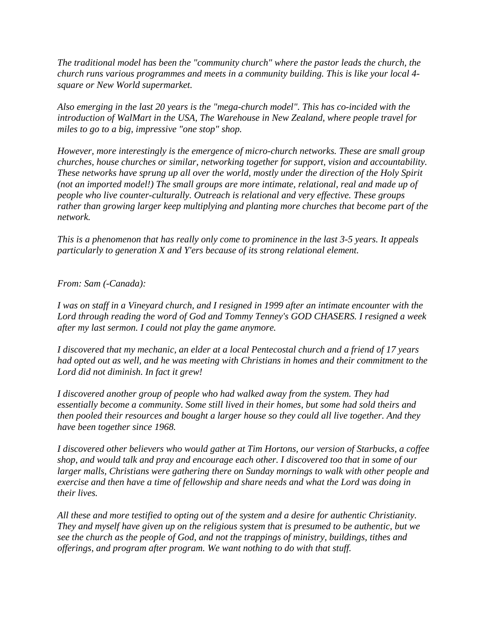*The traditional model has been the "community church" where the pastor leads the church, the church runs various programmes and meets in a community building. This is like your local 4 square or New World supermarket.* 

*Also emerging in the last 20 years is the "mega-church model". This has co-incided with the introduction of WalMart in the USA, The Warehouse in New Zealand, where people travel for miles to go to a big, impressive "one stop" shop.* 

*However, more interestingly is the emergence of micro-church networks. These are small group churches, house churches or similar, networking together for support, vision and accountability. These networks have sprung up all over the world, mostly under the direction of the Holy Spirit (not an imported model!) The small groups are more intimate, relational, real and made up of people who live counter-culturally. Outreach is relational and very effective. These groups rather than growing larger keep multiplying and planting more churches that become part of the network.* 

*This is a phenomenon that has really only come to prominence in the last 3-5 years. It appeals particularly to generation X and Y'ers because of its strong relational element.* 

*From: Sam (-Canada):* 

*I was on staff in a Vineyard church, and I resigned in 1999 after an intimate encounter with the Lord through reading the word of God and Tommy Tenney's GOD CHASERS. I resigned a week after my last sermon. I could not play the game anymore.* 

*I discovered that my mechanic, an elder at a local Pentecostal church and a friend of 17 years had opted out as well, and he was meeting with Christians in homes and their commitment to the Lord did not diminish. In fact it grew!* 

*I discovered another group of people who had walked away from the system. They had essentially become a community. Some still lived in their homes, but some had sold theirs and then pooled their resources and bought a larger house so they could all live together. And they have been together since 1968.* 

*I discovered other believers who would gather at Tim Hortons, our version of Starbucks, a coffee shop, and would talk and pray and encourage each other. I discovered too that in some of our larger malls, Christians were gathering there on Sunday mornings to walk with other people and exercise and then have a time of fellowship and share needs and what the Lord was doing in their lives.* 

*All these and more testified to opting out of the system and a desire for authentic Christianity. They and myself have given up on the religious system that is presumed to be authentic, but we see the church as the people of God, and not the trappings of ministry, buildings, tithes and offerings, and program after program. We want nothing to do with that stuff.*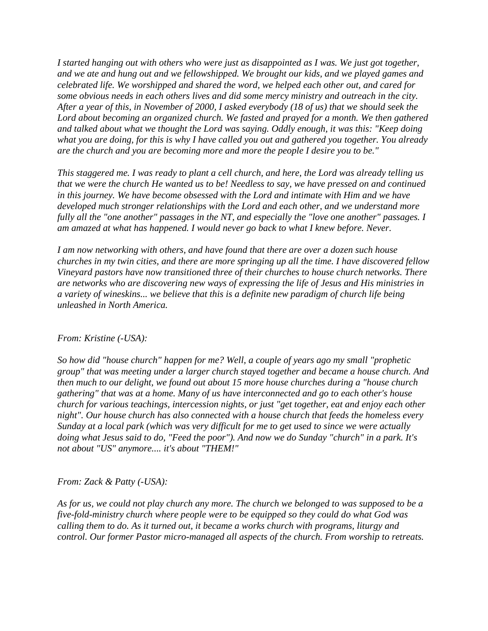*I started hanging out with others who were just as disappointed as I was. We just got together, and we ate and hung out and we fellowshipped. We brought our kids, and we played games and celebrated life. We worshipped and shared the word, we helped each other out, and cared for some obvious needs in each others lives and did some mercy ministry and outreach in the city. After a year of this, in November of 2000, I asked everybody (18 of us) that we should seek the Lord about becoming an organized church. We fasted and prayed for a month. We then gathered and talked about what we thought the Lord was saying. Oddly enough, it was this: "Keep doing what you are doing, for this is why I have called you out and gathered you together. You already are the church and you are becoming more and more the people I desire you to be."* 

*This staggered me. I was ready to plant a cell church, and here, the Lord was already telling us that we were the church He wanted us to be! Needless to say, we have pressed on and continued in this journey. We have become obsessed with the Lord and intimate with Him and we have developed much stronger relationships with the Lord and each other, and we understand more fully all the "one another" passages in the NT, and especially the "love one another" passages. I am amazed at what has happened. I would never go back to what I knew before. Never.* 

*I am now networking with others, and have found that there are over a dozen such house churches in my twin cities, and there are more springing up all the time. I have discovered fellow Vineyard pastors have now transitioned three of their churches to house church networks. There are networks who are discovering new ways of expressing the life of Jesus and His ministries in a variety of wineskins... we believe that this is a definite new paradigm of church life being unleashed in North America.* 

### *From: Kristine (-USA):*

*So how did "house church" happen for me? Well, a couple of years ago my small "prophetic group" that was meeting under a larger church stayed together and became a house church. And then much to our delight, we found out about 15 more house churches during a "house church gathering" that was at a home. Many of us have interconnected and go to each other's house church for various teachings, intercession nights, or just "get together, eat and enjoy each other night". Our house church has also connected with a house church that feeds the homeless every Sunday at a local park (which was very difficult for me to get used to since we were actually doing what Jesus said to do, "Feed the poor"). And now we do Sunday "church" in a park. It's not about "US" anymore.... it's about "THEM!"* 

### *From: Zack & Patty (-USA):*

*As for us, we could not play church any more. The church we belonged to was supposed to be a five-fold-ministry church where people were to be equipped so they could do what God was calling them to do. As it turned out, it became a works church with programs, liturgy and control. Our former Pastor micro-managed all aspects of the church. From worship to retreats.*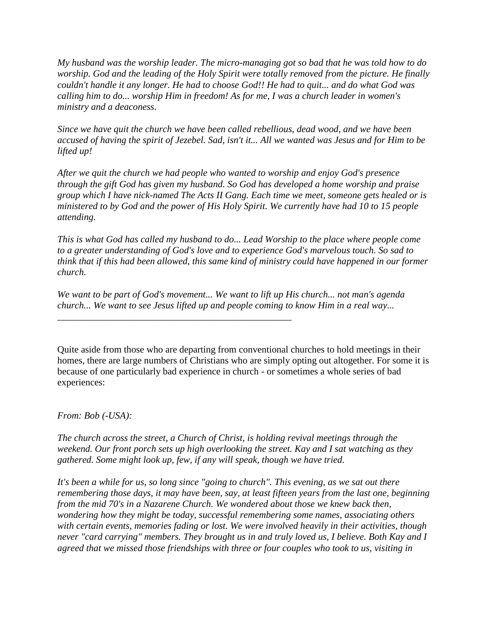*My husband was the worship leader. The micro-managing got so bad that he was told how to do worship. God and the leading of the Holy Spirit were totally removed from the picture. He finally couldn't handle it any longer. He had to choose God!! He had to quit... and do what God was calling him to do... worship Him in freedom! As for me, I was a church leader in women's ministry and a deaconess.* 

*Since we have quit the church we have been called rebellious, dead wood, and we have been accused of having the spirit of Jezebel. Sad, isn't it... All we wanted was Jesus and for Him to be lifted up!* 

*After we quit the church we had people who wanted to worship and enjoy God's presence through the gift God has given my husband. So God has developed a home worship and praise group which I have nick-named The Acts II Gang. Each time we meet, someone gets healed or is ministered to by God and the power of His Holy Spirit. We currently have had 10 to 15 people attending.* 

*This is what God has called my husband to do... Lead Worship to the place where people come to a greater understanding of God's love and to experience God's marvelous touch. So sad to think that if this had been allowed, this same kind of ministry could have happened in our former church.* 

*We want to be part of God's movement... We want to lift up His church... not man's agenda church... We want to see Jesus lifted up and people coming to know Him in a real way...* 

*\_\_\_\_\_\_\_\_\_\_\_\_\_\_\_\_\_\_\_\_\_\_\_\_\_\_\_\_\_\_\_\_\_\_\_\_\_\_\_\_\_\_\_\_\_\_\_\_\_* 

Quite aside from those who are departing from conventional churches to hold meetings in their homes, there are large numbers of Christians who are simply opting out altogether. For some it is because of one particularly bad experience in church - or sometimes a whole series of bad experiences:

*From: Bob (-USA):* 

*The church across the street, a Church of Christ, is holding revival meetings through the weekend. Our front porch sets up high overlooking the street. Kay and I sat watching as they gathered. Some might look up, few, if any will speak, though we have tried.* 

*It's been a while for us, so long since "going to church". This evening, as we sat out there remembering those days, it may have been, say, at least fifteen years from the last one, beginning from the mid 70's in a Nazarene Church. We wondered about those we knew back then, wondering how they might be today, successful remembering some names, associating others with certain events, memories fading or lost. We were involved heavily in their activities, though never "card carrying" members. They brought us in and truly loved us, I believe. Both Kay and I agreed that we missed those friendships with three or four couples who took to us, visiting in*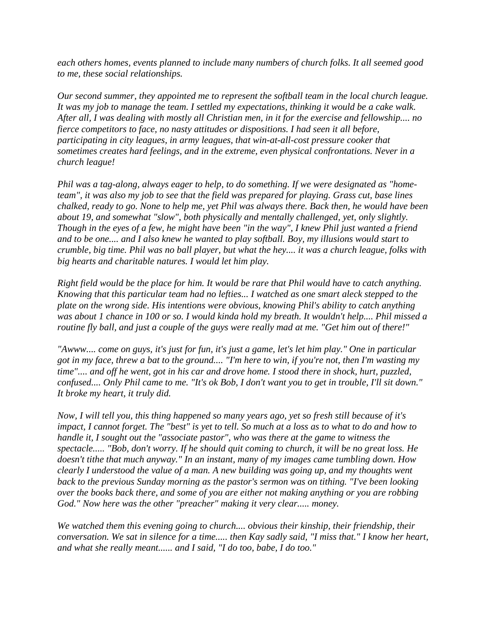*each others homes, events planned to include many numbers of church folks. It all seemed good to me, these social relationships.* 

*Our second summer, they appointed me to represent the softball team in the local church league. It was my job to manage the team. I settled my expectations, thinking it would be a cake walk. After all, I was dealing with mostly all Christian men, in it for the exercise and fellowship.... no fierce competitors to face, no nasty attitudes or dispositions. I had seen it all before, participating in city leagues, in army leagues, that win-at-all-cost pressure cooker that sometimes creates hard feelings, and in the extreme, even physical confrontations. Never in a church league!* 

*Phil was a tag-along, always eager to help, to do something. If we were designated as "hometeam", it was also my job to see that the field was prepared for playing. Grass cut, base lines chalked, ready to go. None to help me, yet Phil was always there. Back then, he would have been about 19, and somewhat "slow", both physically and mentally challenged, yet, only slightly. Though in the eyes of a few, he might have been "in the way", I knew Phil just wanted a friend and to be one.... and I also knew he wanted to play softball. Boy, my illusions would start to crumble, big time. Phil was no ball player, but what the hey.... it was a church league, folks with big hearts and charitable natures. I would let him play.* 

*Right field would be the place for him. It would be rare that Phil would have to catch anything. Knowing that this particular team had no lefties... I watched as one smart aleck stepped to the plate on the wrong side. His intentions were obvious, knowing Phil's ability to catch anything was about 1 chance in 100 or so. I would kinda hold my breath. It wouldn't help.... Phil missed a routine fly ball, and just a couple of the guys were really mad at me. "Get him out of there!"* 

*"Awww.... come on guys, it's just for fun, it's just a game, let's let him play." One in particular got in my face, threw a bat to the ground.... "I'm here to win, if you're not, then I'm wasting my time".... and off he went, got in his car and drove home. I stood there in shock, hurt, puzzled, confused.... Only Phil came to me. "It's ok Bob, I don't want you to get in trouble, I'll sit down." It broke my heart, it truly did.* 

*Now, I will tell you, this thing happened so many years ago, yet so fresh still because of it's impact, I cannot forget. The "best" is yet to tell. So much at a loss as to what to do and how to handle it, I sought out the "associate pastor", who was there at the game to witness the spectacle..... "Bob, don't worry. If he should quit coming to church, it will be no great loss. He doesn't tithe that much anyway." In an instant, many of my images came tumbling down. How clearly I understood the value of a man. A new building was going up, and my thoughts went back to the previous Sunday morning as the pastor's sermon was on tithing. "I've been looking over the books back there, and some of you are either not making anything or you are robbing God." Now here was the other "preacher" making it very clear..... money.* 

*We watched them this evening going to church.... obvious their kinship, their friendship, their conversation. We sat in silence for a time..... then Kay sadly said, "I miss that." I know her heart, and what she really meant...... and I said, "I do too, babe, I do too."*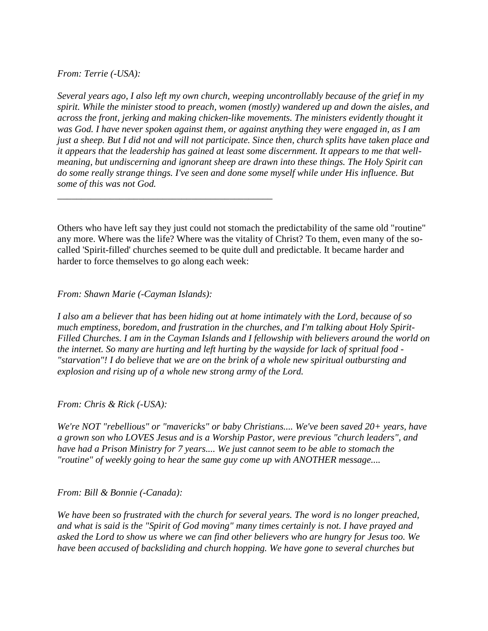### *From: Terrie (-USA):*

*Several years ago, I also left my own church, weeping uncontrollably because of the grief in my spirit. While the minister stood to preach, women (mostly) wandered up and down the aisles, and across the front, jerking and making chicken-like movements. The ministers evidently thought it was God. I have never spoken against them, or against anything they were engaged in, as I am just a sheep. But I did not and will not participate. Since then, church splits have taken place and it appears that the leadership has gained at least some discernment. It appears to me that wellmeaning, but undiscerning and ignorant sheep are drawn into these things. The Holy Spirit can do some really strange things. I've seen and done some myself while under His influence. But some of this was not God.* 

Others who have left say they just could not stomach the predictability of the same old "routine" any more. Where was the life? Where was the vitality of Christ? To them, even many of the socalled 'Spirit-filled' churches seemed to be quite dull and predictable. It became harder and harder to force themselves to go along each week:

*From: Shawn Marie (-Cayman Islands):* 

*\_\_\_\_\_\_\_\_\_\_\_\_\_\_\_\_\_\_\_\_\_\_\_\_\_\_\_\_\_\_\_\_\_\_\_\_\_\_\_\_\_\_\_\_\_* 

*I also am a believer that has been hiding out at home intimately with the Lord, because of so much emptiness, boredom, and frustration in the churches, and I'm talking about Holy Spirit-Filled Churches. I am in the Cayman Islands and I fellowship with believers around the world on the internet. So many are hurting and left hurting by the wayside for lack of spritual food - "starvation"! I do believe that we are on the brink of a whole new spiritual outbursting and explosion and rising up of a whole new strong army of the Lord.* 

*From: Chris & Rick (-USA):* 

*We're NOT "rebellious" or "mavericks" or baby Christians.... We've been saved 20+ years, have a grown son who LOVES Jesus and is a Worship Pastor, were previous "church leaders", and have had a Prison Ministry for 7 years.... We just cannot seem to be able to stomach the "routine" of weekly going to hear the same guy come up with ANOTHER message....* 

*From: Bill & Bonnie (-Canada):* 

*We have been so frustrated with the church for several years. The word is no longer preached, and what is said is the "Spirit of God moving" many times certainly is not. I have prayed and asked the Lord to show us where we can find other believers who are hungry for Jesus too. We have been accused of backsliding and church hopping. We have gone to several churches but*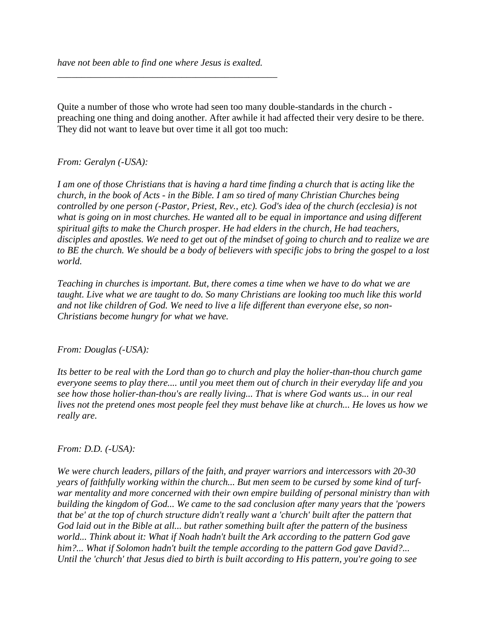*\_\_\_\_\_\_\_\_\_\_\_\_\_\_\_\_\_\_\_\_\_\_\_\_\_\_\_\_\_\_\_\_\_\_\_\_\_\_\_\_\_\_\_\_\_\_* 

Quite a number of those who wrote had seen too many double-standards in the church preaching one thing and doing another. After awhile it had affected their very desire to be there. They did not want to leave but over time it all got too much:

### *From: Geralyn (-USA):*

*I am one of those Christians that is having a hard time finding a church that is acting like the church, in the book of Acts - in the Bible. I am so tired of many Christian Churches being controlled by one person (-Pastor, Priest, Rev., etc). God's idea of the church (ecclesia) is not what is going on in most churches. He wanted all to be equal in importance and using different spiritual gifts to make the Church prosper. He had elders in the church, He had teachers, disciples and apostles. We need to get out of the mindset of going to church and to realize we are to BE the church. We should be a body of believers with specific jobs to bring the gospel to a lost world.* 

*Teaching in churches is important. But, there comes a time when we have to do what we are taught. Live what we are taught to do. So many Christians are looking too much like this world and not like children of God. We need to live a life different than everyone else, so non-Christians become hungry for what we have.* 

### *From: Douglas (-USA):*

*Its better to be real with the Lord than go to church and play the holier-than-thou church game everyone seems to play there.... until you meet them out of church in their everyday life and you see how those holier-than-thou's are really living... That is where God wants us... in our real lives not the pretend ones most people feel they must behave like at church... He loves us how we really are.* 

### *From: D.D. (-USA):*

*We were church leaders, pillars of the faith, and prayer warriors and intercessors with 20-30 years of faithfully working within the church... But men seem to be cursed by some kind of turfwar mentality and more concerned with their own empire building of personal ministry than with building the kingdom of God... We came to the sad conclusion after many years that the 'powers that be' at the top of church structure didn't really want a 'church' built after the pattern that God laid out in the Bible at all... but rather something built after the pattern of the business world... Think about it: What if Noah hadn't built the Ark according to the pattern God gave him?... What if Solomon hadn't built the temple according to the pattern God gave David?... Until the 'church' that Jesus died to birth is built according to His pattern, you're going to see*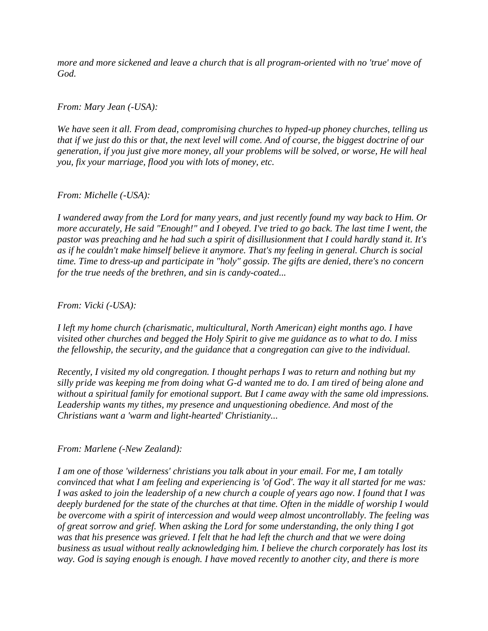*more and more sickened and leave a church that is all program-oriented with no 'true' move of God.* 

*From: Mary Jean (-USA):* 

*We have seen it all. From dead, compromising churches to hyped-up phoney churches, telling us that if we just do this or that, the next level will come. And of course, the biggest doctrine of our generation, if you just give more money, all your problems will be solved, or worse, He will heal you, fix your marriage, flood you with lots of money, etc.* 

### *From: Michelle (-USA):*

*I wandered away from the Lord for many years, and just recently found my way back to Him. Or more accurately, He said "Enough!" and I obeyed. I've tried to go back. The last time I went, the pastor was preaching and he had such a spirit of disillusionment that I could hardly stand it. It's as if he couldn't make himself believe it anymore. That's my feeling in general. Church is social time. Time to dress-up and participate in "holy" gossip. The gifts are denied, there's no concern for the true needs of the brethren, and sin is candy-coated...* 

*From: Vicki (-USA):* 

*I left my home church (charismatic, multicultural, North American) eight months ago. I have visited other churches and begged the Holy Spirit to give me guidance as to what to do. I miss the fellowship, the security, and the guidance that a congregation can give to the individual.* 

*Recently, I visited my old congregation. I thought perhaps I was to return and nothing but my silly pride was keeping me from doing what G-d wanted me to do. I am tired of being alone and without a spiritual family for emotional support. But I came away with the same old impressions. Leadership wants my tithes, my presence and unquestioning obedience. And most of the Christians want a 'warm and light-hearted' Christianity...* 

*From: Marlene (-New Zealand):* 

*I am one of those 'wilderness' christians you talk about in your email. For me, I am totally convinced that what I am feeling and experiencing is 'of God'. The way it all started for me was: I was asked to join the leadership of a new church a couple of years ago now. I found that I was deeply burdened for the state of the churches at that time. Often in the middle of worship I would be overcome with a spirit of intercession and would weep almost uncontrollably. The feeling was of great sorrow and grief. When asking the Lord for some understanding, the only thing I got was that his presence was grieved. I felt that he had left the church and that we were doing business as usual without really acknowledging him. I believe the church corporately has lost its way. God is saying enough is enough. I have moved recently to another city, and there is more*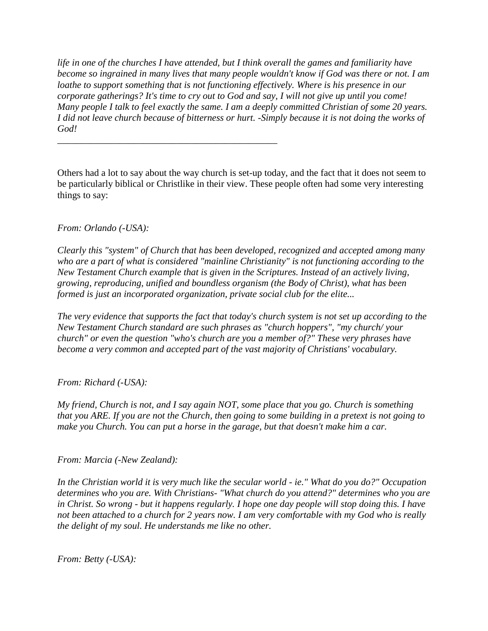*life in one of the churches I have attended, but I think overall the games and familiarity have become so ingrained in many lives that many people wouldn't know if God was there or not. I am loathe to support something that is not functioning effectively. Where is his presence in our corporate gatherings? It's time to cry out to God and say, I will not give up until you come! Many people I talk to feel exactly the same. I am a deeply committed Christian of some 20 years. I did not leave church because of bitterness or hurt. -Simply because it is not doing the works of God!* 

Others had a lot to say about the way church is set-up today, and the fact that it does not seem to be particularly biblical or Christlike in their view. These people often had some very interesting things to say:

*\_\_\_\_\_\_\_\_\_\_\_\_\_\_\_\_\_\_\_\_\_\_\_\_\_\_\_\_\_\_\_\_\_\_\_\_\_\_\_\_\_\_\_\_\_\_* 

### *From: Orlando (-USA):*

*Clearly this "system" of Church that has been developed, recognized and accepted among many who are a part of what is considered "mainline Christianity" is not functioning according to the New Testament Church example that is given in the Scriptures. Instead of an actively living, growing, reproducing, unified and boundless organism (the Body of Christ), what has been formed is just an incorporated organization, private social club for the elite...* 

*The very evidence that supports the fact that today's church system is not set up according to the New Testament Church standard are such phrases as "church hoppers", "my church/ your church" or even the question "who's church are you a member of?" These very phrases have become a very common and accepted part of the vast majority of Christians' vocabulary.* 

### *From: Richard (-USA):*

*My friend, Church is not, and I say again NOT, some place that you go. Church is something that you ARE. If you are not the Church, then going to some building in a pretext is not going to make you Church. You can put a horse in the garage, but that doesn't make him a car.* 

*From: Marcia (-New Zealand):* 

*In the Christian world it is very much like the secular world - ie." What do you do?" Occupation determines who you are. With Christians- "What church do you attend?" determines who you are in Christ. So wrong - but it happens regularly. I hope one day people will stop doing this. I have not been attached to a church for 2 years now. I am very comfortable with my God who is really the delight of my soul. He understands me like no other.* 

*From: Betty (-USA):*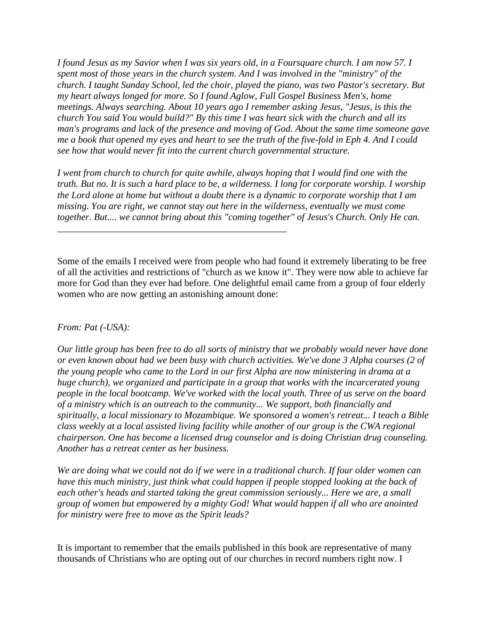*I found Jesus as my Savior when I was six years old, in a Foursquare church. I am now 57. I spent most of those years in the church system. And I was involved in the "ministry" of the church. I taught Sunday School, led the choir, played the piano, was two Pastor's secretary. But my heart always longed for more. So I found Aglow, Full Gospel Business Men's, home meetings. Always searching. About 10 years ago I remember asking Jesus, "Jesus, is this the church You said You would build?" By this time I was heart sick with the church and all its man's programs and lack of the presence and moving of God. About the same time someone gave me a book that opened my eyes and heart to see the truth of the five-fold in Eph 4. And I could see how that would never fit into the current church governmental structure.* 

*I went from church to church for quite awhile, always hoping that I would find one with the truth. But no. It is such a hard place to be, a wilderness. I long for corporate worship. I worship the Lord alone at home but without a doubt there is a dynamic to corporate worship that I am missing. You are right, we cannot stay out here in the wilderness, eventually we must come together. But.... we cannot bring about this "coming together" of Jesus's Church. Only He can.* 

*\_\_\_\_\_\_\_\_\_\_\_\_\_\_\_\_\_\_\_\_\_\_\_\_\_\_\_\_\_\_\_\_\_\_\_\_\_\_\_\_\_\_\_\_\_\_\_\_* 

Some of the emails I received were from people who had found it extremely liberating to be free of all the activities and restrictions of "church as we know it". They were now able to achieve far more for God than they ever had before. One delightful email came from a group of four elderly women who are now getting an astonishing amount done:

### *From: Pat (-USA):*

*Our little group has been free to do all sorts of ministry that we probably would never have done or even known about had we been busy with church activities. We've done 3 Alpha courses (2 of the young people who came to the Lord in our first Alpha are now ministering in drama at a huge church), we organized and participate in a group that works with the incarcerated young people in the local bootcamp. We've worked with the local youth. Three of us serve on the board of a ministry which is an outreach to the community... We support, both financially and spiritually, a local missionary to Mozambique. We sponsored a women's retreat... I teach a Bible class weekly at a local assisted living facility while another of our group is the CWA regional chairperson. One has become a licensed drug counselor and is doing Christian drug counseling. Another has a retreat center as her business.* 

*We are doing what we could not do if we were in a traditional church. If four older women can have this much ministry, just think what could happen if people stopped looking at the back of each other's heads and started taking the great commission seriously... Here we are, a small group of women but empowered by a mighty God! What would happen if all who are anointed for ministry were free to move as the Spirit leads?* 

It is important to remember that the emails published in this book are representative of many thousands of Christians who are opting out of our churches in record numbers right now. I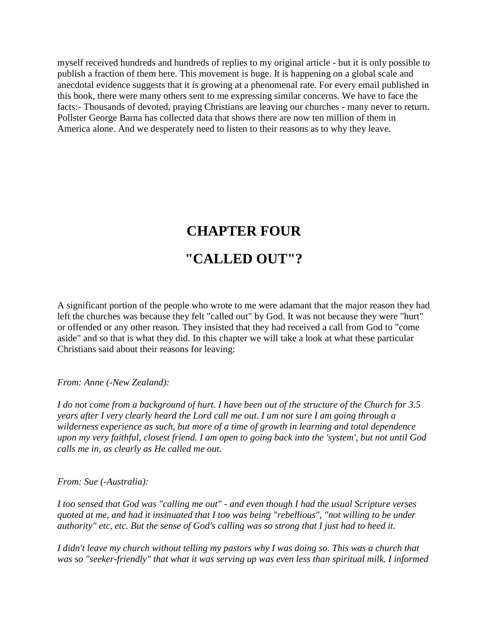myself received hundreds and hundreds of replies to my original article - but it is only possible to publish a fraction of them here. This movement is huge. It is happening on a global scale and anecdotal evidence suggests that it is growing at a phenomenal rate. For every email published in this book, there were many others sent to me expressing similar concerns. We have to face the facts:- Thousands of devoted, praying Christians are leaving our churches - many never to return. Pollster George Barna has collected data that shows there are now ten million of them in America alone. And we desperately need to listen to their reasons as to why they leave.

## **CHAPTER FOUR "CALLED OUT"?**

A significant portion of the people who wrote to me were adamant that the major reason they had left the churches was because they felt "called out" by God. It was not because they were "hurt" or offended or any other reason. They insisted that they had received a call from God to "come aside" and so that is what they did. In this chapter we will take a look at what these particular Christians said about their reasons for leaving:

*From: Anne (-New Zealand):* 

*I do not come from a background of hurt. I have been out of the structure of the Church for 3.5 years after I very clearly heard the Lord call me out. I am not sure I am going through a wilderness experience as such, but more of a time of growth in learning and total dependence upon my very faithful, closest friend. I am open to going back into the 'system', but not until God calls me in, as clearly as He called me out.* 

### *From: Sue (-Australia):*

*I too sensed that God was "calling me out" - and even though I had the usual Scripture verses quoted at me, and had it insinuated that I too was being "rebellious", "not willing to be under authority" etc, etc. But the sense of God's calling was so strong that I just had to heed it.* 

*I didn't leave my church without telling my pastors why I was doing so. This was a church that was so "seeker-friendly" that what it was serving up was even less than spiritual milk. I informed*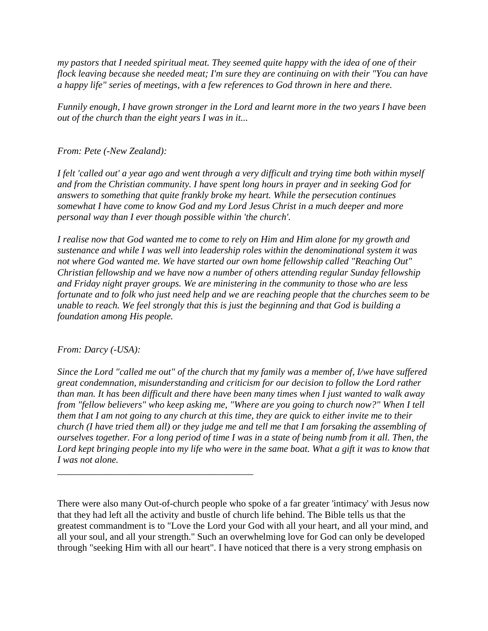*my pastors that I needed spiritual meat. They seemed quite happy with the idea of one of their flock leaving because she needed meat; I'm sure they are continuing on with their "You can have a happy life" series of meetings, with a few references to God thrown in here and there.* 

*Funnily enough, I have grown stronger in the Lord and learnt more in the two years I have been out of the church than the eight years I was in it...* 

*From: Pete (-New Zealand):* 

*I felt 'called out' a year ago and went through a very difficult and trying time both within myself and from the Christian community. I have spent long hours in prayer and in seeking God for answers to something that quite frankly broke my heart. While the persecution continues somewhat I have come to know God and my Lord Jesus Christ in a much deeper and more personal way than I ever though possible within 'the church'.* 

*I realise now that God wanted me to come to rely on Him and Him alone for my growth and sustenance and while I was well into leadership roles within the denominational system it was not where God wanted me. We have started our own home fellowship called "Reaching Out" Christian fellowship and we have now a number of others attending regular Sunday fellowship and Friday night prayer groups. We are ministering in the community to those who are less fortunate and to folk who just need help and we are reaching people that the churches seem to be unable to reach. We feel strongly that this is just the beginning and that God is building a foundation among His people.* 

### *From: Darcy (-USA):*

*\_\_\_\_\_\_\_\_\_\_\_\_\_\_\_\_\_\_\_\_\_\_\_\_\_\_\_\_\_\_\_\_\_\_\_\_\_\_\_\_\_* 

*Since the Lord "called me out" of the church that my family was a member of, I/we have suffered great condemnation, misunderstanding and criticism for our decision to follow the Lord rather than man. It has been difficult and there have been many times when I just wanted to walk away from "fellow believers" who keep asking me, "Where are you going to church now?" When I tell them that I am not going to any church at this time, they are quick to either invite me to their church (I have tried them all) or they judge me and tell me that I am forsaking the assembling of ourselves together. For a long period of time I was in a state of being numb from it all. Then, the*  Lord kept bringing people into my life who were in the same boat. What a gift it was to know that *I was not alone.* 

There were also many Out-of-church people who spoke of a far greater 'intimacy' with Jesus now that they had left all the activity and bustle of church life behind. The Bible tells us that the greatest commandment is to "Love the Lord your God with all your heart, and all your mind, and all your soul, and all your strength." Such an overwhelming love for God can only be developed through "seeking Him with all our heart". I have noticed that there is a very strong emphasis on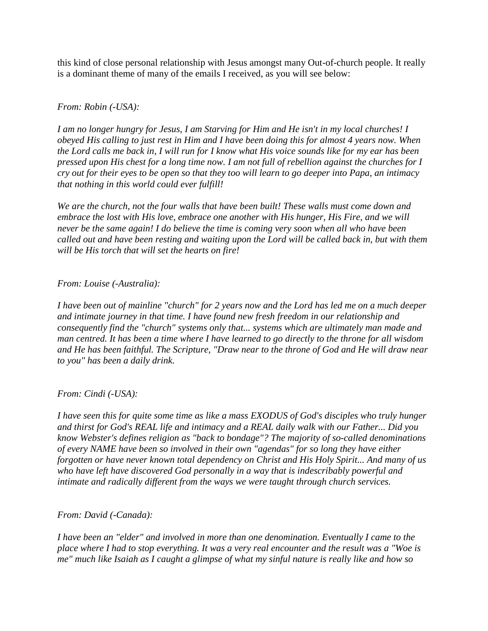this kind of close personal relationship with Jesus amongst many Out-of-church people. It really is a dominant theme of many of the emails I received, as you will see below:

### *From: Robin (-USA):*

*I am no longer hungry for Jesus, I am Starving for Him and He isn't in my local churches! I obeyed His calling to just rest in Him and I have been doing this for almost 4 years now. When the Lord calls me back in, I will run for I know what His voice sounds like for my ear has been pressed upon His chest for a long time now. I am not full of rebellion against the churches for I cry out for their eyes to be open so that they too will learn to go deeper into Papa, an intimacy that nothing in this world could ever fulfill!* 

*We are the church, not the four walls that have been built! These walls must come down and embrace the lost with His love, embrace one another with His hunger, His Fire, and we will never be the same again! I do believe the time is coming very soon when all who have been called out and have been resting and waiting upon the Lord will be called back in, but with them will be His torch that will set the hearts on fire!* 

### *From: Louise (-Australia):*

*I have been out of mainline "church" for 2 years now and the Lord has led me on a much deeper and intimate journey in that time. I have found new fresh freedom in our relationship and consequently find the "church" systems only that... systems which are ultimately man made and man centred. It has been a time where I have learned to go directly to the throne for all wisdom and He has been faithful. The Scripture, "Draw near to the throne of God and He will draw near to you" has been a daily drink.* 

### *From: Cindi (-USA):*

*I have seen this for quite some time as like a mass EXODUS of God's disciples who truly hunger and thirst for God's REAL life and intimacy and a REAL daily walk with our Father... Did you know Webster's defines religion as "back to bondage"? The majority of so-called denominations of every NAME have been so involved in their own "agendas" for so long they have either forgotten or have never known total dependency on Christ and His Holy Spirit... And many of us who have left have discovered God personally in a way that is indescribably powerful and intimate and radically different from the ways we were taught through church services.* 

### *From: David (-Canada):*

*I have been an "elder" and involved in more than one denomination. Eventually I came to the place where I had to stop everything. It was a very real encounter and the result was a "Woe is me" much like Isaiah as I caught a glimpse of what my sinful nature is really like and how so*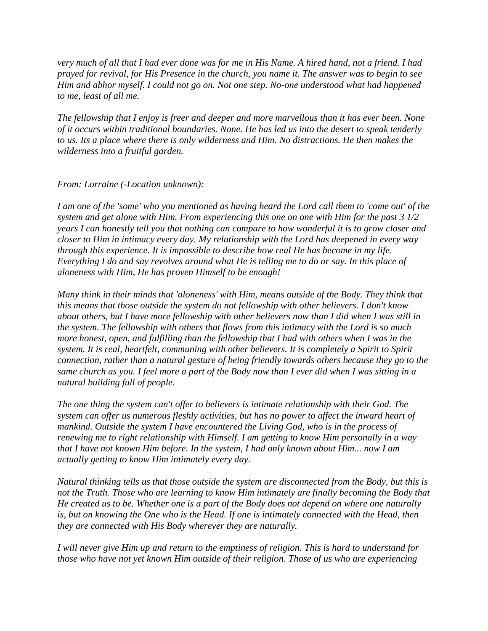*very much of all that I had ever done was for me in His Name. A hired hand, not a friend. I had prayed for revival, for His Presence in the church, you name it. The answer was to begin to see Him and abhor myself. I could not go on. Not one step. No-one understood what had happened to me, least of all me.* 

*The fellowship that I enjoy is freer and deeper and more marvellous than it has ever been. None of it occurs within traditional boundaries. None. He has led us into the desert to speak tenderly to us. Its a place where there is only wilderness and Him. No distractions. He then makes the wilderness into a fruitful garden.* 

### *From: Lorraine (-Location unknown):*

*I am one of the 'some' who you mentioned as having heard the Lord call them to 'come out' of the system and get alone with Him. From experiencing this one on one with Him for the past 3 1/2 years I can honestly tell you that nothing can compare to how wonderful it is to grow closer and closer to Him in intimacy every day. My relationship with the Lord has deepened in every way through this experience. It is impossible to describe how real He has become in my life. Everything I do and say revolves around what He is telling me to do or say. In this place of aloneness with Him, He has proven Himself to be enough!* 

*Many think in their minds that 'aloneness' with Him, means outside of the Body. They think that this means that those outside the system do not fellowship with other believers. I don't know about others, but I have more fellowship with other believers now than I did when I was still in the system. The fellowship with others that flows from this intimacy with the Lord is so much more honest, open, and fulfilling than the fellowship that I had with others when I was in the system. It is real, heartfelt, communing with other believers. It is completely a Spirit to Spirit connection, rather than a natural gesture of being friendly towards others because they go to the same church as you. I feel more a part of the Body now than I ever did when I was sitting in a natural building full of people.* 

*The one thing the system can't offer to believers is intimate relationship with their God. The system can offer us numerous fleshly activities, but has no power to affect the inward heart of mankind. Outside the system I have encountered the Living God, who is in the process of renewing me to right relationship with Himself. I am getting to know Him personally in a way that I have not known Him before. In the system, I had only known about Him... now I am actually getting to know Him intimately every day.* 

*Natural thinking tells us that those outside the system are disconnected from the Body, but this is not the Truth. Those who are learning to know Him intimately are finally becoming the Body that He created us to be. Whether one is a part of the Body does not depend on where one naturally is, but on knowing the One who is the Head. If one is intimately connected with the Head, then they are connected with His Body wherever they are naturally.* 

*I will never give Him up and return to the emptiness of religion. This is hard to understand for those who have not yet known Him outside of their religion. Those of us who are experiencing*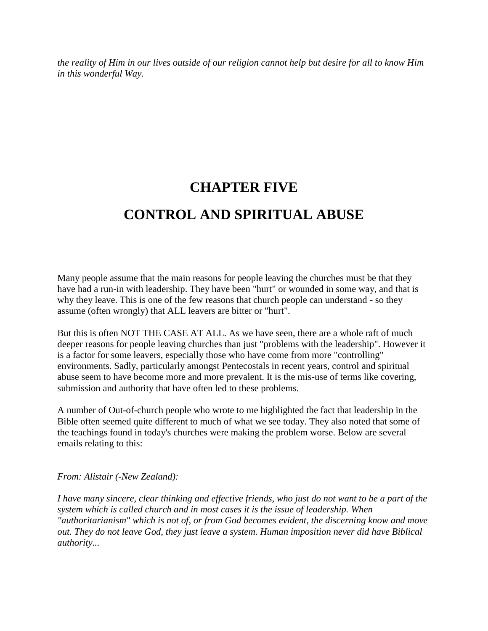*the reality of Him in our lives outside of our religion cannot help but desire for all to know Him in this wonderful Way.* 

## **CHAPTER FIVE CONTROL AND SPIRITUAL ABUSE**

Many people assume that the main reasons for people leaving the churches must be that they have had a run-in with leadership. They have been "hurt" or wounded in some way, and that is why they leave. This is one of the few reasons that church people can understand - so they assume (often wrongly) that ALL leavers are bitter or "hurt".

But this is often NOT THE CASE AT ALL. As we have seen, there are a whole raft of much deeper reasons for people leaving churches than just "problems with the leadership". However it is a factor for some leavers, especially those who have come from more "controlling" environments. Sadly, particularly amongst Pentecostals in recent years, control and spiritual abuse seem to have become more and more prevalent. It is the mis-use of terms like covering, submission and authority that have often led to these problems.

A number of Out-of-church people who wrote to me highlighted the fact that leadership in the Bible often seemed quite different to much of what we see today. They also noted that some of the teachings found in today's churches were making the problem worse. Below are several emails relating to this:

### *From: Alistair (-New Zealand):*

*I have many sincere, clear thinking and effective friends, who just do not want to be a part of the system which is called church and in most cases it is the issue of leadership. When "authoritarianism" which is not of, or from God becomes evident, the discerning know and move out. They do not leave God, they just leave a system. Human imposition never did have Biblical authority...*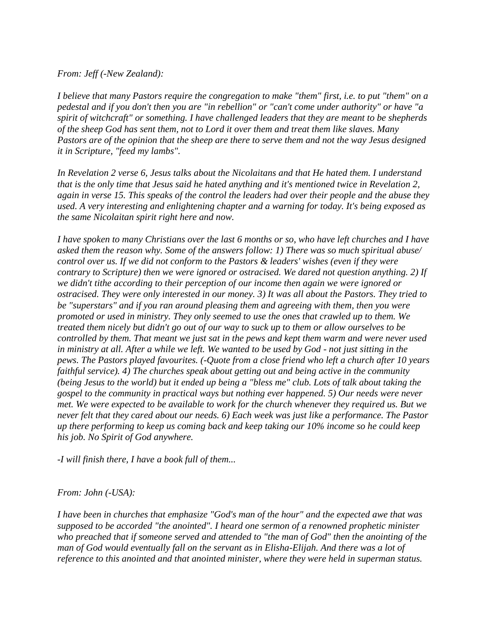#### *From: Jeff (-New Zealand):*

*I believe that many Pastors require the congregation to make "them" first, i.e. to put "them" on a pedestal and if you don't then you are "in rebellion" or "can't come under authority" or have "a spirit of witchcraft" or something. I have challenged leaders that they are meant to be shepherds of the sheep God has sent them, not to Lord it over them and treat them like slaves. Many Pastors are of the opinion that the sheep are there to serve them and not the way Jesus designed it in Scripture, "feed my lambs".* 

*In Revelation 2 verse 6, Jesus talks about the Nicolaitans and that He hated them. I understand that is the only time that Jesus said he hated anything and it's mentioned twice in Revelation 2, again in verse 15. This speaks of the control the leaders had over their people and the abuse they used. A very interesting and enlightening chapter and a warning for today. It's being exposed as the same Nicolaitan spirit right here and now.* 

*I have spoken to many Christians over the last 6 months or so, who have left churches and I have asked them the reason why. Some of the answers follow: 1) There was so much spiritual abuse/ control over us. If we did not conform to the Pastors & leaders' wishes (even if they were contrary to Scripture) then we were ignored or ostracised. We dared not question anything. 2) If we didn't tithe according to their perception of our income then again we were ignored or ostracised. They were only interested in our money. 3) It was all about the Pastors. They tried to be "superstars" and if you ran around pleasing them and agreeing with them, then you were promoted or used in ministry. They only seemed to use the ones that crawled up to them. We treated them nicely but didn't go out of our way to suck up to them or allow ourselves to be controlled by them. That meant we just sat in the pews and kept them warm and were never used in ministry at all. After a while we left. We wanted to be used by God - not just sitting in the pews. The Pastors played favourites. (-Quote from a close friend who left a church after 10 years faithful service). 4) The churches speak about getting out and being active in the community (being Jesus to the world) but it ended up being a "bless me" club. Lots of talk about taking the gospel to the community in practical ways but nothing ever happened. 5) Our needs were never met. We were expected to be available to work for the church whenever they required us. But we never felt that they cared about our needs. 6) Each week was just like a performance. The Pastor up there performing to keep us coming back and keep taking our 10% income so he could keep his job. No Spirit of God anywhere.* 

*-I will finish there, I have a book full of them...* 

### *From: John (-USA):*

*I have been in churches that emphasize "God's man of the hour" and the expected awe that was supposed to be accorded "the anointed". I heard one sermon of a renowned prophetic minister who preached that if someone served and attended to "the man of God" then the anointing of the man of God would eventually fall on the servant as in Elisha-Elijah. And there was a lot of reference to this anointed and that anointed minister, where they were held in superman status.*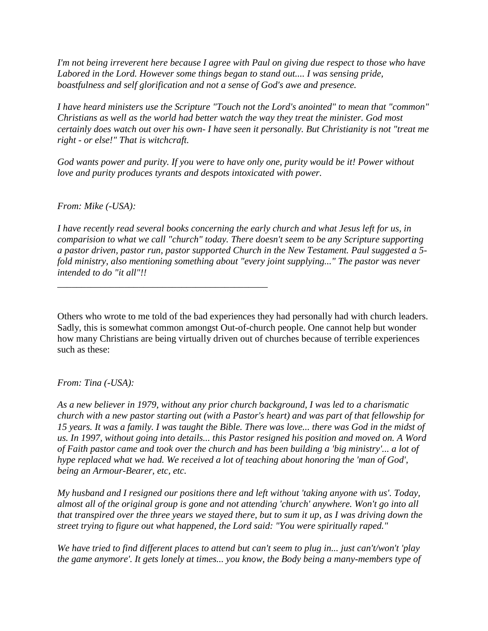*I'm not being irreverent here because I agree with Paul on giving due respect to those who have*  Labored in the Lord. However some things began to stand out.... I was sensing pride, *boastfulness and self glorification and not a sense of God's awe and presence.* 

*I have heard ministers use the Scripture "Touch not the Lord's anointed" to mean that "common" Christians as well as the world had better watch the way they treat the minister. God most certainly does watch out over his own- I have seen it personally. But Christianity is not "treat me right - or else!" That is witchcraft.* 

*God wants power and purity. If you were to have only one, purity would be it! Power without love and purity produces tyrants and despots intoxicated with power.* 

*From: Mike (-USA):* 

*\_\_\_\_\_\_\_\_\_\_\_\_\_\_\_\_\_\_\_\_\_\_\_\_\_\_\_\_\_\_\_\_\_\_\_\_\_\_\_\_\_\_\_\_* 

*I have recently read several books concerning the early church and what Jesus left for us, in comparision to what we call "church" today. There doesn't seem to be any Scripture supporting a pastor driven, pastor run, pastor supported Church in the New Testament. Paul suggested a 5 fold ministry, also mentioning something about "every joint supplying..." The pastor was never intended to do "it all"!!* 

Others who wrote to me told of the bad experiences they had personally had with church leaders. Sadly, this is somewhat common amongst Out-of-church people. One cannot help but wonder how many Christians are being virtually driven out of churches because of terrible experiences such as these:

*From: Tina (-USA):* 

*As a new believer in 1979, without any prior church background, I was led to a charismatic church with a new pastor starting out (with a Pastor's heart) and was part of that fellowship for 15 years. It was a family. I was taught the Bible. There was love... there was God in the midst of us. In 1997, without going into details... this Pastor resigned his position and moved on. A Word of Faith pastor came and took over the church and has been building a 'big ministry'... a lot of hype replaced what we had. We received a lot of teaching about honoring the 'man of God', being an Armour-Bearer, etc, etc.* 

*My husband and I resigned our positions there and left without 'taking anyone with us'. Today, almost all of the original group is gone and not attending 'church' anywhere. Won't go into all that transpired over the three years we stayed there, but to sum it up, as I was driving down the street trying to figure out what happened, the Lord said: "You were spiritually raped."* 

*We have tried to find different places to attend but can't seem to plug in... just can't/won't 'play the game anymore'. It gets lonely at times... you know, the Body being a many-members type of*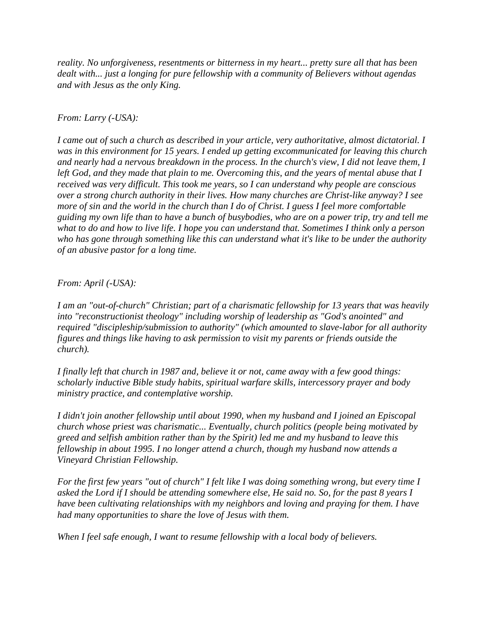*reality. No unforgiveness, resentments or bitterness in my heart... pretty sure all that has been dealt with... just a longing for pure fellowship with a community of Believers without agendas and with Jesus as the only King.* 

### *From: Larry (-USA):*

*I came out of such a church as described in your article, very authoritative, almost dictatorial. I was in this environment for 15 years. I ended up getting excommunicated for leaving this church and nearly had a nervous breakdown in the process. In the church's view, I did not leave them, I left God, and they made that plain to me. Overcoming this, and the years of mental abuse that I received was very difficult. This took me years, so I can understand why people are conscious over a strong church authority in their lives. How many churches are Christ-like anyway? I see more of sin and the world in the church than I do of Christ. I guess I feel more comfortable guiding my own life than to have a bunch of busybodies, who are on a power trip, try and tell me what to do and how to live life. I hope you can understand that. Sometimes I think only a person who has gone through something like this can understand what it's like to be under the authority of an abusive pastor for a long time.* 

### *From: April (-USA):*

*I am an "out-of-church" Christian; part of a charismatic fellowship for 13 years that was heavily into "reconstructionist theology" including worship of leadership as "God's anointed" and required "discipleship/submission to authority" (which amounted to slave-labor for all authority figures and things like having to ask permission to visit my parents or friends outside the church).* 

*I finally left that church in 1987 and, believe it or not, came away with a few good things: scholarly inductive Bible study habits, spiritual warfare skills, intercessory prayer and body ministry practice, and contemplative worship.* 

*I didn't join another fellowship until about 1990, when my husband and I joined an Episcopal church whose priest was charismatic... Eventually, church politics (people being motivated by greed and selfish ambition rather than by the Spirit) led me and my husband to leave this fellowship in about 1995. I no longer attend a church, though my husband now attends a Vineyard Christian Fellowship.* 

*For the first few years "out of church" I felt like I was doing something wrong, but every time I asked the Lord if I should be attending somewhere else, He said no. So, for the past 8 years I have been cultivating relationships with my neighbors and loving and praying for them. I have had many opportunities to share the love of Jesus with them.* 

*When I feel safe enough, I want to resume fellowship with a local body of believers.*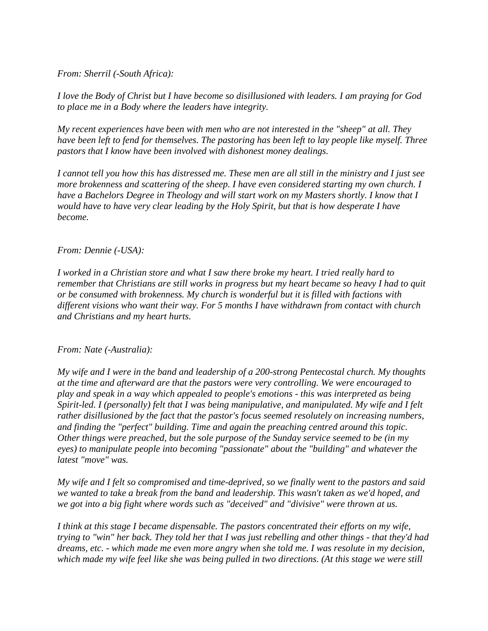### *From: Sherril (-South Africa):*

*I love the Body of Christ but I have become so disillusioned with leaders. I am praying for God to place me in a Body where the leaders have integrity.* 

*My recent experiences have been with men who are not interested in the "sheep" at all. They have been left to fend for themselves. The pastoring has been left to lay people like myself. Three pastors that I know have been involved with dishonest money dealings.* 

*I cannot tell you how this has distressed me. These men are all still in the ministry and I just see more brokenness and scattering of the sheep. I have even considered starting my own church. I have a Bachelors Degree in Theology and will start work on my Masters shortly. I know that I would have to have very clear leading by the Holy Spirit, but that is how desperate I have become.* 

### *From: Dennie (-USA):*

*I worked in a Christian store and what I saw there broke my heart. I tried really hard to remember that Christians are still works in progress but my heart became so heavy I had to quit or be consumed with brokenness. My church is wonderful but it is filled with factions with different visions who want their way. For 5 months I have withdrawn from contact with church and Christians and my heart hurts.* 

### *From: Nate (-Australia):*

*My wife and I were in the band and leadership of a 200-strong Pentecostal church. My thoughts at the time and afterward are that the pastors were very controlling. We were encouraged to play and speak in a way which appealed to people's emotions - this was interpreted as being Spirit-led. I (personally) felt that I was being manipulative, and manipulated. My wife and I felt rather disillusioned by the fact that the pastor's focus seemed resolutely on increasing numbers, and finding the "perfect" building. Time and again the preaching centred around this topic. Other things were preached, but the sole purpose of the Sunday service seemed to be (in my eyes) to manipulate people into becoming "passionate" about the "building" and whatever the latest "move" was.* 

*My wife and I felt so compromised and time-deprived, so we finally went to the pastors and said we wanted to take a break from the band and leadership. This wasn't taken as we'd hoped, and we got into a big fight where words such as "deceived" and "divisive" were thrown at us.* 

*I think at this stage I became dispensable. The pastors concentrated their efforts on my wife, trying to "win" her back. They told her that I was just rebelling and other things - that they'd had dreams, etc. - which made me even more angry when she told me. I was resolute in my decision, which made my wife feel like she was being pulled in two directions. (At this stage we were still*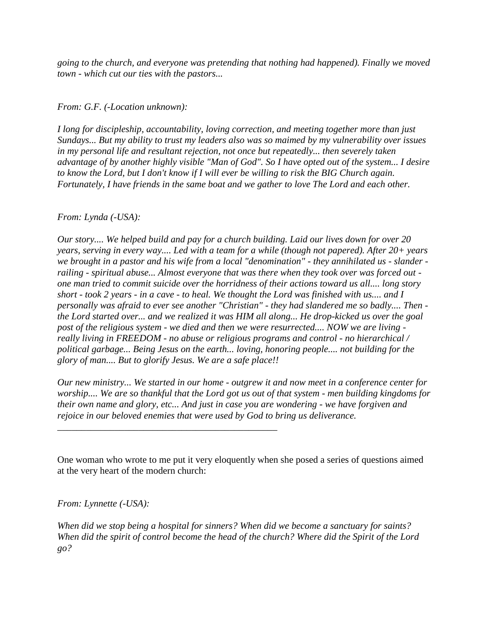*going to the church, and everyone was pretending that nothing had happened). Finally we moved town - which cut our ties with the pastors...* 

### *From: G.F. (-Location unknown):*

*I long for discipleship, accountability, loving correction, and meeting together more than just Sundays... But my ability to trust my leaders also was so maimed by my vulnerability over issues in my personal life and resultant rejection, not once but repeatedly... then severely taken advantage of by another highly visible "Man of God". So I have opted out of the system... I desire to know the Lord, but I don't know if I will ever be willing to risk the BIG Church again. Fortunately, I have friends in the same boat and we gather to love The Lord and each other.* 

### *From: Lynda (-USA):*

*Our story.... We helped build and pay for a church building. Laid our lives down for over 20 years, serving in every way.... Led with a team for a while (though not papered). After 20+ years we brought in a pastor and his wife from a local "denomination" - they annihilated us - slander railing - spiritual abuse... Almost everyone that was there when they took over was forced out one man tried to commit suicide over the horridness of their actions toward us all.... long story short - took 2 years - in a cave - to heal. We thought the Lord was finished with us.... and I personally was afraid to ever see another "Christian" - they had slandered me so badly.... Then the Lord started over... and we realized it was HIM all along... He drop-kicked us over the goal post of the religious system - we died and then we were resurrected.... NOW we are living really living in FREEDOM - no abuse or religious programs and control - no hierarchical / political garbage... Being Jesus on the earth... loving, honoring people.... not building for the glory of man.... But to glorify Jesus. We are a safe place!!* 

*Our new ministry... We started in our home - outgrew it and now meet in a conference center for worship.... We are so thankful that the Lord got us out of that system - men building kingdoms for their own name and glory, etc... And just in case you are wondering - we have forgiven and rejoice in our beloved enemies that were used by God to bring us deliverance.* 

One woman who wrote to me put it very eloquently when she posed a series of questions aimed at the very heart of the modern church:

*From: Lynnette (-USA):* 

*\_\_\_\_\_\_\_\_\_\_\_\_\_\_\_\_\_\_\_\_\_\_\_\_\_\_\_\_\_\_\_\_\_\_\_\_\_\_\_\_\_\_\_\_\_\_* 

*When did we stop being a hospital for sinners? When did we become a sanctuary for saints? When did the spirit of control become the head of the church? Where did the Spirit of the Lord go?*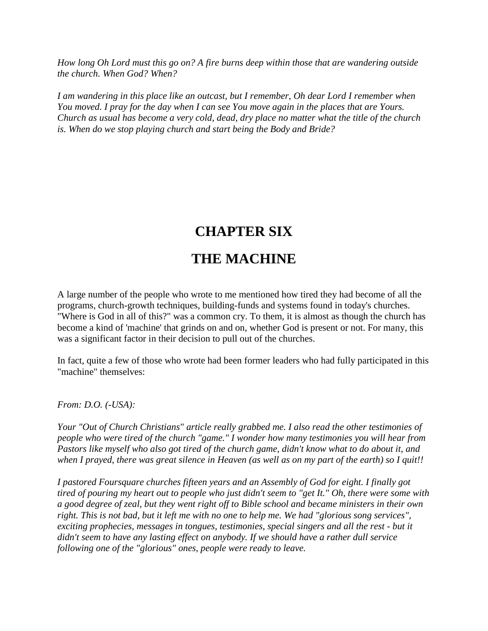*How long Oh Lord must this go on? A fire burns deep within those that are wandering outside the church. When God? When?* 

*I am wandering in this place like an outcast, but I remember, Oh dear Lord I remember when You moved. I pray for the day when I can see You move again in the places that are Yours. Church as usual has become a very cold, dead, dry place no matter what the title of the church is. When do we stop playing church and start being the Body and Bride?* 

## **CHAPTER SIX**

## **THE MACHINE**

A large number of the people who wrote to me mentioned how tired they had become of all the programs, church-growth techniques, building-funds and systems found in today's churches. "Where is God in all of this?" was a common cry. To them, it is almost as though the church has become a kind of 'machine' that grinds on and on, whether God is present or not. For many, this was a significant factor in their decision to pull out of the churches.

In fact, quite a few of those who wrote had been former leaders who had fully participated in this "machine" themselves:

*From: D.O. (-USA):* 

*Your "Out of Church Christians" article really grabbed me. I also read the other testimonies of people who were tired of the church "game." I wonder how many testimonies you will hear from Pastors like myself who also got tired of the church game, didn't know what to do about it, and when I prayed, there was great silence in Heaven (as well as on my part of the earth) so I quit!!* 

*I pastored Foursquare churches fifteen years and an Assembly of God for eight. I finally got tired of pouring my heart out to people who just didn't seem to "get It." Oh, there were some with a good degree of zeal, but they went right off to Bible school and became ministers in their own right. This is not bad, but it left me with no one to help me. We had "glorious song services", exciting prophecies, messages in tongues, testimonies, special singers and all the rest - but it didn't seem to have any lasting effect on anybody. If we should have a rather dull service following one of the "glorious" ones, people were ready to leave.*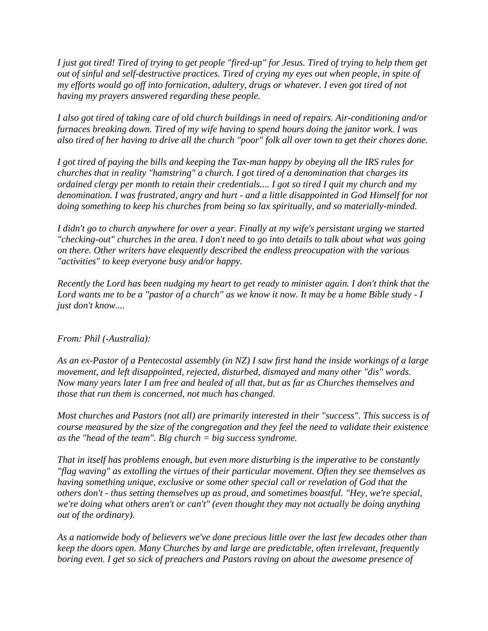*I just got tired! Tired of trying to get people "fired-up" for Jesus. Tired of trying to help them get out of sinful and self-destructive practices. Tired of crying my eyes out when people, in spite of my efforts would go off into fornication, adultery, drugs or whatever. I even got tired of not having my prayers answered regarding these people.* 

*I also got tired of taking care of old church buildings in need of repairs. Air-conditioning and/or furnaces breaking down. Tired of my wife having to spend hours doing the janitor work. I was also tired of her having to drive all the church "poor" folk all over town to get their chores done.* 

*I got tired of paying the bills and keeping the Tax-man happy by obeying all the IRS rules for churches that in reality "hamstring" a church. I got tired of a denomination that charges its ordained clergy per month to retain their credentials.... I got so tired I quit my church and my denomination. I was frustrated, angry and hurt - and a little disappointed in God Himself for not doing something to keep his churches from being so lax spiritually, and so materially-minded.* 

*I didn't go to church anywhere for over a year. Finally at my wife's persistant urging we started "checking-out" churches in the area. I don't need to go into details to talk about what was going on there. Other writers have elequently described the endless preocupation with the various "activities" to keep everyone busy and/or happy.* 

*Recently the Lord has been nudging my heart to get ready to minister again. I don't think that the Lord wants me to be a "pastor of a church" as we know it now. It may be a home Bible study - I just don't know....* 

### *From: Phil (-Australia):*

*As an ex-Pastor of a Pentecostal assembly (in NZ) I saw first hand the inside workings of a large movement, and left disappointed, rejected, disturbed, dismayed and many other "dis" words. Now many years later I am free and healed of all that, but as far as Churches themselves and those that run them is concerned, not much has changed.* 

*Most churches and Pastors (not all) are primarily interested in their "success". This success is of course measured by the size of the congregation and they feel the need to validate their existence as the "head of the team". Big church = big success syndrome.* 

*That in itself has problems enough, but even more disturbing is the imperative to be constantly "flag waving" as extolling the virtues of their particular movement. Often they see themselves as having something unique, exclusive or some other special call or revelation of God that the others don't - thus setting themselves up as proud, and sometimes boastful. "Hey, we're special, we're doing what others aren't or can't" (even thought they may not actually be doing anything out of the ordinary).* 

*As a nationwide body of believers we've done precious little over the last few decades other than keep the doors open. Many Churches by and large are predictable, often irrelevant, frequently boring even. I get so sick of preachers and Pastors raving on about the awesome presence of*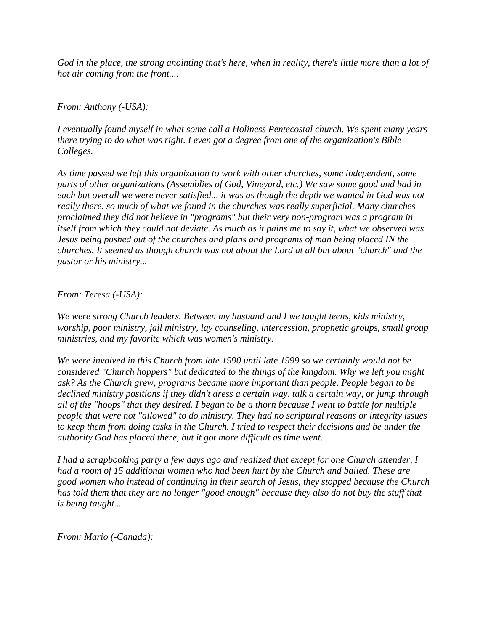*God in the place, the strong anointing that's here, when in reality, there's little more than a lot of hot air coming from the front....* 

*From: Anthony (-USA):* 

*I eventually found myself in what some call a Holiness Pentecostal church. We spent many years there trying to do what was right. I even got a degree from one of the organization's Bible Colleges.* 

As time passed we left this organization to work with other churches, some independent, some *parts of other organizations (Assemblies of God, Vineyard, etc.) We saw some good and bad in each but overall we were never satisfied... it was as though the depth we wanted in God was not really there, so much of what we found in the churches was really superficial. Many churches proclaimed they did not believe in "programs" but their very non-program was a program in itself from which they could not deviate. As much as it pains me to say it, what we observed was Jesus being pushed out of the churches and plans and programs of man being placed IN the churches. It seemed as though church was not about the Lord at all but about "church" and the pastor or his ministry...* 

*From: Teresa (-USA):* 

*We were strong Church leaders. Between my husband and I we taught teens, kids ministry, worship, poor ministry, jail ministry, lay counseling, intercession, prophetic groups, small group ministries, and my favorite which was women's ministry.* 

*We were involved in this Church from late 1990 until late 1999 so we certainly would not be considered "Church hoppers" but dedicated to the things of the kingdom. Why we left you might ask? As the Church grew, programs became more important than people. People began to be declined ministry positions if they didn't dress a certain way, talk a certain way, or jump through all of the "hoops" that they desired. I began to be a thorn because I went to battle for multiple people that were not "allowed" to do ministry. They had no scriptural reasons or integrity issues to keep them from doing tasks in the Church. I tried to respect their decisions and be under the authority God has placed there, but it got more difficult as time went...* 

*I had a scrapbooking party a few days ago and realized that except for one Church attender, I had a room of 15 additional women who had been hurt by the Church and bailed. These are good women who instead of continuing in their search of Jesus, they stopped because the Church has told them that they are no longer "good enough" because they also do not buy the stuff that is being taught...* 

*From: Mario (-Canada):*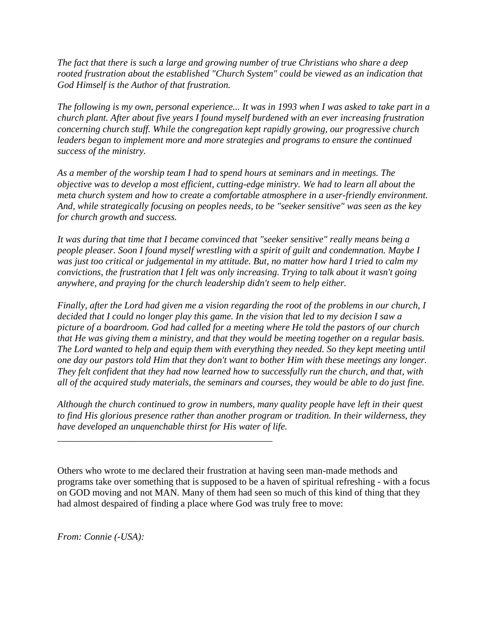*The fact that there is such a large and growing number of true Christians who share a deep rooted frustration about the established "Church System" could be viewed as an indication that God Himself is the Author of that frustration.* 

*The following is my own, personal experience... It was in 1993 when I was asked to take part in a church plant. After about five years I found myself burdened with an ever increasing frustration concerning church stuff. While the congregation kept rapidly growing, our progressive church leaders began to implement more and more strategies and programs to ensure the continued success of the ministry.* 

*As a member of the worship team I had to spend hours at seminars and in meetings. The objective was to develop a most efficient, cutting-edge ministry. We had to learn all about the meta church system and how to create a comfortable atmosphere in a user-friendly environment. And, while strategically focusing on peoples needs, to be "seeker sensitive" was seen as the key for church growth and success.* 

*It was during that time that I became convinced that "seeker sensitive" really means being a people pleaser. Soon I found myself wrestling with a spirit of guilt and condemnation. Maybe I was just too critical or judgemental in my attitude. But, no matter how hard I tried to calm my convictions, the frustration that I felt was only increasing. Trying to talk about it wasn't going anywhere, and praying for the church leadership didn't seem to help either.* 

*Finally, after the Lord had given me a vision regarding the root of the problems in our church, I decided that I could no longer play this game. In the vision that led to my decision I saw a picture of a boardroom. God had called for a meeting where He told the pastors of our church that He was giving them a ministry, and that they would be meeting together on a regular basis. The Lord wanted to help and equip them with everything they needed. So they kept meeting until one day our pastors told Him that they don't want to bother Him with these meetings any longer. They felt confident that they had now learned how to successfully run the church, and that, with all of the acquired study materials, the seminars and courses, they would be able to do just fine.* 

*Although the church continued to grow in numbers, many quality people have left in their quest to find His glorious presence rather than another program or tradition. In their wilderness, they have developed an unquenchable thirst for His water of life.* 

*\_\_\_\_\_\_\_\_\_\_\_\_\_\_\_\_\_\_\_\_\_\_\_\_\_\_\_\_\_\_\_\_\_\_\_\_\_\_\_\_\_\_\_\_\_* 

Others who wrote to me declared their frustration at having seen man-made methods and programs take over something that is supposed to be a haven of spiritual refreshing - with a focus on GOD moving and not MAN. Many of them had seen so much of this kind of thing that they had almost despaired of finding a place where God was truly free to move:

*From: Connie (-USA):*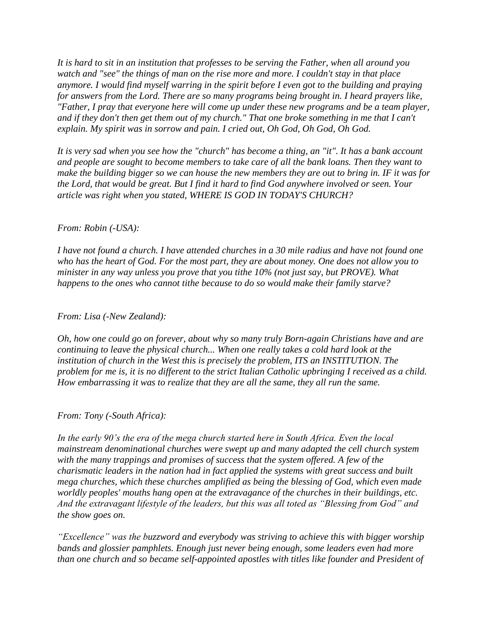*It is hard to sit in an institution that professes to be serving the Father, when all around you watch and "see" the things of man on the rise more and more. I couldn't stay in that place anymore. I would find myself warring in the spirit before I even got to the building and praying for answers from the Lord. There are so many programs being brought in. I heard prayers like, "Father, I pray that everyone here will come up under these new programs and be a team player, and if they don't then get them out of my church." That one broke something in me that I can't explain. My spirit was in sorrow and pain. I cried out, Oh God, Oh God, Oh God.* 

*It is very sad when you see how the "church" has become a thing, an "it". It has a bank account and people are sought to become members to take care of all the bank loans. Then they want to make the building bigger so we can house the new members they are out to bring in. IF it was for the Lord, that would be great. But I find it hard to find God anywhere involved or seen. Your article was right when you stated, WHERE IS GOD IN TODAY'S CHURCH?* 

#### *From: Robin (-USA):*

*I have not found a church. I have attended churches in a 30 mile radius and have not found one who has the heart of God. For the most part, they are about money. One does not allow you to minister in any way unless you prove that you tithe 10% (not just say, but PROVE). What happens to the ones who cannot tithe because to do so would make their family starve?* 

#### *From: Lisa (-New Zealand):*

*Oh, how one could go on forever, about why so many truly Born-again Christians have and are continuing to leave the physical church... When one really takes a cold hard look at the institution of church in the West this is precisely the problem, ITS an INSTITUTION. The problem for me is, it is no different to the strict Italian Catholic upbringing I received as a child. How embarrassing it was to realize that they are all the same, they all run the same.* 

#### *From: Tony (-South Africa):*

*In the early 90's the era of the mega church started here in South Africa. Even the local mainstream denominational churches were swept up and many adapted the cell church system with the many trappings and promises of success that the system offered. A few of the charismatic leaders in the nation had in fact applied the systems with great success and built mega churches, which these churches amplified as being the blessing of God, which even made worldly peoples' mouths hang open at the extravagance of the churches in their buildings, etc. And the extravagant lifestyle of the leaders, but this was all toted as "Blessing from God" and the show goes on.* 

*"Excellence" was the buzzword and everybody was striving to achieve this with bigger worship bands and glossier pamphlets. Enough just never being enough, some leaders even had more than one church and so became self-appointed apostles with titles like founder and President of*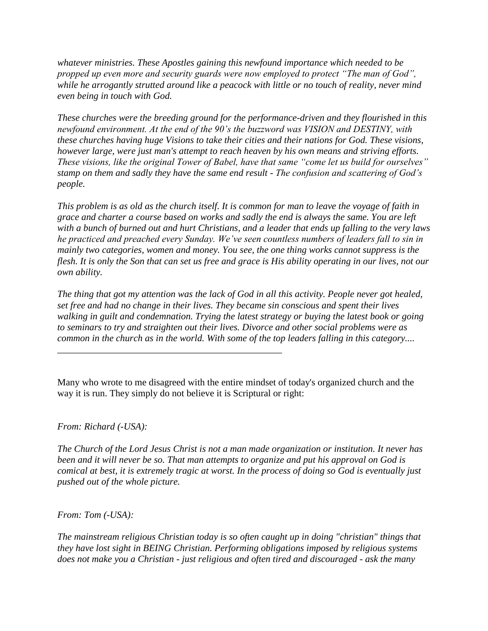*whatever ministries. These Apostles gaining this newfound importance which needed to be propped up even more and security guards were now employed to protect "The man of God", while he arrogantly strutted around like a peacock with little or no touch of reality, never mind even being in touch with God.* 

*These churches were the breeding ground for the performance-driven and they flourished in this newfound environment. At the end of the 90's the buzzword was VISION and DESTINY, with these churches having huge Visions to take their cities and their nations for God. These visions, however large, were just man's attempt to reach heaven by his own means and striving efforts. These visions, like the original Tower of Babel, have that same "come let us build for ourselves" stamp on them and sadly they have the same end result - The confusion and scattering of God's people.* 

*This problem is as old as the church itself. It is common for man to leave the voyage of faith in grace and charter a course based on works and sadly the end is always the same. You are left with a bunch of burned out and hurt Christians, and a leader that ends up falling to the very laws he practiced and preached every Sunday. We've seen countless numbers of leaders fall to sin in mainly two categories, women and money. You see, the one thing works cannot suppress is the flesh. It is only the Son that can set us free and grace is His ability operating in our lives, not our own ability.* 

*The thing that got my attention was the lack of God in all this activity. People never got healed, set free and had no change in their lives. They became sin conscious and spent their lives walking in guilt and condemnation. Trying the latest strategy or buying the latest book or going to seminars to try and straighten out their lives. Divorce and other social problems were as common in the church as in the world. With some of the top leaders falling in this category....* 

Many who wrote to me disagreed with the entire mindset of today's organized church and the way it is run. They simply do not believe it is Scriptural or right:

*\_\_\_\_\_\_\_\_\_\_\_\_\_\_\_\_\_\_\_\_\_\_\_\_\_\_\_\_\_\_\_\_\_\_\_\_\_\_\_\_\_\_\_\_\_\_\_* 

#### *From: Richard (-USA):*

*The Church of the Lord Jesus Christ is not a man made organization or institution. It never has been and it will never be so. That man attempts to organize and put his approval on God is comical at best, it is extremely tragic at worst. In the process of doing so God is eventually just pushed out of the whole picture.* 

#### *From: Tom (-USA):*

*The mainstream religious Christian today is so often caught up in doing "christian" things that they have lost sight in BEING Christian. Performing obligations imposed by religious systems does not make you a Christian - just religious and often tired and discouraged - ask the many*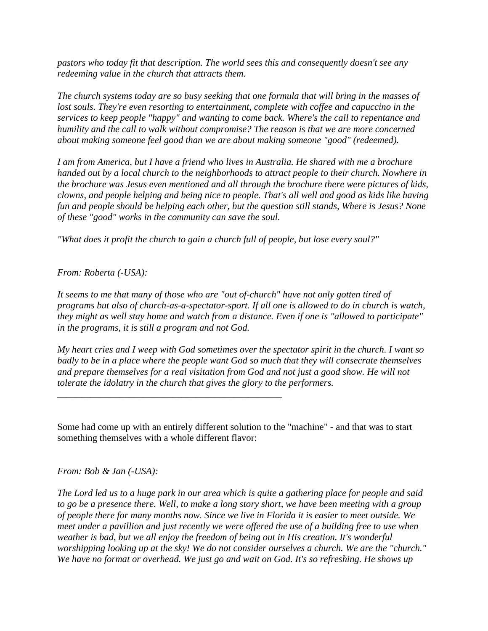*pastors who today fit that description. The world sees this and consequently doesn't see any redeeming value in the church that attracts them.* 

*The church systems today are so busy seeking that one formula that will bring in the masses of lost souls. They're even resorting to entertainment, complete with coffee and capuccino in the services to keep people "happy" and wanting to come back. Where's the call to repentance and humility and the call to walk without compromise? The reason is that we are more concerned about making someone feel good than we are about making someone "good" (redeemed).* 

*I am from America, but I have a friend who lives in Australia. He shared with me a brochure handed out by a local church to the neighborhoods to attract people to their church. Nowhere in the brochure was Jesus even mentioned and all through the brochure there were pictures of kids, clowns, and people helping and being nice to people. That's all well and good as kids like having fun and people should be helping each other, but the question still stands, Where is Jesus? None of these "good" works in the community can save the soul.* 

*"What does it profit the church to gain a church full of people, but lose every soul?"* 

*From: Roberta (-USA):* 

*It seems to me that many of those who are "out of-church" have not only gotten tired of programs but also of church-as-a-spectator-sport. If all one is allowed to do in church is watch, they might as well stay home and watch from a distance. Even if one is "allowed to participate" in the programs, it is still a program and not God.* 

*My heart cries and I weep with God sometimes over the spectator spirit in the church. I want so badly to be in a place where the people want God so much that they will consecrate themselves and prepare themselves for a real visitation from God and not just a good show. He will not tolerate the idolatry in the church that gives the glory to the performers.* 

Some had come up with an entirely different solution to the "machine" - and that was to start something themselves with a whole different flavor:

*\_\_\_\_\_\_\_\_\_\_\_\_\_\_\_\_\_\_\_\_\_\_\_\_\_\_\_\_\_\_\_\_\_\_\_\_\_\_\_\_\_\_\_\_\_\_\_* 

*From: Bob & Jan (-USA):* 

*The Lord led us to a huge park in our area which is quite a gathering place for people and said to go be a presence there. Well, to make a long story short, we have been meeting with a group of people there for many months now. Since we live in Florida it is easier to meet outside. We meet under a pavillion and just recently we were offered the use of a building free to use when weather is bad, but we all enjoy the freedom of being out in His creation. It's wonderful worshipping looking up at the sky! We do not consider ourselves a church. We are the "church." We have no format or overhead. We just go and wait on God. It's so refreshing. He shows up*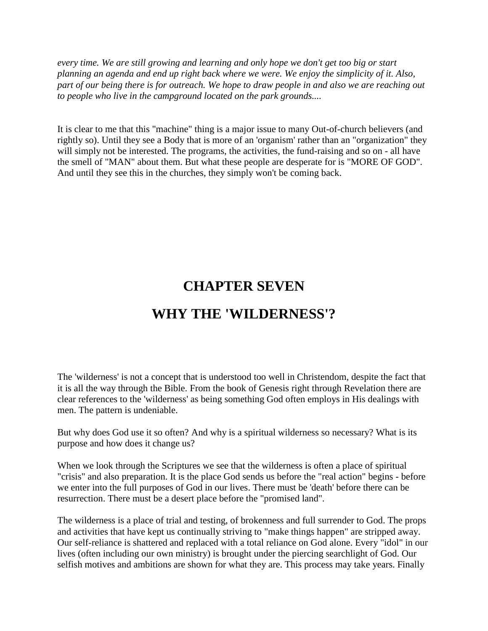*every time. We are still growing and learning and only hope we don't get too big or start planning an agenda and end up right back where we were. We enjoy the simplicity of it. Also, part of our being there is for outreach. We hope to draw people in and also we are reaching out to people who live in the campground located on the park grounds....* 

It is clear to me that this "machine" thing is a major issue to many Out-of-church believers (and rightly so). Until they see a Body that is more of an 'organism' rather than an "organization" they will simply not be interested. The programs, the activities, the fund-raising and so on - all have the smell of "MAN" about them. But what these people are desperate for is "MORE OF GOD". And until they see this in the churches, they simply won't be coming back.

## **CHAPTER SEVEN**

## **WHY THE 'WILDERNESS'?**

The 'wilderness' is not a concept that is understood too well in Christendom, despite the fact that it is all the way through the Bible. From the book of Genesis right through Revelation there are clear references to the 'wilderness' as being something God often employs in His dealings with men. The pattern is undeniable.

But why does God use it so often? And why is a spiritual wilderness so necessary? What is its purpose and how does it change us?

When we look through the Scriptures we see that the wilderness is often a place of spiritual "crisis" and also preparation. It is the place God sends us before the "real action" begins - before we enter into the full purposes of God in our lives. There must be 'death' before there can be resurrection. There must be a desert place before the "promised land".

The wilderness is a place of trial and testing, of brokenness and full surrender to God. The props and activities that have kept us continually striving to "make things happen" are stripped away. Our self-reliance is shattered and replaced with a total reliance on God alone. Every "idol" in our lives (often including our own ministry) is brought under the piercing searchlight of God. Our selfish motives and ambitions are shown for what they are. This process may take years. Finally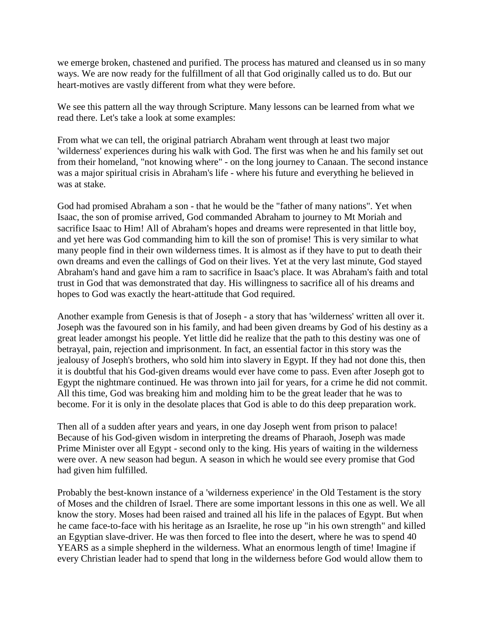we emerge broken, chastened and purified. The process has matured and cleansed us in so many ways. We are now ready for the fulfillment of all that God originally called us to do. But our heart-motives are vastly different from what they were before.

We see this pattern all the way through Scripture. Many lessons can be learned from what we read there. Let's take a look at some examples:

From what we can tell, the original patriarch Abraham went through at least two major 'wilderness' experiences during his walk with God. The first was when he and his family set out from their homeland, "not knowing where" - on the long journey to Canaan. The second instance was a major spiritual crisis in Abraham's life - where his future and everything he believed in was at stake.

God had promised Abraham a son - that he would be the "father of many nations". Yet when Isaac, the son of promise arrived, God commanded Abraham to journey to Mt Moriah and sacrifice Isaac to Him! All of Abraham's hopes and dreams were represented in that little boy, and yet here was God commanding him to kill the son of promise! This is very similar to what many people find in their own wilderness times. It is almost as if they have to put to death their own dreams and even the callings of God on their lives. Yet at the very last minute, God stayed Abraham's hand and gave him a ram to sacrifice in Isaac's place. It was Abraham's faith and total trust in God that was demonstrated that day. His willingness to sacrifice all of his dreams and hopes to God was exactly the heart-attitude that God required.

Another example from Genesis is that of Joseph - a story that has 'wilderness' written all over it. Joseph was the favoured son in his family, and had been given dreams by God of his destiny as a great leader amongst his people. Yet little did he realize that the path to this destiny was one of betrayal, pain, rejection and imprisonment. In fact, an essential factor in this story was the jealousy of Joseph's brothers, who sold him into slavery in Egypt. If they had not done this, then it is doubtful that his God-given dreams would ever have come to pass. Even after Joseph got to Egypt the nightmare continued. He was thrown into jail for years, for a crime he did not commit. All this time, God was breaking him and molding him to be the great leader that he was to become. For it is only in the desolate places that God is able to do this deep preparation work.

Then all of a sudden after years and years, in one day Joseph went from prison to palace! Because of his God-given wisdom in interpreting the dreams of Pharaoh, Joseph was made Prime Minister over all Egypt - second only to the king. His years of waiting in the wilderness were over. A new season had begun. A season in which he would see every promise that God had given him fulfilled.

Probably the best-known instance of a 'wilderness experience' in the Old Testament is the story of Moses and the children of Israel. There are some important lessons in this one as well. We all know the story. Moses had been raised and trained all his life in the palaces of Egypt. But when he came face-to-face with his heritage as an Israelite, he rose up "in his own strength" and killed an Egyptian slave-driver. He was then forced to flee into the desert, where he was to spend 40 YEARS as a simple shepherd in the wilderness. What an enormous length of time! Imagine if every Christian leader had to spend that long in the wilderness before God would allow them to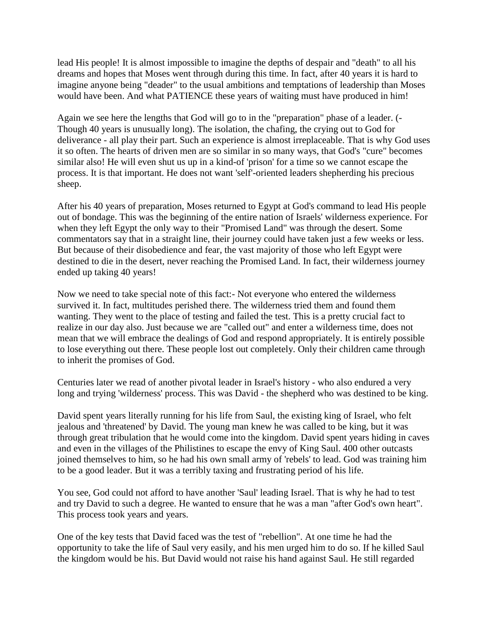lead His people! It is almost impossible to imagine the depths of despair and "death" to all his dreams and hopes that Moses went through during this time. In fact, after 40 years it is hard to imagine anyone being "deader" to the usual ambitions and temptations of leadership than Moses would have been. And what PATIENCE these years of waiting must have produced in him!

Again we see here the lengths that God will go to in the "preparation" phase of a leader. (- Though 40 years is unusually long). The isolation, the chafing, the crying out to God for deliverance - all play their part. Such an experience is almost irreplaceable. That is why God uses it so often. The hearts of driven men are so similar in so many ways, that God's "cure" becomes similar also! He will even shut us up in a kind-of 'prison' for a time so we cannot escape the process. It is that important. He does not want 'self'-oriented leaders shepherding his precious sheep.

After his 40 years of preparation, Moses returned to Egypt at God's command to lead His people out of bondage. This was the beginning of the entire nation of Israels' wilderness experience. For when they left Egypt the only way to their "Promised Land" was through the desert. Some commentators say that in a straight line, their journey could have taken just a few weeks or less. But because of their disobedience and fear, the vast majority of those who left Egypt were destined to die in the desert, never reaching the Promised Land. In fact, their wilderness journey ended up taking 40 years!

Now we need to take special note of this fact:- Not everyone who entered the wilderness survived it. In fact, multitudes perished there. The wilderness tried them and found them wanting. They went to the place of testing and failed the test. This is a pretty crucial fact to realize in our day also. Just because we are "called out" and enter a wilderness time, does not mean that we will embrace the dealings of God and respond appropriately. It is entirely possible to lose everything out there. These people lost out completely. Only their children came through to inherit the promises of God.

Centuries later we read of another pivotal leader in Israel's history - who also endured a very long and trying 'wilderness' process. This was David - the shepherd who was destined to be king.

David spent years literally running for his life from Saul, the existing king of Israel, who felt jealous and 'threatened' by David. The young man knew he was called to be king, but it was through great tribulation that he would come into the kingdom. David spent years hiding in caves and even in the villages of the Philistines to escape the envy of King Saul. 400 other outcasts joined themselves to him, so he had his own small army of 'rebels' to lead. God was training him to be a good leader. But it was a terribly taxing and frustrating period of his life.

You see, God could not afford to have another 'Saul' leading Israel. That is why he had to test and try David to such a degree. He wanted to ensure that he was a man "after God's own heart". This process took years and years.

One of the key tests that David faced was the test of "rebellion". At one time he had the opportunity to take the life of Saul very easily, and his men urged him to do so. If he killed Saul the kingdom would be his. But David would not raise his hand against Saul. He still regarded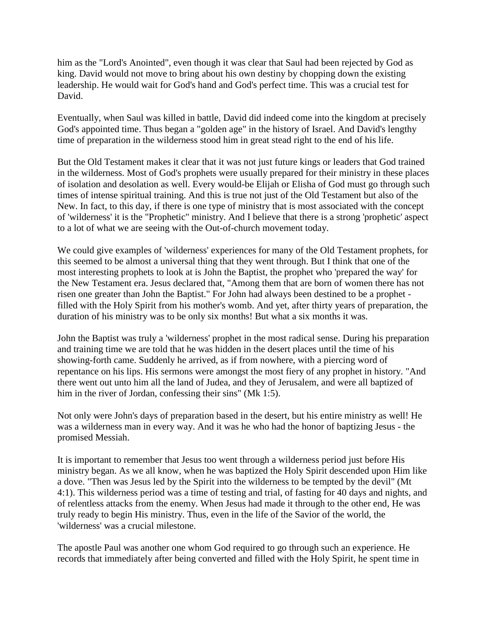him as the "Lord's Anointed", even though it was clear that Saul had been rejected by God as king. David would not move to bring about his own destiny by chopping down the existing leadership. He would wait for God's hand and God's perfect time. This was a crucial test for David.

Eventually, when Saul was killed in battle, David did indeed come into the kingdom at precisely God's appointed time. Thus began a "golden age" in the history of Israel. And David's lengthy time of preparation in the wilderness stood him in great stead right to the end of his life.

But the Old Testament makes it clear that it was not just future kings or leaders that God trained in the wilderness. Most of God's prophets were usually prepared for their ministry in these places of isolation and desolation as well. Every would-be Elijah or Elisha of God must go through such times of intense spiritual training. And this is true not just of the Old Testament but also of the New. In fact, to this day, if there is one type of ministry that is most associated with the concept of 'wilderness' it is the "Prophetic" ministry. And I believe that there is a strong 'prophetic' aspect to a lot of what we are seeing with the Out-of-church movement today.

We could give examples of 'wilderness' experiences for many of the Old Testament prophets, for this seemed to be almost a universal thing that they went through. But I think that one of the most interesting prophets to look at is John the Baptist, the prophet who 'prepared the way' for the New Testament era. Jesus declared that, "Among them that are born of women there has not risen one greater than John the Baptist." For John had always been destined to be a prophet filled with the Holy Spirit from his mother's womb. And yet, after thirty years of preparation, the duration of his ministry was to be only six months! But what a six months it was.

John the Baptist was truly a 'wilderness' prophet in the most radical sense. During his preparation and training time we are told that he was hidden in the desert places until the time of his showing-forth came. Suddenly he arrived, as if from nowhere, with a piercing word of repentance on his lips. His sermons were amongst the most fiery of any prophet in history. "And there went out unto him all the land of Judea, and they of Jerusalem, and were all baptized of him in the river of Jordan, confessing their sins" (Mk 1:5).

Not only were John's days of preparation based in the desert, but his entire ministry as well! He was a wilderness man in every way. And it was he who had the honor of baptizing Jesus - the promised Messiah.

It is important to remember that Jesus too went through a wilderness period just before His ministry began. As we all know, when he was baptized the Holy Spirit descended upon Him like a dove. "Then was Jesus led by the Spirit into the wilderness to be tempted by the devil" (Mt 4:1). This wilderness period was a time of testing and trial, of fasting for 40 days and nights, and of relentless attacks from the enemy. When Jesus had made it through to the other end, He was truly ready to begin His ministry. Thus, even in the life of the Savior of the world, the 'wilderness' was a crucial milestone.

The apostle Paul was another one whom God required to go through such an experience. He records that immediately after being converted and filled with the Holy Spirit, he spent time in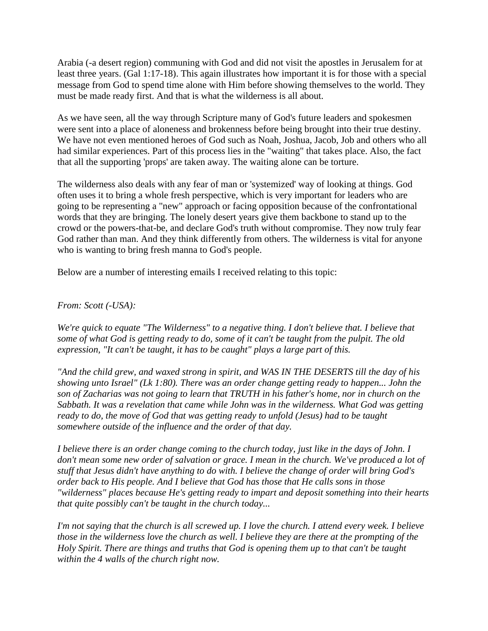Arabia (-a desert region) communing with God and did not visit the apostles in Jerusalem for at least three years. (Gal 1:17-18). This again illustrates how important it is for those with a special message from God to spend time alone with Him before showing themselves to the world. They must be made ready first. And that is what the wilderness is all about.

As we have seen, all the way through Scripture many of God's future leaders and spokesmen were sent into a place of aloneness and brokenness before being brought into their true destiny. We have not even mentioned heroes of God such as Noah, Joshua, Jacob, Job and others who all had similar experiences. Part of this process lies in the "waiting" that takes place. Also, the fact that all the supporting 'props' are taken away. The waiting alone can be torture.

The wilderness also deals with any fear of man or 'systemized' way of looking at things. God often uses it to bring a whole fresh perspective, which is very important for leaders who are going to be representing a "new" approach or facing opposition because of the confrontational words that they are bringing. The lonely desert years give them backbone to stand up to the crowd or the powers-that-be, and declare God's truth without compromise. They now truly fear God rather than man. And they think differently from others. The wilderness is vital for anyone who is wanting to bring fresh manna to God's people.

Below are a number of interesting emails I received relating to this topic:

#### *From: Scott (-USA):*

*We're quick to equate "The Wilderness" to a negative thing. I don't believe that. I believe that some of what God is getting ready to do, some of it can't be taught from the pulpit. The old expression, "It can't be taught, it has to be caught" plays a large part of this.* 

*"And the child grew, and waxed strong in spirit, and WAS IN THE DESERTS till the day of his showing unto Israel" (Lk 1:80). There was an order change getting ready to happen... John the son of Zacharias was not going to learn that TRUTH in his father's home, nor in church on the Sabbath. It was a revelation that came while John was in the wilderness. What God was getting ready to do, the move of God that was getting ready to unfold (Jesus) had to be taught somewhere outside of the influence and the order of that day.* 

*I believe there is an order change coming to the church today, just like in the days of John. I*  don't mean some new order of salvation or grace. I mean in the church. We've produced a lot of *stuff that Jesus didn't have anything to do with. I believe the change of order will bring God's order back to His people. And I believe that God has those that He calls sons in those "wilderness" places because He's getting ready to impart and deposit something into their hearts that quite possibly can't be taught in the church today...* 

*I'm not saying that the church is all screwed up. I love the church. I attend every week. I believe those in the wilderness love the church as well. I believe they are there at the prompting of the Holy Spirit. There are things and truths that God is opening them up to that can't be taught within the 4 walls of the church right now.*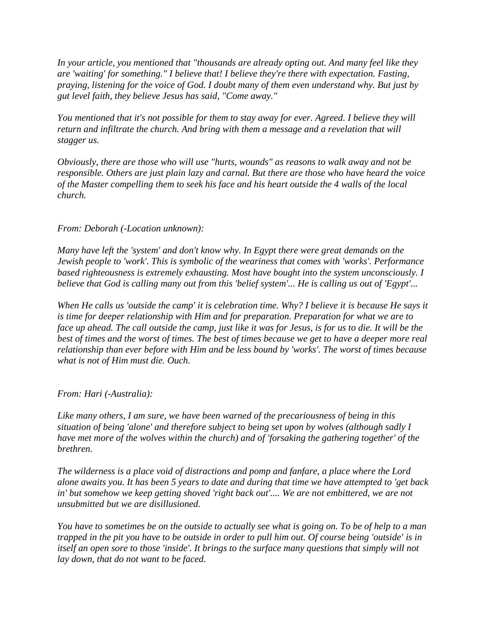*In your article, you mentioned that "thousands are already opting out. And many feel like they are 'waiting' for something." I believe that! I believe they're there with expectation. Fasting, praying, listening for the voice of God. I doubt many of them even understand why. But just by gut level faith, they believe Jesus has said, "Come away."* 

*You mentioned that it's not possible for them to stay away for ever. Agreed. I believe they will return and infiltrate the church. And bring with them a message and a revelation that will stagger us.* 

*Obviously, there are those who will use "hurts, wounds" as reasons to walk away and not be responsible. Others are just plain lazy and carnal. But there are those who have heard the voice of the Master compelling them to seek his face and his heart outside the 4 walls of the local church.* 

#### *From: Deborah (-Location unknown):*

*Many have left the 'system' and don't know why. In Egypt there were great demands on the Jewish people to 'work'. This is symbolic of the weariness that comes with 'works'. Performance based righteousness is extremely exhausting. Most have bought into the system unconsciously. I believe that God is calling many out from this 'belief system'... He is calling us out of 'Egypt'...* 

*When He calls us 'outside the camp' it is celebration time. Why? I believe it is because He says it is time for deeper relationship with Him and for preparation. Preparation for what we are to face up ahead. The call outside the camp, just like it was for Jesus, is for us to die. It will be the best of times and the worst of times. The best of times because we get to have a deeper more real relationship than ever before with Him and be less bound by 'works'. The worst of times because what is not of Him must die. Ouch.* 

*From: Hari (-Australia):* 

*Like many others, I am sure, we have been warned of the precariousness of being in this situation of being 'alone' and therefore subject to being set upon by wolves (although sadly I have met more of the wolves within the church) and of 'forsaking the gathering together' of the brethren.* 

*The wilderness is a place void of distractions and pomp and fanfare, a place where the Lord alone awaits you. It has been 5 years to date and during that time we have attempted to 'get back*  in' but somehow we keep getting shoved 'right back out'.... We are not embittered, we are not *unsubmitted but we are disillusioned.* 

*You have to sometimes be on the outside to actually see what is going on. To be of help to a man trapped in the pit you have to be outside in order to pull him out. Of course being 'outside' is in itself an open sore to those 'inside'. It brings to the surface many questions that simply will not lay down, that do not want to be faced.*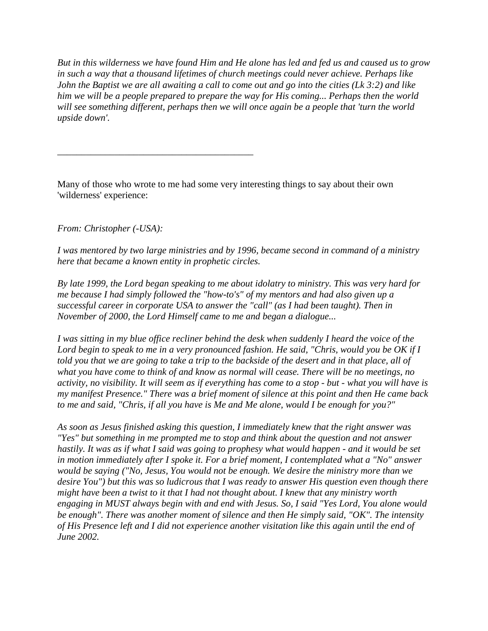*But in this wilderness we have found Him and He alone has led and fed us and caused us to grow in such a way that a thousand lifetimes of church meetings could never achieve. Perhaps like John the Baptist we are all awaiting a call to come out and go into the cities (Lk 3:2) and like him we will be a people prepared to prepare the way for His coming... Perhaps then the world will see something different, perhaps then we will once again be a people that 'turn the world upside down'.* 

Many of those who wrote to me had some very interesting things to say about their own 'wilderness' experience:

*From: Christopher (-USA):* 

*\_\_\_\_\_\_\_\_\_\_\_\_\_\_\_\_\_\_\_\_\_\_\_\_\_\_\_\_\_\_\_\_\_\_\_\_\_\_\_\_\_* 

*I was mentored by two large ministries and by 1996, became second in command of a ministry here that became a known entity in prophetic circles.* 

*By late 1999, the Lord began speaking to me about idolatry to ministry. This was very hard for me because I had simply followed the "how-to's" of my mentors and had also given up a successful career in corporate USA to answer the "call" (as I had been taught). Then in November of 2000, the Lord Himself came to me and began a dialogue...* 

*I was sitting in my blue office recliner behind the desk when suddenly I heard the voice of the Lord begin to speak to me in a very pronounced fashion. He said, "Chris, would you be OK if I told you that we are going to take a trip to the backside of the desert and in that place, all of what you have come to think of and know as normal will cease. There will be no meetings, no activity, no visibility. It will seem as if everything has come to a stop - but - what you will have is my manifest Presence." There was a brief moment of silence at this point and then He came back to me and said, "Chris, if all you have is Me and Me alone, would I be enough for you?"* 

*As soon as Jesus finished asking this question, I immediately knew that the right answer was "Yes" but something in me prompted me to stop and think about the question and not answer hastily. It was as if what I said was going to prophesy what would happen - and it would be set in motion immediately after I spoke it. For a brief moment, I contemplated what a "No" answer would be saying ("No, Jesus, You would not be enough. We desire the ministry more than we desire You") but this was so ludicrous that I was ready to answer His question even though there might have been a twist to it that I had not thought about. I knew that any ministry worth engaging in MUST always begin with and end with Jesus. So, I said "Yes Lord, You alone would be enough". There was another moment of silence and then He simply said, "OK". The intensity of His Presence left and I did not experience another visitation like this again until the end of June 2002.*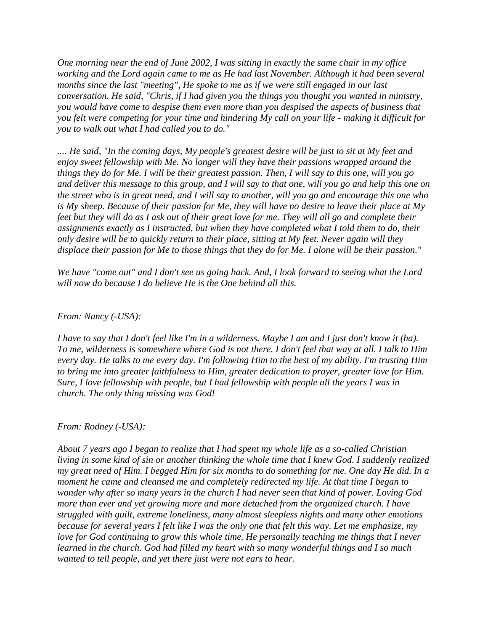*One morning near the end of June 2002, I was sitting in exactly the same chair in my office working and the Lord again came to me as He had last November. Although it had been several months since the last "meeting", He spoke to me as if we were still engaged in our last conversation. He said, "Chris, if I had given you the things you thought you wanted in ministry, you would have come to despise them even more than you despised the aspects of business that you felt were competing for your time and hindering My call on your life - making it difficult for you to walk out what I had called you to do."* 

*.... He said, "In the coming days, My people's greatest desire will be just to sit at My feet and enjoy sweet fellowship with Me. No longer will they have their passions wrapped around the things they do for Me. I will be their greatest passion. Then, I will say to this one, will you go and deliver this message to this group, and I will say to that one, will you go and help this one on the street who is in great need, and I will say to another, will you go and encourage this one who is My sheep. Because of their passion for Me, they will have no desire to leave their place at My feet but they will do as I ask out of their great love for me. They will all go and complete their assignments exactly as I instructed, but when they have completed what I told them to do, their only desire will be to quickly return to their place, sitting at My feet. Never again will they displace their passion for Me to those things that they do for Me. I alone will be their passion."* 

*We have "come out" and I don't see us going back. And, I look forward to seeing what the Lord will now do because I do believe He is the One behind all this.* 

#### *From: Nancy (-USA):*

*I have to say that I don't feel like I'm in a wilderness. Maybe I am and I just don't know it (ha). To me, wilderness is somewhere where God is not there. I don't feel that way at all. I talk to Him every day. He talks to me every day. I'm following Him to the best of my ability. I'm trusting Him to bring me into greater faithfulness to Him, greater dedication to prayer, greater love for Him. Sure, I love fellowship with people, but I had fellowship with people all the years I was in church. The only thing missing was God!* 

#### *From: Rodney (-USA):*

*About 7 years ago I began to realize that I had spent my whole life as a so-called Christian living in some kind of sin or another thinking the whole time that I knew God. I suddenly realized my great need of Him. I begged Him for six months to do something for me. One day He did. In a moment he came and cleansed me and completely redirected my life. At that time I began to wonder why after so many years in the church I had never seen that kind of power. Loving God more than ever and yet growing more and more detached from the organized church. I have struggled with guilt, extreme loneliness, many almost sleepless nights and many other emotions because for several years I felt like I was the only one that felt this way. Let me emphasize, my love for God continuing to grow this whole time. He personally teaching me things that I never learned in the church. God had filled my heart with so many wonderful things and I so much wanted to tell people, and yet there just were not ears to hear.*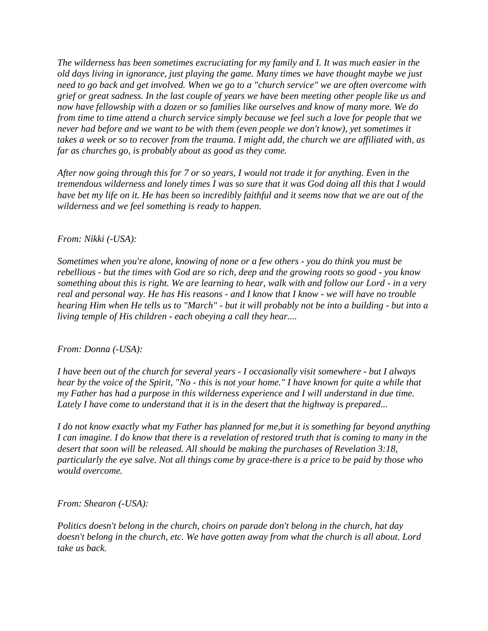*The wilderness has been sometimes excruciating for my family and I. It was much easier in the old days living in ignorance, just playing the game. Many times we have thought maybe we just need to go back and get involved. When we go to a "church service" we are often overcome with grief or great sadness. In the last couple of years we have been meeting other people like us and now have fellowship with a dozen or so families like ourselves and know of many more. We do from time to time attend a church service simply because we feel such a love for people that we never had before and we want to be with them (even people we don't know), yet sometimes it takes a week or so to recover from the trauma. I might add, the church we are affiliated with, as far as churches go, is probably about as good as they come.* 

*After now going through this for 7 or so years, I would not trade it for anything. Even in the tremendous wilderness and lonely times I was so sure that it was God doing all this that I would have bet my life on it. He has been so incredibly faithful and it seems now that we are out of the wilderness and we feel something is ready to happen.* 

#### *From: Nikki (-USA):*

*Sometimes when you're alone, knowing of none or a few others - you do think you must be rebellious - but the times with God are so rich, deep and the growing roots so good - you know something about this is right. We are learning to hear, walk with and follow our Lord - in a very real and personal way. He has His reasons - and I know that I know - we will have no trouble hearing Him when He tells us to "March" - but it will probably not be into a building - but into a living temple of His children - each obeying a call they hear....* 

#### *From: Donna (-USA):*

*I have been out of the church for several years - I occasionally visit somewhere - but I always hear by the voice of the Spirit, "No - this is not your home." I have known for quite a while that my Father has had a purpose in this wilderness experience and I will understand in due time. Lately I have come to understand that it is in the desert that the highway is prepared...* 

*I do not know exactly what my Father has planned for me,but it is something far beyond anything I can imagine. I do know that there is a revelation of restored truth that is coming to many in the desert that soon will be released. All should be making the purchases of Revelation 3:18, particularly the eye salve. Not all things come by grace-there is a price to be paid by those who would overcome.* 

*From: Shearon (-USA):* 

*Politics doesn't belong in the church, choirs on parade don't belong in the church, hat day doesn't belong in the church, etc. We have gotten away from what the church is all about. Lord take us back.*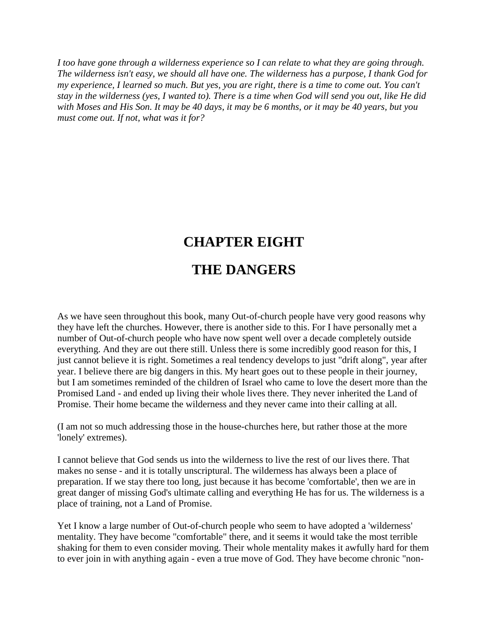*I too have gone through a wilderness experience so I can relate to what they are going through. The wilderness isn't easy, we should all have one. The wilderness has a purpose, I thank God for my experience, I learned so much. But yes, you are right, there is a time to come out. You can't stay in the wilderness (yes, I wanted to). There is a time when God will send you out, like He did with Moses and His Son. It may be 40 days, it may be 6 months, or it may be 40 years, but you must come out. If not, what was it for?* 

# **CHAPTER EIGHT**

## **THE DANGERS**

As we have seen throughout this book, many Out-of-church people have very good reasons why they have left the churches. However, there is another side to this. For I have personally met a number of Out-of-church people who have now spent well over a decade completely outside everything. And they are out there still. Unless there is some incredibly good reason for this, I just cannot believe it is right. Sometimes a real tendency develops to just "drift along", year after year. I believe there are big dangers in this. My heart goes out to these people in their journey, but I am sometimes reminded of the children of Israel who came to love the desert more than the Promised Land - and ended up living their whole lives there. They never inherited the Land of Promise. Their home became the wilderness and they never came into their calling at all.

(I am not so much addressing those in the house-churches here, but rather those at the more 'lonely' extremes).

I cannot believe that God sends us into the wilderness to live the rest of our lives there. That makes no sense - and it is totally unscriptural. The wilderness has always been a place of preparation. If we stay there too long, just because it has become 'comfortable', then we are in great danger of missing God's ultimate calling and everything He has for us. The wilderness is a place of training, not a Land of Promise.

Yet I know a large number of Out-of-church people who seem to have adopted a 'wilderness' mentality. They have become "comfortable" there, and it seems it would take the most terrible shaking for them to even consider moving. Their whole mentality makes it awfully hard for them to ever join in with anything again - even a true move of God. They have become chronic "non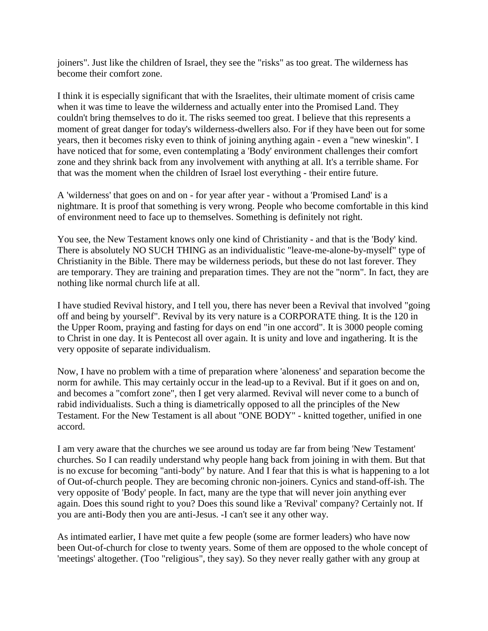joiners". Just like the children of Israel, they see the "risks" as too great. The wilderness has become their comfort zone.

I think it is especially significant that with the Israelites, their ultimate moment of crisis came when it was time to leave the wilderness and actually enter into the Promised Land. They couldn't bring themselves to do it. The risks seemed too great. I believe that this represents a moment of great danger for today's wilderness-dwellers also. For if they have been out for some years, then it becomes risky even to think of joining anything again - even a "new wineskin". I have noticed that for some, even contemplating a 'Body' environment challenges their comfort zone and they shrink back from any involvement with anything at all. It's a terrible shame. For that was the moment when the children of Israel lost everything - their entire future.

A 'wilderness' that goes on and on - for year after year - without a 'Promised Land' is a nightmare. It is proof that something is very wrong. People who become comfortable in this kind of environment need to face up to themselves. Something is definitely not right.

You see, the New Testament knows only one kind of Christianity - and that is the 'Body' kind. There is absolutely NO SUCH THING as an individualistic "leave-me-alone-by-myself" type of Christianity in the Bible. There may be wilderness periods, but these do not last forever. They are temporary. They are training and preparation times. They are not the "norm". In fact, they are nothing like normal church life at all.

I have studied Revival history, and I tell you, there has never been a Revival that involved "going off and being by yourself". Revival by its very nature is a CORPORATE thing. It is the 120 in the Upper Room, praying and fasting for days on end "in one accord". It is 3000 people coming to Christ in one day. It is Pentecost all over again. It is unity and love and ingathering. It is the very opposite of separate individualism.

Now, I have no problem with a time of preparation where 'aloneness' and separation become the norm for awhile. This may certainly occur in the lead-up to a Revival. But if it goes on and on, and becomes a "comfort zone", then I get very alarmed. Revival will never come to a bunch of rabid individualists. Such a thing is diametrically opposed to all the principles of the New Testament. For the New Testament is all about "ONE BODY" - knitted together, unified in one accord.

I am very aware that the churches we see around us today are far from being 'New Testament' churches. So I can readily understand why people hang back from joining in with them. But that is no excuse for becoming "anti-body" by nature. And I fear that this is what is happening to a lot of Out-of-church people. They are becoming chronic non-joiners. Cynics and stand-off-ish. The very opposite of 'Body' people. In fact, many are the type that will never join anything ever again. Does this sound right to you? Does this sound like a 'Revival' company? Certainly not. If you are anti-Body then you are anti-Jesus. -I can't see it any other way.

As intimated earlier, I have met quite a few people (some are former leaders) who have now been Out-of-church for close to twenty years. Some of them are opposed to the whole concept of 'meetings' altogether. (Too "religious", they say). So they never really gather with any group at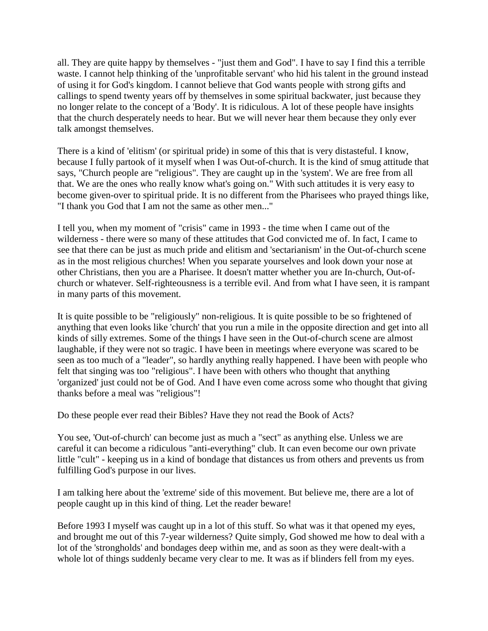all. They are quite happy by themselves - "just them and God". I have to say I find this a terrible waste. I cannot help thinking of the 'unprofitable servant' who hid his talent in the ground instead of using it for God's kingdom. I cannot believe that God wants people with strong gifts and callings to spend twenty years off by themselves in some spiritual backwater, just because they no longer relate to the concept of a 'Body'. It is ridiculous. A lot of these people have insights that the church desperately needs to hear. But we will never hear them because they only ever talk amongst themselves.

There is a kind of 'elitism' (or spiritual pride) in some of this that is very distasteful. I know, because I fully partook of it myself when I was Out-of-church. It is the kind of smug attitude that says, "Church people are "religious". They are caught up in the 'system'. We are free from all that. We are the ones who really know what's going on." With such attitudes it is very easy to become given-over to spiritual pride. It is no different from the Pharisees who prayed things like, "I thank you God that I am not the same as other men..."

I tell you, when my moment of "crisis" came in 1993 - the time when I came out of the wilderness - there were so many of these attitudes that God convicted me of. In fact, I came to see that there can be just as much pride and elitism and 'sectarianism' in the Out-of-church scene as in the most religious churches! When you separate yourselves and look down your nose at other Christians, then you are a Pharisee. It doesn't matter whether you are In-church, Out-ofchurch or whatever. Self-righteousness is a terrible evil. And from what I have seen, it is rampant in many parts of this movement.

It is quite possible to be "religiously" non-religious. It is quite possible to be so frightened of anything that even looks like 'church' that you run a mile in the opposite direction and get into all kinds of silly extremes. Some of the things I have seen in the Out-of-church scene are almost laughable, if they were not so tragic. I have been in meetings where everyone was scared to be seen as too much of a "leader", so hardly anything really happened. I have been with people who felt that singing was too "religious". I have been with others who thought that anything 'organized' just could not be of God. And I have even come across some who thought that giving thanks before a meal was "religious"!

Do these people ever read their Bibles? Have they not read the Book of Acts?

You see, 'Out-of-church' can become just as much a "sect" as anything else. Unless we are careful it can become a ridiculous "anti-everything" club. It can even become our own private little "cult" - keeping us in a kind of bondage that distances us from others and prevents us from fulfilling God's purpose in our lives.

I am talking here about the 'extreme' side of this movement. But believe me, there are a lot of people caught up in this kind of thing. Let the reader beware!

Before 1993 I myself was caught up in a lot of this stuff. So what was it that opened my eyes, and brought me out of this 7-year wilderness? Quite simply, God showed me how to deal with a lot of the 'strongholds' and bondages deep within me, and as soon as they were dealt-with a whole lot of things suddenly became very clear to me. It was as if blinders fell from my eyes.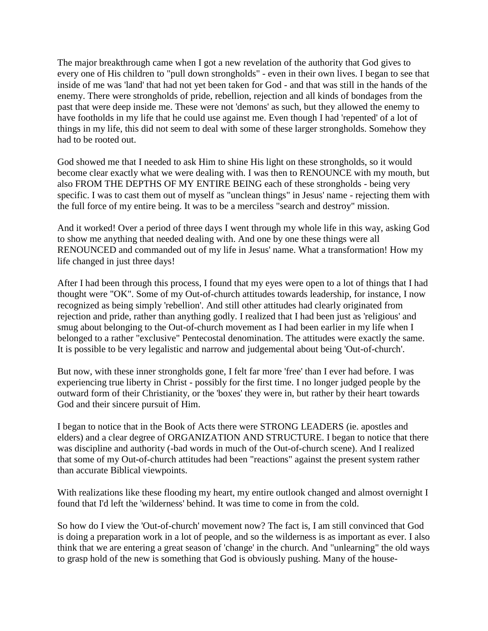The major breakthrough came when I got a new revelation of the authority that God gives to every one of His children to "pull down strongholds" - even in their own lives. I began to see that inside of me was 'land' that had not yet been taken for God - and that was still in the hands of the enemy. There were strongholds of pride, rebellion, rejection and all kinds of bondages from the past that were deep inside me. These were not 'demons' as such, but they allowed the enemy to have footholds in my life that he could use against me. Even though I had 'repented' of a lot of things in my life, this did not seem to deal with some of these larger strongholds. Somehow they had to be rooted out.

God showed me that I needed to ask Him to shine His light on these strongholds, so it would become clear exactly what we were dealing with. I was then to RENOUNCE with my mouth, but also FROM THE DEPTHS OF MY ENTIRE BEING each of these strongholds - being very specific. I was to cast them out of myself as "unclean things" in Jesus' name - rejecting them with the full force of my entire being. It was to be a merciless "search and destroy" mission.

And it worked! Over a period of three days I went through my whole life in this way, asking God to show me anything that needed dealing with. And one by one these things were all RENOUNCED and commanded out of my life in Jesus' name. What a transformation! How my life changed in just three days!

After I had been through this process, I found that my eyes were open to a lot of things that I had thought were "OK". Some of my Out-of-church attitudes towards leadership, for instance, I now recognized as being simply 'rebellion'. And still other attitudes had clearly originated from rejection and pride, rather than anything godly. I realized that I had been just as 'religious' and smug about belonging to the Out-of-church movement as I had been earlier in my life when I belonged to a rather "exclusive" Pentecostal denomination. The attitudes were exactly the same. It is possible to be very legalistic and narrow and judgemental about being 'Out-of-church'.

But now, with these inner strongholds gone, I felt far more 'free' than I ever had before. I was experiencing true liberty in Christ - possibly for the first time. I no longer judged people by the outward form of their Christianity, or the 'boxes' they were in, but rather by their heart towards God and their sincere pursuit of Him.

I began to notice that in the Book of Acts there were STRONG LEADERS (ie. apostles and elders) and a clear degree of ORGANIZATION AND STRUCTURE. I began to notice that there was discipline and authority (-bad words in much of the Out-of-church scene). And I realized that some of my Out-of-church attitudes had been "reactions" against the present system rather than accurate Biblical viewpoints.

With realizations like these flooding my heart, my entire outlook changed and almost overnight I found that I'd left the 'wilderness' behind. It was time to come in from the cold.

So how do I view the 'Out-of-church' movement now? The fact is, I am still convinced that God is doing a preparation work in a lot of people, and so the wilderness is as important as ever. I also think that we are entering a great season of 'change' in the church. And "unlearning" the old ways to grasp hold of the new is something that God is obviously pushing. Many of the house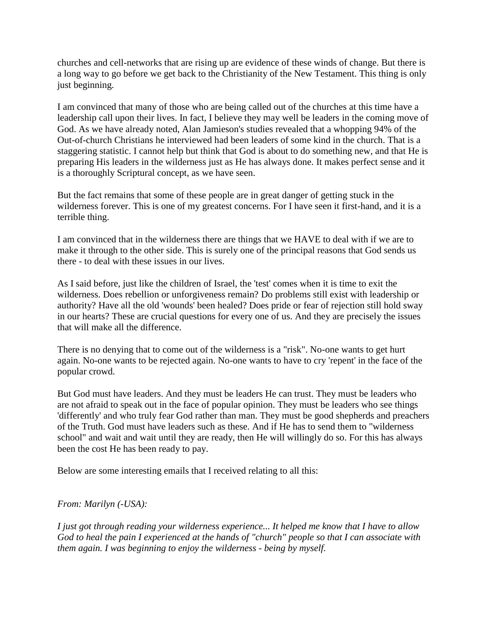churches and cell-networks that are rising up are evidence of these winds of change. But there is a long way to go before we get back to the Christianity of the New Testament. This thing is only just beginning.

I am convinced that many of those who are being called out of the churches at this time have a leadership call upon their lives. In fact, I believe they may well be leaders in the coming move of God. As we have already noted, Alan Jamieson's studies revealed that a whopping 94% of the Out-of-church Christians he interviewed had been leaders of some kind in the church. That is a staggering statistic. I cannot help but think that God is about to do something new, and that He is preparing His leaders in the wilderness just as He has always done. It makes perfect sense and it is a thoroughly Scriptural concept, as we have seen.

But the fact remains that some of these people are in great danger of getting stuck in the wilderness forever. This is one of my greatest concerns. For I have seen it first-hand, and it is a terrible thing.

I am convinced that in the wilderness there are things that we HAVE to deal with if we are to make it through to the other side. This is surely one of the principal reasons that God sends us there - to deal with these issues in our lives.

As I said before, just like the children of Israel, the 'test' comes when it is time to exit the wilderness. Does rebellion or unforgiveness remain? Do problems still exist with leadership or authority? Have all the old 'wounds' been healed? Does pride or fear of rejection still hold sway in our hearts? These are crucial questions for every one of us. And they are precisely the issues that will make all the difference.

There is no denying that to come out of the wilderness is a "risk". No-one wants to get hurt again. No-one wants to be rejected again. No-one wants to have to cry 'repent' in the face of the popular crowd.

But God must have leaders. And they must be leaders He can trust. They must be leaders who are not afraid to speak out in the face of popular opinion. They must be leaders who see things 'differently' and who truly fear God rather than man. They must be good shepherds and preachers of the Truth. God must have leaders such as these. And if He has to send them to "wilderness school" and wait and wait until they are ready, then He will willingly do so. For this has always been the cost He has been ready to pay.

Below are some interesting emails that I received relating to all this:

#### *From: Marilyn (-USA):*

*I just got through reading your wilderness experience... It helped me know that I have to allow God to heal the pain I experienced at the hands of "church" people so that I can associate with them again. I was beginning to enjoy the wilderness - being by myself.*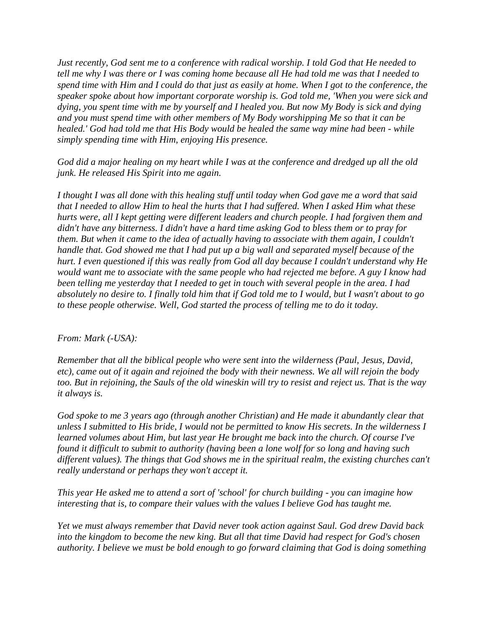*Just recently, God sent me to a conference with radical worship. I told God that He needed to tell me why I was there or I was coming home because all He had told me was that I needed to spend time with Him and I could do that just as easily at home. When I got to the conference, the speaker spoke about how important corporate worship is. God told me, 'When you were sick and dying, you spent time with me by yourself and I healed you. But now My Body is sick and dying and you must spend time with other members of My Body worshipping Me so that it can be healed.' God had told me that His Body would be healed the same way mine had been - while simply spending time with Him, enjoying His presence.* 

*God did a major healing on my heart while I was at the conference and dredged up all the old junk. He released His Spirit into me again.* 

*I thought I was all done with this healing stuff until today when God gave me a word that said that I needed to allow Him to heal the hurts that I had suffered. When I asked Him what these hurts were, all I kept getting were different leaders and church people. I had forgiven them and didn't have any bitterness. I didn't have a hard time asking God to bless them or to pray for them. But when it came to the idea of actually having to associate with them again, I couldn't handle that. God showed me that I had put up a big wall and separated myself because of the hurt. I even questioned if this was really from God all day because I couldn't understand why He would want me to associate with the same people who had rejected me before. A guy I know had been telling me yesterday that I needed to get in touch with several people in the area. I had absolutely no desire to. I finally told him that if God told me to I would, but I wasn't about to go to these people otherwise. Well, God started the process of telling me to do it today.* 

#### *From: Mark (-USA):*

*Remember that all the biblical people who were sent into the wilderness (Paul, Jesus, David, etc), came out of it again and rejoined the body with their newness. We all will rejoin the body too. But in rejoining, the Sauls of the old wineskin will try to resist and reject us. That is the way it always is.* 

*God spoke to me 3 years ago (through another Christian) and He made it abundantly clear that unless I submitted to His bride, I would not be permitted to know His secrets. In the wilderness I learned volumes about Him, but last year He brought me back into the church. Of course I've found it difficult to submit to authority (having been a lone wolf for so long and having such different values). The things that God shows me in the spiritual realm, the existing churches can't really understand or perhaps they won't accept it.* 

*This year He asked me to attend a sort of 'school' for church building - you can imagine how interesting that is, to compare their values with the values I believe God has taught me.* 

*Yet we must always remember that David never took action against Saul. God drew David back into the kingdom to become the new king. But all that time David had respect for God's chosen authority. I believe we must be bold enough to go forward claiming that God is doing something*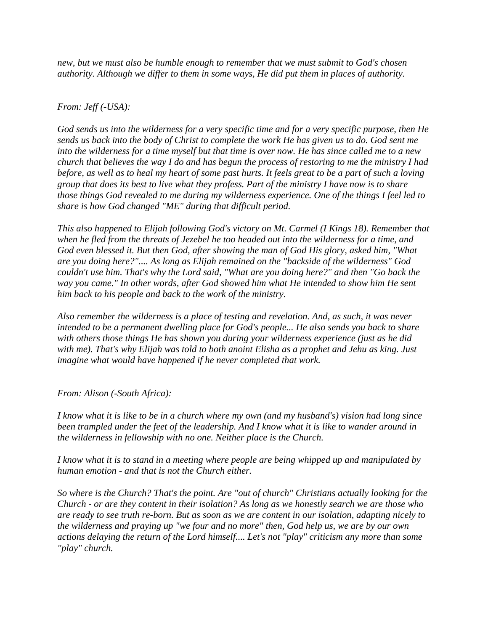*new, but we must also be humble enough to remember that we must submit to God's chosen authority. Although we differ to them in some ways, He did put them in places of authority.* 

#### *From: Jeff (-USA):*

*God sends us into the wilderness for a very specific time and for a very specific purpose, then He sends us back into the body of Christ to complete the work He has given us to do. God sent me into the wilderness for a time myself but that time is over now. He has since called me to a new church that believes the way I do and has begun the process of restoring to me the ministry I had before, as well as to heal my heart of some past hurts. It feels great to be a part of such a loving group that does its best to live what they profess. Part of the ministry I have now is to share those things God revealed to me during my wilderness experience. One of the things I feel led to share is how God changed "ME" during that difficult period.* 

*This also happened to Elijah following God's victory on Mt. Carmel (I Kings 18). Remember that when he fled from the threats of Jezebel he too headed out into the wilderness for a time, and God even blessed it. But then God, after showing the man of God His glory, asked him, "What are you doing here?".... As long as Elijah remained on the "backside of the wilderness" God couldn't use him. That's why the Lord said, "What are you doing here?" and then "Go back the way you came." In other words, after God showed him what He intended to show him He sent him back to his people and back to the work of the ministry.* 

*Also remember the wilderness is a place of testing and revelation. And, as such, it was never intended to be a permanent dwelling place for God's people... He also sends you back to share with others those things He has shown you during your wilderness experience (just as he did with me). That's why Elijah was told to both anoint Elisha as a prophet and Jehu as king. Just imagine what would have happened if he never completed that work.* 

*From: Alison (-South Africa):* 

*I know what it is like to be in a church where my own (and my husband's) vision had long since been trampled under the feet of the leadership. And I know what it is like to wander around in the wilderness in fellowship with no one. Neither place is the Church.* 

*I know what it is to stand in a meeting where people are being whipped up and manipulated by human emotion - and that is not the Church either.* 

*So where is the Church? That's the point. Are "out of church" Christians actually looking for the Church - or are they content in their isolation? As long as we honestly search we are those who are ready to see truth re-born. But as soon as we are content in our isolation, adapting nicely to the wilderness and praying up "we four and no more" then, God help us, we are by our own actions delaying the return of the Lord himself.... Let's not "play" criticism any more than some "play" church.*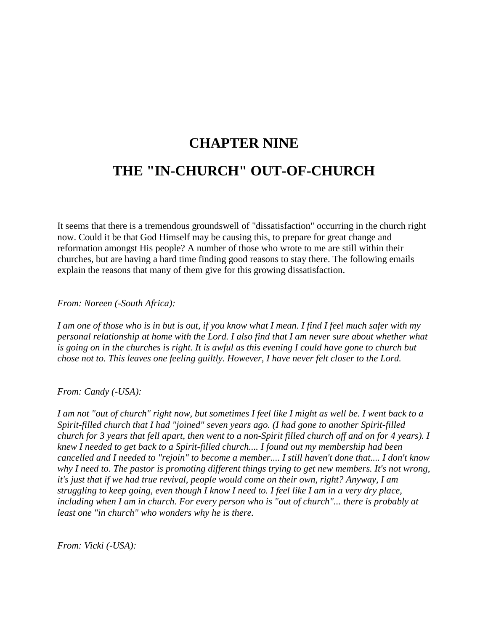## **CHAPTER NINE THE "IN-CHURCH" OUT-OF-CHURCH**

It seems that there is a tremendous groundswell of "dissatisfaction" occurring in the church right now. Could it be that God Himself may be causing this, to prepare for great change and reformation amongst His people? A number of those who wrote to me are still within their churches, but are having a hard time finding good reasons to stay there. The following emails explain the reasons that many of them give for this growing dissatisfaction.

*From: Noreen (-South Africa):* 

*I am one of those who is in but is out, if you know what I mean. I find I feel much safer with my personal relationship at home with the Lord. I also find that I am never sure about whether what is going on in the churches is right. It is awful as this evening I could have gone to church but chose not to. This leaves one feeling guiltly. However, I have never felt closer to the Lord.* 

*From: Candy (-USA):* 

*I am not "out of church" right now, but sometimes I feel like I might as well be. I went back to a Spirit-filled church that I had "joined" seven years ago. (I had gone to another Spirit-filled church for 3 years that fell apart, then went to a non-Spirit filled church off and on for 4 years). I knew I needed to get back to a Spirit-filled church.... I found out my membership had been cancelled and I needed to "rejoin" to become a member.... I still haven't done that.... I don't know why I need to. The pastor is promoting different things trying to get new members. It's not wrong, it's just that if we had true revival, people would come on their own, right? Anyway, I am struggling to keep going, even though I know I need to. I feel like I am in a very dry place, including when I am in church. For every person who is "out of church"... there is probably at least one "in church" who wonders why he is there.* 

*From: Vicki (-USA):*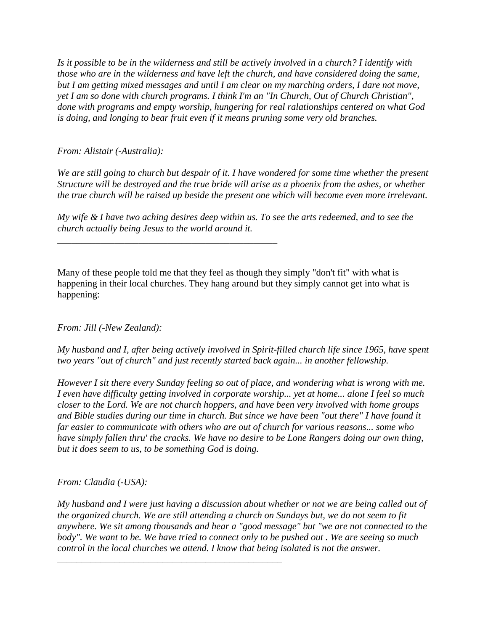*Is it possible to be in the wilderness and still be actively involved in a church? I identify with those who are in the wilderness and have left the church, and have considered doing the same, but I am getting mixed messages and until I am clear on my marching orders, I dare not move, yet I am so done with church programs. I think I'm an "In Church, Out of Church Christian", done with programs and empty worship, hungering for real ralationships centered on what God is doing, and longing to bear fruit even if it means pruning some very old branches.* 

*From: Alistair (-Australia):* 

We are still going to church but despair of it. I have wondered for some time whether the present *Structure will be destroyed and the true bride will arise as a phoenix from the ashes, or whether the true church will be raised up beside the present one which will become even more irrelevant.* 

*My wife & I have two aching desires deep within us. To see the arts redeemed, and to see the church actually being Jesus to the world around it.* 

*\_\_\_\_\_\_\_\_\_\_\_\_\_\_\_\_\_\_\_\_\_\_\_\_\_\_\_\_\_\_\_\_\_\_\_\_\_\_\_\_\_\_\_\_\_\_* 

*\_\_\_\_\_\_\_\_\_\_\_\_\_\_\_\_\_\_\_\_\_\_\_\_\_\_\_\_\_\_\_\_\_\_\_\_\_\_\_\_\_\_\_\_\_\_\_* 

Many of these people told me that they feel as though they simply "don't fit" with what is happening in their local churches. They hang around but they simply cannot get into what is happening:

*From: Jill (-New Zealand):* 

*My husband and I, after being actively involved in Spirit-filled church life since 1965, have spent two years "out of church" and just recently started back again... in another fellowship.* 

*However I sit there every Sunday feeling so out of place, and wondering what is wrong with me. I even have difficulty getting involved in corporate worship... yet at home... alone I feel so much closer to the Lord. We are not church hoppers, and have been very involved with home groups and Bible studies during our time in church. But since we have been "out there" I have found it far easier to communicate with others who are out of church for various reasons... some who have simply fallen thru' the cracks. We have no desire to be Lone Rangers doing our own thing, but it does seem to us, to be something God is doing.* 

*From: Claudia (-USA):* 

*My husband and I were just having a discussion about whether or not we are being called out of the organized church. We are still attending a church on Sundays but, we do not seem to fit anywhere. We sit among thousands and hear a "good message" but "we are not connected to the body". We want to be. We have tried to connect only to be pushed out . We are seeing so much control in the local churches we attend. I know that being isolated is not the answer.*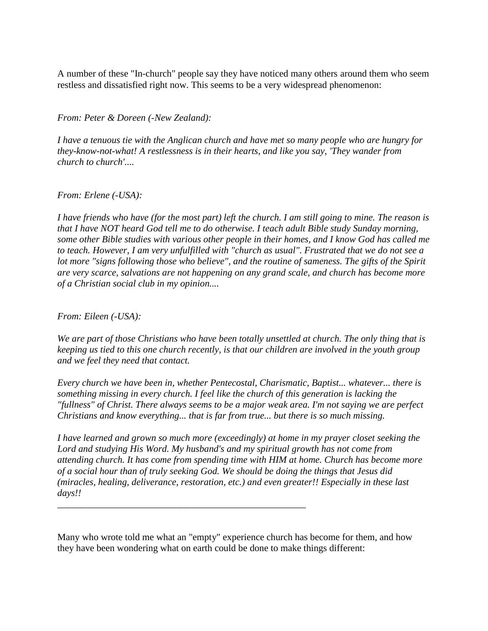A number of these "In-church" people say they have noticed many others around them who seem restless and dissatisfied right now. This seems to be a very widespread phenomenon:

*From: Peter & Doreen (-New Zealand):* 

*I have a tenuous tie with the Anglican church and have met so many people who are hungry for they-know-not-what! A restlessness is in their hearts, and like you say, 'They wander from church to church'....* 

#### *From: Erlene (-USA):*

*I have friends who have (for the most part) left the church. I am still going to mine. The reason is that I have NOT heard God tell me to do otherwise. I teach adult Bible study Sunday morning, some other Bible studies with various other people in their homes, and I know God has called me to teach. However, I am very unfulfilled with "church as usual". Frustrated that we do not see a lot more "signs following those who believe", and the routine of sameness. The gifts of the Spirit are very scarce, salvations are not happening on any grand scale, and church has become more of a Christian social club in my opinion....* 

*From: Eileen (-USA):* 

*We are part of those Christians who have been totally unsettled at church. The only thing that is keeping us tied to this one church recently, is that our children are involved in the youth group and we feel they need that contact.* 

*Every church we have been in, whether Pentecostal, Charismatic, Baptist... whatever... there is something missing in every church. I feel like the church of this generation is lacking the "fullness" of Christ. There always seems to be a major weak area. I'm not saying we are perfect Christians and know everything... that is far from true... but there is so much missing.* 

*I have learned and grown so much more (exceedingly) at home in my prayer closet seeking the Lord and studying His Word. My husband's and my spiritual growth has not come from attending church. It has come from spending time with HIM at home. Church has become more of a social hour than of truly seeking God. We should be doing the things that Jesus did (miracles, healing, deliverance, restoration, etc.) and even greater!! Especially in these last days!!* 

Many who wrote told me what an "empty" experience church has become for them, and how they have been wondering what on earth could be done to make things different:

*\_\_\_\_\_\_\_\_\_\_\_\_\_\_\_\_\_\_\_\_\_\_\_\_\_\_\_\_\_\_\_\_\_\_\_\_\_\_\_\_\_\_\_\_\_\_\_\_\_\_\_\_*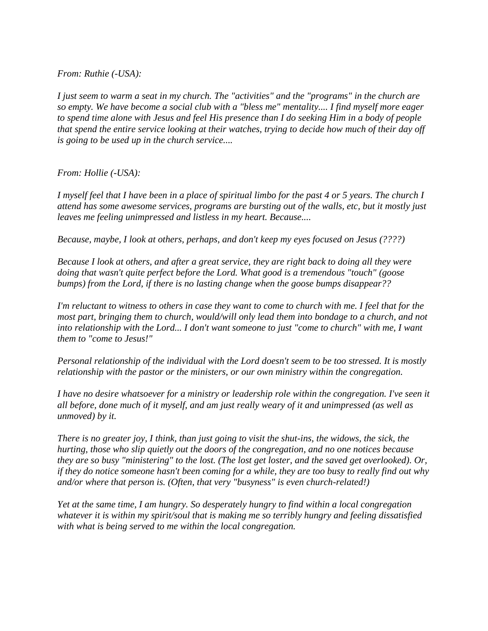*From: Ruthie (-USA):* 

*I just seem to warm a seat in my church. The "activities" and the "programs" in the church are so empty. We have become a social club with a "bless me" mentality.... I find myself more eager to spend time alone with Jesus and feel His presence than I do seeking Him in a body of people that spend the entire service looking at their watches, trying to decide how much of their day off is going to be used up in the church service....* 

*From: Hollie (-USA):* 

*I myself feel that I have been in a place of spiritual limbo for the past 4 or 5 years. The church I attend has some awesome services, programs are bursting out of the walls, etc, but it mostly just leaves me feeling unimpressed and listless in my heart. Because....* 

*Because, maybe, I look at others, perhaps, and don't keep my eyes focused on Jesus (????)* 

*Because I look at others, and after a great service, they are right back to doing all they were doing that wasn't quite perfect before the Lord. What good is a tremendous "touch" (goose bumps) from the Lord, if there is no lasting change when the goose bumps disappear??* 

*I'm reluctant to witness to others in case they want to come to church with me. I feel that for the most part, bringing them to church, would/will only lead them into bondage to a church, and not into relationship with the Lord... I don't want someone to just "come to church" with me, I want them to "come to Jesus!"* 

*Personal relationship of the individual with the Lord doesn't seem to be too stressed. It is mostly relationship with the pastor or the ministers, or our own ministry within the congregation.* 

*I have no desire whatsoever for a ministry or leadership role within the congregation. I've seen it all before, done much of it myself, and am just really weary of it and unimpressed (as well as unmoved) by it.* 

*There is no greater joy, I think, than just going to visit the shut-ins, the widows, the sick, the hurting, those who slip quietly out the doors of the congregation, and no one notices because they are so busy "ministering" to the lost. (The lost get loster, and the saved get overlooked). Or, if they do notice someone hasn't been coming for a while, they are too busy to really find out why and/or where that person is. (Often, that very "busyness" is even church-related!)* 

*Yet at the same time, I am hungry. So desperately hungry to find within a local congregation whatever it is within my spirit/soul that is making me so terribly hungry and feeling dissatisfied with what is being served to me within the local congregation.*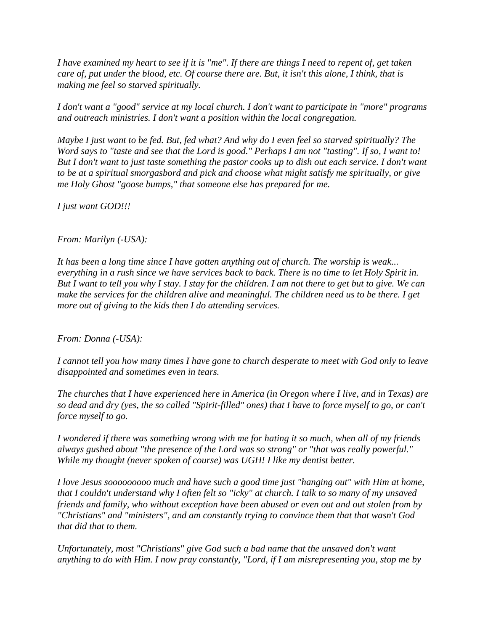*I have examined my heart to see if it is "me". If there are things I need to repent of, get taken care of, put under the blood, etc. Of course there are. But, it isn't this alone, I think, that is making me feel so starved spiritually.* 

*I don't want a "good" service at my local church. I don't want to participate in "more" programs and outreach ministries. I don't want a position within the local congregation.* 

*Maybe I just want to be fed. But, fed what? And why do I even feel so starved spiritually? The Word says to "taste and see that the Lord is good." Perhaps I am not "tasting". If so, I want to! But I don't want to just taste something the pastor cooks up to dish out each service. I don't want to be at a spiritual smorgasbord and pick and choose what might satisfy me spiritually, or give me Holy Ghost "goose bumps," that someone else has prepared for me.* 

*I just want GOD!!!* 

#### *From: Marilyn (-USA):*

*It has been a long time since I have gotten anything out of church. The worship is weak... everything in a rush since we have services back to back. There is no time to let Holy Spirit in. But I want to tell you why I stay. I stay for the children. I am not there to get but to give. We can make the services for the children alive and meaningful. The children need us to be there. I get more out of giving to the kids then I do attending services.* 

*From: Donna (-USA):* 

*I cannot tell you how many times I have gone to church desperate to meet with God only to leave disappointed and sometimes even in tears.* 

*The churches that I have experienced here in America (in Oregon where I live, and in Texas) are so dead and dry (yes, the so called "Spirit-filled" ones) that I have to force myself to go, or can't force myself to go.* 

*I wondered if there was something wrong with me for hating it so much, when all of my friends always gushed about "the presence of the Lord was so strong" or "that was really powerful." While my thought (never spoken of course) was UGH! I like my dentist better.* 

*I love Jesus sooooooooo much and have such a good time just "hanging out" with Him at home, that I couldn't understand why I often felt so "icky" at church. I talk to so many of my unsaved friends and family, who without exception have been abused or even out and out stolen from by "Christians" and "ministers", and am constantly trying to convince them that that wasn't God that did that to them.* 

*Unfortunately, most "Christians" give God such a bad name that the unsaved don't want anything to do with Him. I now pray constantly, "Lord, if I am misrepresenting you, stop me by*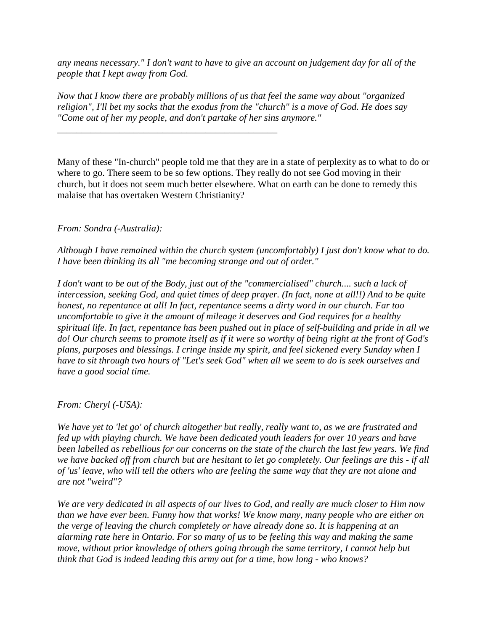*any means necessary." I don't want to have to give an account on judgement day for all of the people that I kept away from God.* 

*Now that I know there are probably millions of us that feel the same way about "organized religion", I'll bet my socks that the exodus from the "church" is a move of God. He does say "Come out of her my people, and don't partake of her sins anymore."* 

*\_\_\_\_\_\_\_\_\_\_\_\_\_\_\_\_\_\_\_\_\_\_\_\_\_\_\_\_\_\_\_\_\_\_\_\_\_\_\_\_\_\_\_\_\_\_* 

Many of these "In-church" people told me that they are in a state of perplexity as to what to do or where to go. There seem to be so few options. They really do not see God moving in their church, but it does not seem much better elsewhere. What on earth can be done to remedy this malaise that has overtaken Western Christianity?

*From: Sondra (-Australia):* 

*Although I have remained within the church system (uncomfortably) I just don't know what to do. I have been thinking its all "me becoming strange and out of order."* 

*I don't want to be out of the Body, just out of the "commercialised" church.... such a lack of intercession, seeking God, and quiet times of deep prayer. (In fact, none at all!!) And to be quite honest, no repentance at all! In fact, repentance seems a dirty word in our church. Far too uncomfortable to give it the amount of mileage it deserves and God requires for a healthy spiritual life. In fact, repentance has been pushed out in place of self-building and pride in all we do! Our church seems to promote itself as if it were so worthy of being right at the front of God's plans, purposes and blessings. I cringe inside my spirit, and feel sickened every Sunday when I have to sit through two hours of "Let's seek God" when all we seem to do is seek ourselves and have a good social time.* 

*From: Cheryl (-USA):* 

*We have yet to 'let go' of church altogether but really, really want to, as we are frustrated and fed up with playing church. We have been dedicated youth leaders for over 10 years and have been labelled as rebellious for our concerns on the state of the church the last few years. We find we have backed off from church but are hesitant to let go completely. Our feelings are this - if all of 'us' leave, who will tell the others who are feeling the same way that they are not alone and are not "weird"?* 

*We are very dedicated in all aspects of our lives to God, and really are much closer to Him now than we have ever been. Funny how that works! We know many, many people who are either on the verge of leaving the church completely or have already done so. It is happening at an alarming rate here in Ontario. For so many of us to be feeling this way and making the same move, without prior knowledge of others going through the same territory, I cannot help but think that God is indeed leading this army out for a time, how long - who knows?*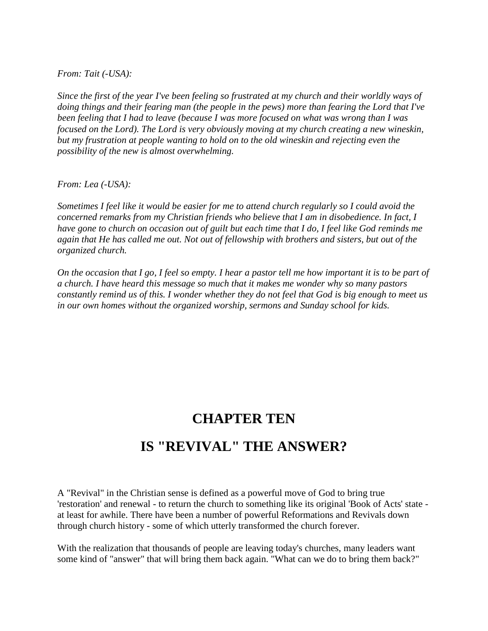*From: Tait (-USA):* 

*Since the first of the year I've been feeling so frustrated at my church and their worldly ways of doing things and their fearing man (the people in the pews) more than fearing the Lord that I've been feeling that I had to leave (because I was more focused on what was wrong than I was focused on the Lord). The Lord is very obviously moving at my church creating a new wineskin, but my frustration at people wanting to hold on to the old wineskin and rejecting even the possibility of the new is almost overwhelming.* 

*From: Lea (-USA):* 

*Sometimes I feel like it would be easier for me to attend church regularly so I could avoid the concerned remarks from my Christian friends who believe that I am in disobedience. In fact, I have gone to church on occasion out of guilt but each time that I do, I feel like God reminds me again that He has called me out. Not out of fellowship with brothers and sisters, but out of the organized church.* 

*On the occasion that I go, I feel so empty. I hear a pastor tell me how important it is to be part of a church. I have heard this message so much that it makes me wonder why so many pastors constantly remind us of this. I wonder whether they do not feel that God is big enough to meet us in our own homes without the organized worship, sermons and Sunday school for kids.* 

## **CHAPTER TEN**

### **IS "REVIVAL" THE ANSWER?**

A "Revival" in the Christian sense is defined as a powerful move of God to bring true 'restoration' and renewal - to return the church to something like its original 'Book of Acts' state at least for awhile. There have been a number of powerful Reformations and Revivals down through church history - some of which utterly transformed the church forever.

With the realization that thousands of people are leaving today's churches, many leaders want some kind of "answer" that will bring them back again. "What can we do to bring them back?"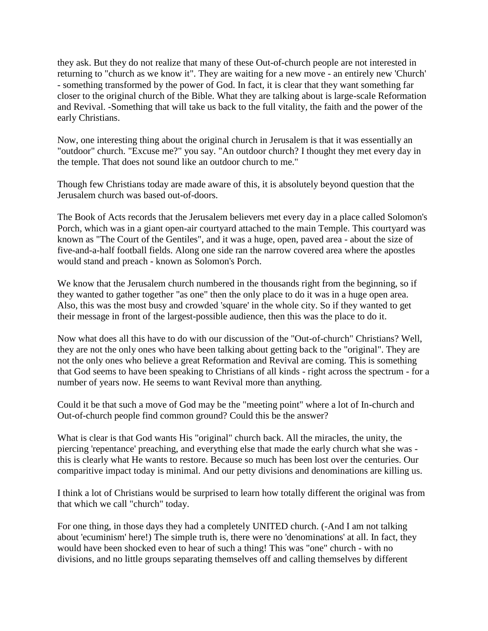they ask. But they do not realize that many of these Out-of-church people are not interested in returning to "church as we know it". They are waiting for a new move - an entirely new 'Church' - something transformed by the power of God. In fact, it is clear that they want something far closer to the original church of the Bible. What they are talking about is large-scale Reformation and Revival. -Something that will take us back to the full vitality, the faith and the power of the early Christians.

Now, one interesting thing about the original church in Jerusalem is that it was essentially an "outdoor" church. "Excuse me?" you say. "An outdoor church? I thought they met every day in the temple. That does not sound like an outdoor church to me."

Though few Christians today are made aware of this, it is absolutely beyond question that the Jerusalem church was based out-of-doors.

The Book of Acts records that the Jerusalem believers met every day in a place called Solomon's Porch, which was in a giant open-air courtyard attached to the main Temple. This courtyard was known as "The Court of the Gentiles", and it was a huge, open, paved area - about the size of five-and-a-half football fields. Along one side ran the narrow covered area where the apostles would stand and preach - known as Solomon's Porch.

We know that the Jerusalem church numbered in the thousands right from the beginning, so if they wanted to gather together "as one" then the only place to do it was in a huge open area. Also, this was the most busy and crowded 'square' in the whole city. So if they wanted to get their message in front of the largest-possible audience, then this was the place to do it.

Now what does all this have to do with our discussion of the "Out-of-church" Christians? Well, they are not the only ones who have been talking about getting back to the "original". They are not the only ones who believe a great Reformation and Revival are coming. This is something that God seems to have been speaking to Christians of all kinds - right across the spectrum - for a number of years now. He seems to want Revival more than anything.

Could it be that such a move of God may be the "meeting point" where a lot of In-church and Out-of-church people find common ground? Could this be the answer?

What is clear is that God wants His "original" church back. All the miracles, the unity, the piercing 'repentance' preaching, and everything else that made the early church what she was this is clearly what He wants to restore. Because so much has been lost over the centuries. Our comparitive impact today is minimal. And our petty divisions and denominations are killing us.

I think a lot of Christians would be surprised to learn how totally different the original was from that which we call "church" today.

For one thing, in those days they had a completely UNITED church. (-And I am not talking about 'ecuminism' here!) The simple truth is, there were no 'denominations' at all. In fact, they would have been shocked even to hear of such a thing! This was "one" church - with no divisions, and no little groups separating themselves off and calling themselves by different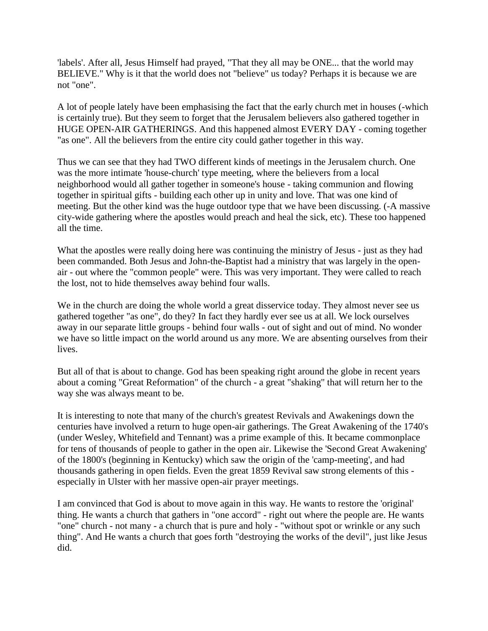'labels'. After all, Jesus Himself had prayed, "That they all may be ONE... that the world may BELIEVE." Why is it that the world does not "believe" us today? Perhaps it is because we are not "one".

A lot of people lately have been emphasising the fact that the early church met in houses (-which is certainly true). But they seem to forget that the Jerusalem believers also gathered together in HUGE OPEN-AIR GATHERINGS. And this happened almost EVERY DAY - coming together "as one". All the believers from the entire city could gather together in this way.

Thus we can see that they had TWO different kinds of meetings in the Jerusalem church. One was the more intimate 'house-church' type meeting, where the believers from a local neighborhood would all gather together in someone's house - taking communion and flowing together in spiritual gifts - building each other up in unity and love. That was one kind of meeting. But the other kind was the huge outdoor type that we have been discussing. (-A massive city-wide gathering where the apostles would preach and heal the sick, etc). These too happened all the time.

What the apostles were really doing here was continuing the ministry of Jesus - just as they had been commanded. Both Jesus and John-the-Baptist had a ministry that was largely in the openair - out where the "common people" were. This was very important. They were called to reach the lost, not to hide themselves away behind four walls.

We in the church are doing the whole world a great disservice today. They almost never see us gathered together "as one", do they? In fact they hardly ever see us at all. We lock ourselves away in our separate little groups - behind four walls - out of sight and out of mind. No wonder we have so little impact on the world around us any more. We are absenting ourselves from their lives.

But all of that is about to change. God has been speaking right around the globe in recent years about a coming "Great Reformation" of the church - a great "shaking" that will return her to the way she was always meant to be.

It is interesting to note that many of the church's greatest Revivals and Awakenings down the centuries have involved a return to huge open-air gatherings. The Great Awakening of the 1740's (under Wesley, Whitefield and Tennant) was a prime example of this. It became commonplace for tens of thousands of people to gather in the open air. Likewise the 'Second Great Awakening' of the 1800's (beginning in Kentucky) which saw the origin of the 'camp-meeting', and had thousands gathering in open fields. Even the great 1859 Revival saw strong elements of this especially in Ulster with her massive open-air prayer meetings.

I am convinced that God is about to move again in this way. He wants to restore the 'original' thing. He wants a church that gathers in "one accord" - right out where the people are. He wants "one" church - not many - a church that is pure and holy - "without spot or wrinkle or any such thing". And He wants a church that goes forth "destroying the works of the devil", just like Jesus did.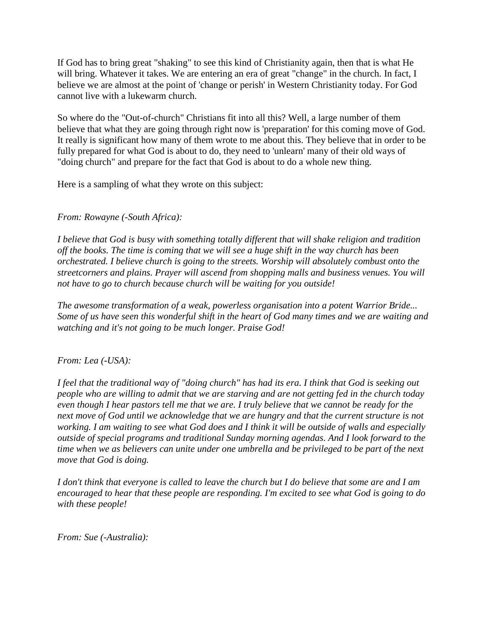If God has to bring great "shaking" to see this kind of Christianity again, then that is what He will bring. Whatever it takes. We are entering an era of great "change" in the church. In fact, I believe we are almost at the point of 'change or perish' in Western Christianity today. For God cannot live with a lukewarm church.

So where do the "Out-of-church" Christians fit into all this? Well, a large number of them believe that what they are going through right now is 'preparation' for this coming move of God. It really is significant how many of them wrote to me about this. They believe that in order to be fully prepared for what God is about to do, they need to 'unlearn' many of their old ways of "doing church" and prepare for the fact that God is about to do a whole new thing.

Here is a sampling of what they wrote on this subject:

#### *From: Rowayne (-South Africa):*

*I believe that God is busy with something totally different that will shake religion and tradition off the books. The time is coming that we will see a huge shift in the way church has been orchestrated. I believe church is going to the streets. Worship will absolutely combust onto the streetcorners and plains. Prayer will ascend from shopping malls and business venues. You will not have to go to church because church will be waiting for you outside!* 

*The awesome transformation of a weak, powerless organisation into a potent Warrior Bride... Some of us have seen this wonderful shift in the heart of God many times and we are waiting and watching and it's not going to be much longer. Praise God!* 

#### *From: Lea (-USA):*

*I feel that the traditional way of "doing church" has had its era. I think that God is seeking out people who are willing to admit that we are starving and are not getting fed in the church today even though I hear pastors tell me that we are. I truly believe that we cannot be ready for the next move of God until we acknowledge that we are hungry and that the current structure is not working. I am waiting to see what God does and I think it will be outside of walls and especially outside of special programs and traditional Sunday morning agendas. And I look forward to the time when we as believers can unite under one umbrella and be privileged to be part of the next move that God is doing.* 

*I don't think that everyone is called to leave the church but I do believe that some are and I am encouraged to hear that these people are responding. I'm excited to see what God is going to do with these people!* 

*From: Sue (-Australia):*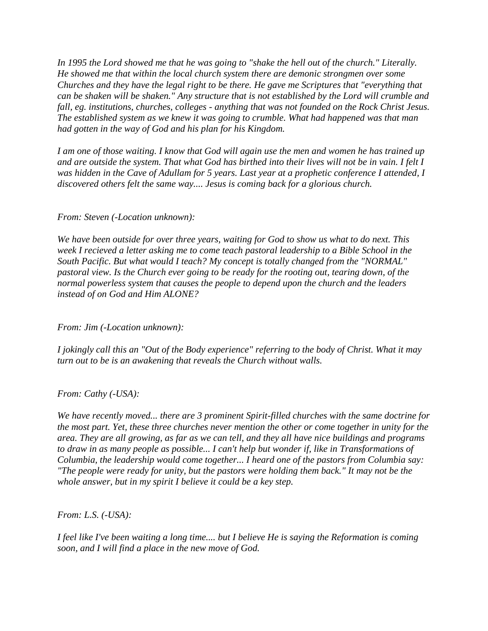*In 1995 the Lord showed me that he was going to "shake the hell out of the church." Literally. He showed me that within the local church system there are demonic strongmen over some Churches and they have the legal right to be there. He gave me Scriptures that "everything that can be shaken will be shaken." Any structure that is not established by the Lord will crumble and fall, eg. institutions, churches, colleges - anything that was not founded on the Rock Christ Jesus. The established system as we knew it was going to crumble. What had happened was that man had gotten in the way of God and his plan for his Kingdom.* 

*I am one of those waiting. I know that God will again use the men and women he has trained up and are outside the system. That what God has birthed into their lives will not be in vain. I felt I was hidden in the Cave of Adullam for 5 years. Last year at a prophetic conference I attended, I discovered others felt the same way.... Jesus is coming back for a glorious church.* 

#### *From: Steven (-Location unknown):*

*We have been outside for over three years, waiting for God to show us what to do next. This week I recieved a letter asking me to come teach pastoral leadership to a Bible School in the South Pacific. But what would I teach? My concept is totally changed from the "NORMAL" pastoral view. Is the Church ever going to be ready for the rooting out, tearing down, of the normal powerless system that causes the people to depend upon the church and the leaders instead of on God and Him ALONE?* 

*From: Jim (-Location unknown):* 

*I jokingly call this an "Out of the Body experience" referring to the body of Christ. What it may turn out to be is an awakening that reveals the Church without walls.* 

*From: Cathy (-USA):* 

*We have recently moved... there are 3 prominent Spirit-filled churches with the same doctrine for the most part. Yet, these three churches never mention the other or come together in unity for the area. They are all growing, as far as we can tell, and they all have nice buildings and programs to draw in as many people as possible... I can't help but wonder if, like in Transformations of Columbia, the leadership would come together... I heard one of the pastors from Columbia say: "The people were ready for unity, but the pastors were holding them back." It may not be the whole answer, but in my spirit I believe it could be a key step.* 

*From: L.S. (-USA):* 

*I feel like I've been waiting a long time.... but I believe He is saying the Reformation is coming soon, and I will find a place in the new move of God.*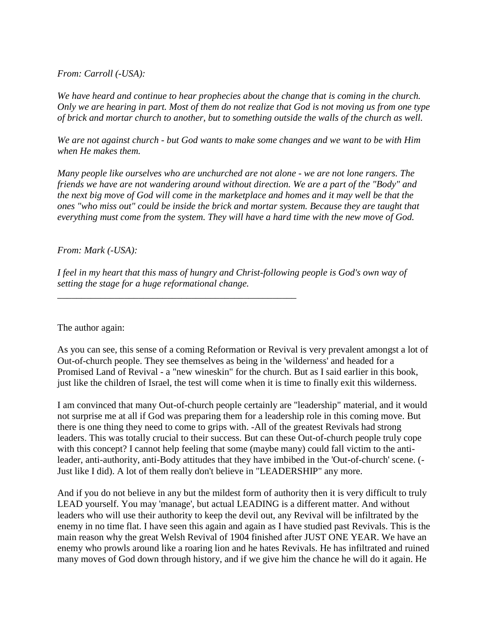#### *From: Carroll (-USA):*

*We have heard and continue to hear prophecies about the change that is coming in the church. Only we are hearing in part. Most of them do not realize that God is not moving us from one type of brick and mortar church to another, but to something outside the walls of the church as well.* 

*We are not against church - but God wants to make some changes and we want to be with Him when He makes them.* 

*Many people like ourselves who are unchurched are not alone - we are not lone rangers. The friends we have are not wandering around without direction. We are a part of the "Body" and the next big move of God will come in the marketplace and homes and it may well be that the ones "who miss out" could be inside the brick and mortar system. Because they are taught that everything must come from the system. They will have a hard time with the new move of God.* 

#### *From: Mark (-USA):*

*I feel in my heart that this mass of hungry and Christ-following people is God's own way of setting the stage for a huge reformational change.* 

*\_\_\_\_\_\_\_\_\_\_\_\_\_\_\_\_\_\_\_\_\_\_\_\_\_\_\_\_\_\_\_\_\_\_\_\_\_\_\_\_\_\_\_\_\_\_\_\_\_\_* 

The author again:

As you can see, this sense of a coming Reformation or Revival is very prevalent amongst a lot of Out-of-church people. They see themselves as being in the 'wilderness' and headed for a Promised Land of Revival - a "new wineskin" for the church. But as I said earlier in this book, just like the children of Israel, the test will come when it is time to finally exit this wilderness.

I am convinced that many Out-of-church people certainly are "leadership" material, and it would not surprise me at all if God was preparing them for a leadership role in this coming move. But there is one thing they need to come to grips with. -All of the greatest Revivals had strong leaders. This was totally crucial to their success. But can these Out-of-church people truly cope with this concept? I cannot help feeling that some (maybe many) could fall victim to the antileader, anti-authority, anti-Body attitudes that they have imbibed in the 'Out-of-church' scene. (- Just like I did). A lot of them really don't believe in "LEADERSHIP" any more.

And if you do not believe in any but the mildest form of authority then it is very difficult to truly LEAD yourself. You may 'manage', but actual LEADING is a different matter. And without leaders who will use their authority to keep the devil out, any Revival will be infiltrated by the enemy in no time flat. I have seen this again and again as I have studied past Revivals. This is the main reason why the great Welsh Revival of 1904 finished after JUST ONE YEAR. We have an enemy who prowls around like a roaring lion and he hates Revivals. He has infiltrated and ruined many moves of God down through history, and if we give him the chance he will do it again. He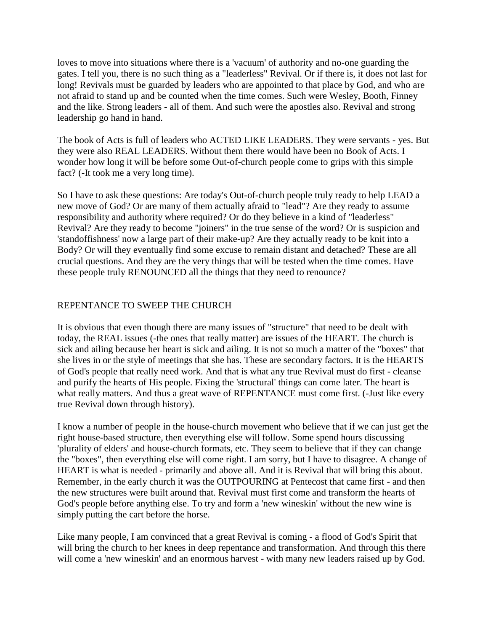loves to move into situations where there is a 'vacuum' of authority and no-one guarding the gates. I tell you, there is no such thing as a "leaderless" Revival. Or if there is, it does not last for long! Revivals must be guarded by leaders who are appointed to that place by God, and who are not afraid to stand up and be counted when the time comes. Such were Wesley, Booth, Finney and the like. Strong leaders - all of them. And such were the apostles also. Revival and strong leadership go hand in hand.

The book of Acts is full of leaders who ACTED LIKE LEADERS. They were servants - yes. But they were also REAL LEADERS. Without them there would have been no Book of Acts. I wonder how long it will be before some Out-of-church people come to grips with this simple fact? (-It took me a very long time).

So I have to ask these questions: Are today's Out-of-church people truly ready to help LEAD a new move of God? Or are many of them actually afraid to "lead"? Are they ready to assume responsibility and authority where required? Or do they believe in a kind of "leaderless" Revival? Are they ready to become "joiners" in the true sense of the word? Or is suspicion and 'standoffishness' now a large part of their make-up? Are they actually ready to be knit into a Body? Or will they eventually find some excuse to remain distant and detached? These are all crucial questions. And they are the very things that will be tested when the time comes. Have these people truly RENOUNCED all the things that they need to renounce?

#### REPENTANCE TO SWEEP THE CHURCH

It is obvious that even though there are many issues of "structure" that need to be dealt with today, the REAL issues (-the ones that really matter) are issues of the HEART. The church is sick and ailing because her heart is sick and ailing. It is not so much a matter of the "boxes" that she lives in or the style of meetings that she has. These are secondary factors. It is the HEARTS of God's people that really need work. And that is what any true Revival must do first - cleanse and purify the hearts of His people. Fixing the 'structural' things can come later. The heart is what really matters. And thus a great wave of REPENTANCE must come first. (-Just like every true Revival down through history).

I know a number of people in the house-church movement who believe that if we can just get the right house-based structure, then everything else will follow. Some spend hours discussing 'plurality of elders' and house-church formats, etc. They seem to believe that if they can change the "boxes", then everything else will come right. I am sorry, but I have to disagree. A change of HEART is what is needed - primarily and above all. And it is Revival that will bring this about. Remember, in the early church it was the OUTPOURING at Pentecost that came first - and then the new structures were built around that. Revival must first come and transform the hearts of God's people before anything else. To try and form a 'new wineskin' without the new wine is simply putting the cart before the horse.

Like many people, I am convinced that a great Revival is coming - a flood of God's Spirit that will bring the church to her knees in deep repentance and transformation. And through this there will come a 'new wineskin' and an enormous harvest - with many new leaders raised up by God.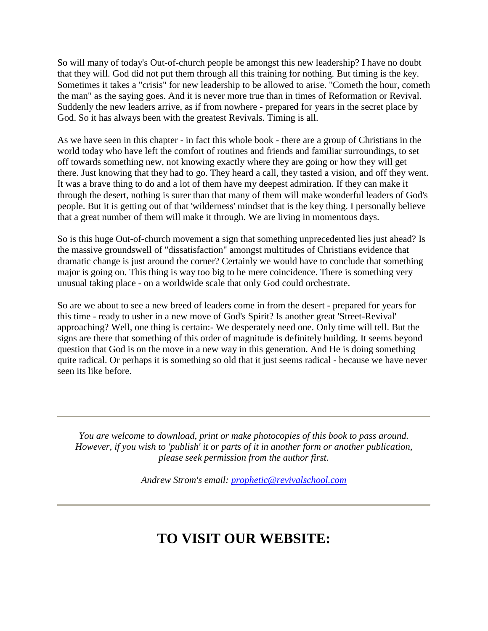So will many of today's Out-of-church people be amongst this new leadership? I have no doubt that they will. God did not put them through all this training for nothing. But timing is the key. Sometimes it takes a "crisis" for new leadership to be allowed to arise. "Cometh the hour, cometh the man" as the saying goes. And it is never more true than in times of Reformation or Revival. Suddenly the new leaders arrive, as if from nowhere - prepared for years in the secret place by God. So it has always been with the greatest Revivals. Timing is all.

As we have seen in this chapter - in fact this whole book - there are a group of Christians in the world today who have left the comfort of routines and friends and familiar surroundings, to set off towards something new, not knowing exactly where they are going or how they will get there. Just knowing that they had to go. They heard a call, they tasted a vision, and off they went. It was a brave thing to do and a lot of them have my deepest admiration. If they can make it through the desert, nothing is surer than that many of them will make wonderful leaders of God's people. But it is getting out of that 'wilderness' mindset that is the key thing. I personally believe that a great number of them will make it through. We are living in momentous days.

So is this huge Out-of-church movement a sign that something unprecedented lies just ahead? Is the massive groundswell of "dissatisfaction" amongst multitudes of Christians evidence that dramatic change is just around the corner? Certainly we would have to conclude that something major is going on. This thing is way too big to be mere coincidence. There is something very unusual taking place - on a worldwide scale that only God could orchestrate.

So are we about to see a new breed of leaders come in from the desert - prepared for years for this time - ready to usher in a new move of God's Spirit? Is another great 'Street-Revival' approaching? Well, one thing is certain:- We desperately need one. Only time will tell. But the signs are there that something of this order of magnitude is definitely building. It seems beyond question that God is on the move in a new way in this generation. And He is doing something quite radical. Or perhaps it is something so old that it just seems radical - because we have never seen its like before.

*You are welcome to download, print or make photocopies of this book to pass around. However, if you wish to 'publish' it or parts of it in another form or another publication, please seek permission from the author first.* 

*Andrew Strom's email: [prophetic@revivalschool.com](mailto:prophetic@revivalschool.com)*

## **TO VISIT OUR WEBSITE:**